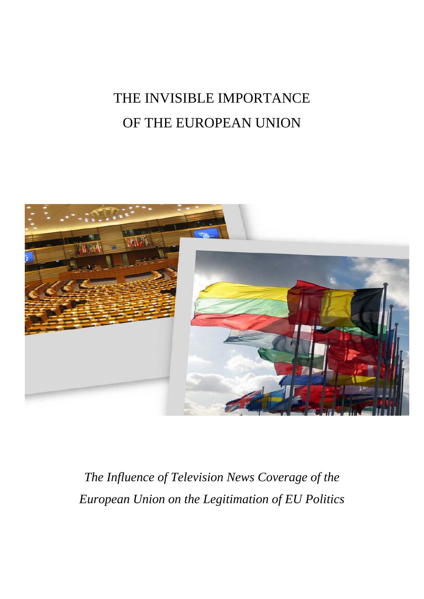# THE INVISIBLE IMPORTANCE OF THE EUROPEAN UNION



*The Influence of Television News Coverage of the European Union on the Legitimation of EU Politics*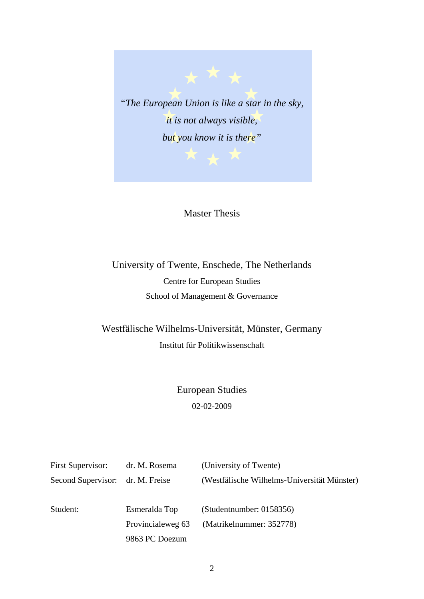

# Master Thesis

University of Twente, Enschede, The Netherlands Centre for European Studies School of Management & Governance

Westfälische Wilhelms-Universität, Münster, Germany Institut für Politikwissenschaft

> European Studies 02-02-2009

| First Supervisor:  | dr. M. Rosema     | (University of Twente)                      |
|--------------------|-------------------|---------------------------------------------|
| Second Supervisor: | dr. M. Freise     | (Westfälische Wilhelms-Universität Münster) |
|                    |                   |                                             |
| Student:           | Esmeralda Top     | (Student number: 0158356)                   |
|                    | Provincialeweg 63 | (Matrikelnummer: 352778)                    |
|                    | 9863 PC Doezum    |                                             |
|                    |                   |                                             |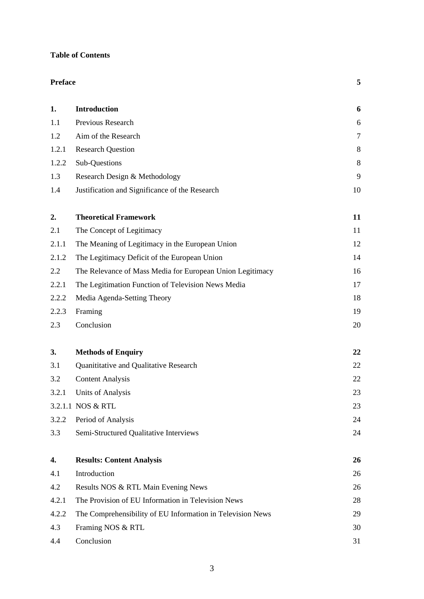# **Table of Contents**

| <b>Preface</b> |                                                            | 5      |
|----------------|------------------------------------------------------------|--------|
| 1.             | <b>Introduction</b>                                        | 6      |
| 1.1            | Previous Research                                          | 6      |
| 1.2            | Aim of the Research                                        | $\tau$ |
| 1.2.1          | <b>Research Question</b>                                   | 8      |
| 1.2.2          | Sub-Questions                                              | 8      |
| 1.3            | Research Design & Methodology                              | 9      |
| 1.4            | Justification and Significance of the Research             | 10     |
| 2.             | <b>Theoretical Framework</b>                               | 11     |
| 2.1            | The Concept of Legitimacy                                  | 11     |
| 2.1.1          | The Meaning of Legitimacy in the European Union            | 12     |
| 2.1.2          | The Legitimacy Deficit of the European Union               | 14     |
| 2.2            | The Relevance of Mass Media for European Union Legitimacy  | 16     |
| 2.2.1          | The Legitimation Function of Television News Media         | 17     |
| 2.2.2          | Media Agenda-Setting Theory                                | 18     |
| 2.2.3          | Framing                                                    | 19     |
| 2.3            | Conclusion                                                 | 20     |
| 3.             | <b>Methods of Enquiry</b>                                  | 22     |
| 3.1            | Quanititative and Qualitative Research                     | 22     |
| 3.2            | <b>Content Analysis</b>                                    | 22     |
| 3.2.1          | Units of Analysis                                          | 23     |
|                | 3.2.1.1 NOS & RTL                                          | 23     |
| 3.2.2          | Period of Analysis                                         | 24     |
| 3.3            | Semi-Structured Qualitative Interviews                     | 24     |
| 4.             | <b>Results: Content Analysis</b>                           | 26     |
| 4.1            | Introduction                                               | 26     |
| 4.2            | Results NOS & RTL Main Evening News                        | 26     |
| 4.2.1          | The Provision of EU Information in Television News         | 28     |
| 4.2.2          | The Comprehensibility of EU Information in Television News | 29     |
| 4.3            | Framing NOS & RTL                                          | 30     |
| 4.4            | Conclusion                                                 | 31     |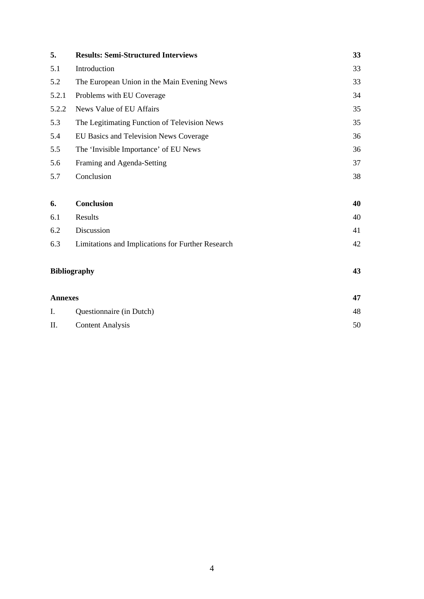| 5.    | <b>Results: Semi-Structured Interviews</b>        | 33 |
|-------|---------------------------------------------------|----|
| 5.1   | Introduction                                      | 33 |
| 5.2   | The European Union in the Main Evening News       | 33 |
| 5.2.1 | Problems with EU Coverage                         | 34 |
| 5.2.2 | News Value of EU Affairs                          | 35 |
| 5.3   | The Legitimating Function of Television News      | 35 |
| 5.4   | EU Basics and Television News Coverage            | 36 |
| 5.5   | The 'Invisible Importance' of EU News             | 36 |
| 5.6   | Framing and Agenda-Setting                        | 37 |
| 5.7   | Conclusion                                        | 38 |
|       |                                                   |    |
| 6.    | <b>Conclusion</b>                                 | 40 |
| 6.1   | Results                                           | 40 |
| 6.2   | Discussion                                        | 41 |
| 6.3   | Limitations and Implications for Further Research | 42 |

# **Bibliography 43**

| <b>Annexes</b> |                          |    |
|----------------|--------------------------|----|
| I.             | Questionnaire (in Dutch) | 48 |
| П.             | <b>Content Analysis</b>  | 50 |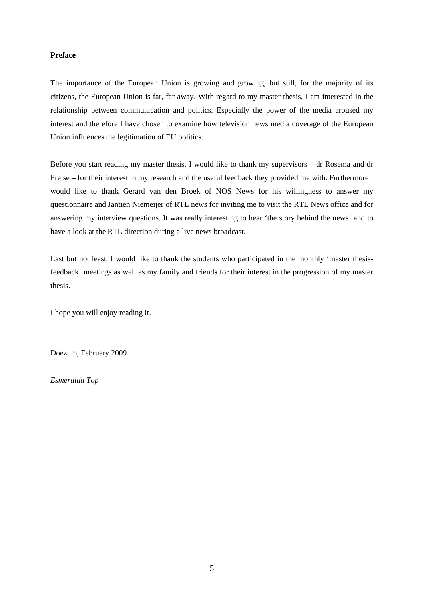# **Preface**

The importance of the European Union is growing and growing, but still, for the majority of its citizens, the European Union is far, far away. With regard to my master thesis, I am interested in the relationship between communication and politics. Especially the power of the media aroused my interest and therefore I have chosen to examine how television news media coverage of the European Union influences the legitimation of EU politics.

Before you start reading my master thesis, I would like to thank my supervisors – dr Rosema and dr Freise – for their interest in my research and the useful feedback they provided me with. Furthermore I would like to thank Gerard van den Broek of NOS News for his willingness to answer my questionnaire and Jantien Niemeijer of RTL news for inviting me to visit the RTL News office and for answering my interview questions. It was really interesting to hear 'the story behind the news' and to have a look at the RTL direction during a live news broadcast.

Last but not least, I would like to thank the students who participated in the monthly 'master thesisfeedback' meetings as well as my family and friends for their interest in the progression of my master thesis.

I hope you will enjoy reading it.

Doezum, February 2009

*Esmeralda Top*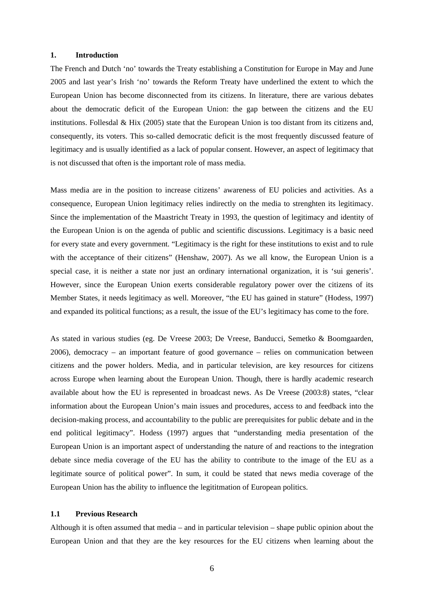# **1. Introduction**

The French and Dutch 'no' towards the Treaty establishing a Constitution for Europe in May and June 2005 and last year's Irish 'no' towards the Reform Treaty have underlined the extent to which the European Union has become disconnected from its citizens. In literature, there are various debates about the democratic deficit of the European Union: the gap between the citizens and the EU institutions. Follesdal  $\&$  Hix (2005) state that the European Union is too distant from its citizens and, consequently, its voters. This so-called democratic deficit is the most frequently discussed feature of legitimacy and is usually identified as a lack of popular consent. However, an aspect of legitimacy that is not discussed that often is the important role of mass media.

Mass media are in the position to increase citizens' awareness of EU policies and activities. As a consequence, European Union legitimacy relies indirectly on the media to strenghten its legitimacy. Since the implementation of the Maastricht Treaty in 1993, the question of legitimacy and identity of the European Union is on the agenda of public and scientific discussions. Legitimacy is a basic need for every state and every government. "Legitimacy is the right for these institutions to exist and to rule with the acceptance of their citizens" (Henshaw, 2007). As we all know, the European Union is a special case, it is neither a state nor just an ordinary international organization, it is 'sui generis'. However, since the European Union exerts considerable regulatory power over the citizens of its Member States, it needs legitimacy as well. Moreover, "the EU has gained in stature" (Hodess, 1997) and expanded its political functions; as a result, the issue of the EU's legitimacy has come to the fore.

As stated in various studies (eg. De Vreese 2003; De Vreese, Banducci, Semetko & Boomgaarden, 2006), democracy – an important feature of good governance – relies on communication between citizens and the power holders. Media, and in particular television, are key resources for citizens across Europe when learning about the European Union. Though, there is hardly academic research available about how the EU is represented in broadcast news. As De Vreese (2003:8) states, "clear information about the European Union's main issues and procedures, access to and feedback into the decision-making process, and accountability to the public are prerequisites for public debate and in the end political legitimacy". Hodess (1997) argues that "understanding media presentation of the European Union is an important aspect of understanding the nature of and reactions to the integration debate since media coverage of the EU has the ability to contribute to the image of the EU as a legitimate source of political power". In sum, it could be stated that news media coverage of the European Union has the ability to influence the legititmation of European politics.

# **1.1 Previous Research**

Although it is often assumed that media – and in particular television – shape public opinion about the European Union and that they are the key resources for the EU citizens when learning about the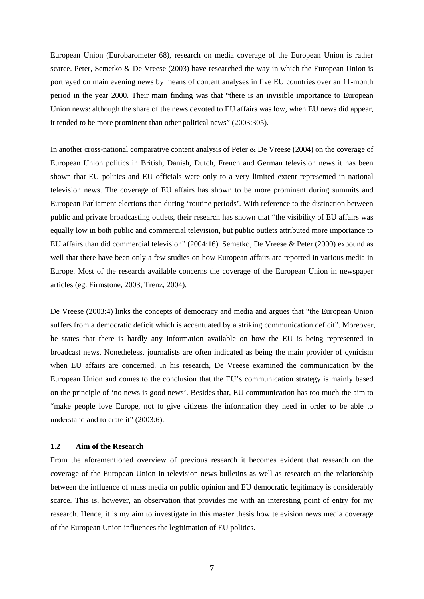European Union (Eurobarometer 68), research on media coverage of the European Union is rather scarce. Peter, Semetko & De Vreese (2003) have researched the way in which the European Union is portrayed on main evening news by means of content analyses in five EU countries over an 11-month period in the year 2000. Their main finding was that "there is an invisible importance to European Union news: although the share of the news devoted to EU affairs was low, when EU news did appear, it tended to be more prominent than other political news" (2003:305).

In another cross-national comparative content analysis of Peter & De Vreese (2004) on the coverage of European Union politics in British, Danish, Dutch, French and German television news it has been shown that EU politics and EU officials were only to a very limited extent represented in national television news. The coverage of EU affairs has shown to be more prominent during summits and European Parliament elections than during 'routine periods'. With reference to the distinction between public and private broadcasting outlets, their research has shown that "the visibility of EU affairs was equally low in both public and commercial television, but public outlets attributed more importance to EU affairs than did commercial television" (2004:16). Semetko, De Vreese & Peter (2000) expound as well that there have been only a few studies on how European affairs are reported in various media in Europe. Most of the research available concerns the coverage of the European Union in newspaper articles (eg. Firmstone, 2003; Trenz, 2004).

De Vreese (2003:4) links the concepts of democracy and media and argues that "the European Union suffers from a democratic deficit which is accentuated by a striking communication deficit". Moreover, he states that there is hardly any information available on how the EU is being represented in broadcast news. Nonetheless, journalists are often indicated as being the main provider of cynicism when EU affairs are concerned. In his research, De Vreese examined the communication by the European Union and comes to the conclusion that the EU's communication strategy is mainly based on the principle of 'no news is good news'. Besides that, EU communication has too much the aim to "make people love Europe, not to give citizens the information they need in order to be able to understand and tolerate it" (2003:6).

#### **1.2 Aim of the Research**

From the aforementioned overview of previous research it becomes evident that research on the coverage of the European Union in television news bulletins as well as research on the relationship between the influence of mass media on public opinion and EU democratic legitimacy is considerably scarce. This is, however, an observation that provides me with an interesting point of entry for my research. Hence, it is my aim to investigate in this master thesis how television news media coverage of the European Union influences the legitimation of EU politics.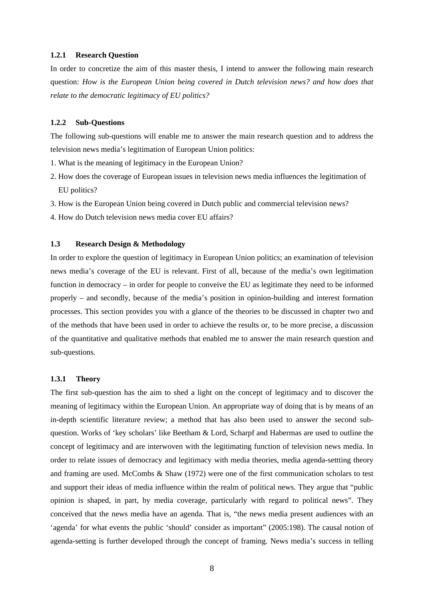#### **1.2.1 Research Question**

In order to concretize the aim of this master thesis, I intend to answer the following main research question: *How is the European Union being covered in Dutch television news? and how does that relate to the democratic legitimacy of EU politics?*

# **1.2.2 Sub-Questions**

The following sub-questions will enable me to answer the main research question and to address the television news media's legitimation of European Union politics:

- 1. What is the meaning of legitimacy in the European Union?
- 2. How does the coverage of European issues in television news media influences the legitimation of EU politics?
- 3. How is the European Union being covered in Dutch public and commercial television news?
- 4. How do Dutch television news media cover EU affairs?

## **1.3 Research Design & Methodology**

In order to explore the question of legitimacy in European Union politics; an examination of television news media's coverage of the EU is relevant. First of all, because of the media's own legitimation function in democracy – in order for people to conveive the EU as legitimate they need to be informed properly – and secondly, because of the media's position in opinion-building and interest formation processes. This section provides you with a glance of the theories to be discussed in chapter two and of the methods that have been used in order to achieve the results or, to be more precise, a discussion of the quantitative and qualitative methods that enabled me to answer the main research question and sub-questions.

# **1.3.1 Theory**

The first sub-question has the aim to shed a light on the concept of legitimacy and to discover the meaning of legitimacy within the European Union. An appropriate way of doing that is by means of an in-depth scientific literature review; a method that has also been used to answer the second subquestion. Works of 'key scholars' like Beetham & Lord, Scharpf and Habermas are used to outline the concept of legitimacy and are interwoven with the legitimating function of television news media. In order to relate issues of democracy and legitimacy with media theories, media agenda-settting theory and framing are used. McCombs & Shaw (1972) were one of the first communication scholars to test and support their ideas of media influence within the realm of political news. They argue that "public opinion is shaped, in part, by media coverage, particularly with regard to political news". They conceived that the news media have an agenda. That is, "the news media present audiences with an 'agenda' for what events the public 'should' consider as important" (2005:198). The causal notion of agenda-setting is further developed through the concept of framing. News media's success in telling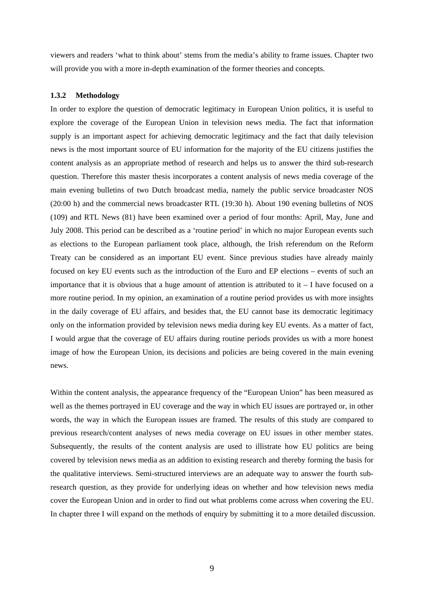viewers and readers 'what to think about' stems from the media's ability to frame issues. Chapter two will provide you with a more in-depth examination of the former theories and concepts.

#### **1.3.2 Methodology**

In order to explore the question of democratic legitimacy in European Union politics, it is useful to explore the coverage of the European Union in television news media. The fact that information supply is an important aspect for achieving democratic legitimacy and the fact that daily television news is the most important source of EU information for the majority of the EU citizens justifies the content analysis as an appropriate method of research and helps us to answer the third sub-research question. Therefore this master thesis incorporates a content analysis of news media coverage of the main evening bulletins of two Dutch broadcast media, namely the public service broadcaster NOS (20:00 h) and the commercial news broadcaster RTL (19:30 h). About 190 evening bulletins of NOS (109) and RTL News (81) have been examined over a period of four months: April, May, June and July 2008. This period can be described as a 'routine period' in which no major European events such as elections to the European parliament took place, although, the Irish referendum on the Reform Treaty can be considered as an important EU event. Since previous studies have already mainly focused on key EU events such as the introduction of the Euro and EP elections – events of such an importance that it is obvious that a huge amount of attention is attributed to  $it - I$  have focused on a more routine period. In my opinion, an examination of a routine period provides us with more insights in the daily coverage of EU affairs, and besides that, the EU cannot base its democratic legitimacy only on the information provided by television news media during key EU events. As a matter of fact, I would argue that the coverage of EU affairs during routine periods provides us with a more honest image of how the European Union, its decisions and policies are being covered in the main evening news.

Within the content analysis, the appearance frequency of the "European Union" has been measured as well as the themes portrayed in EU coverage and the way in which EU issues are portrayed or, in other words, the way in which the European issues are framed. The results of this study are compared to previous research/content analyses of news media coverage on EU issues in other member states. Subsequently, the results of the content analysis are used to illistrate how EU politics are being covered by television news media as an addition to existing research and thereby forming the basis for the qualitative interviews. Semi-structured interviews are an adequate way to answer the fourth subresearch question, as they provide for underlying ideas on whether and how television news media cover the European Union and in order to find out what problems come across when covering the EU. In chapter three I will expand on the methods of enquiry by submitting it to a more detailed discussion.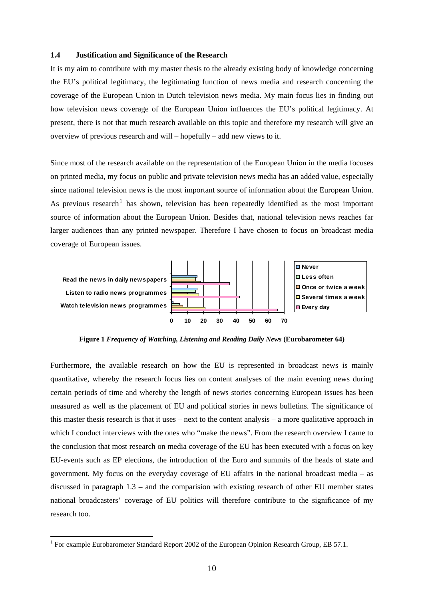# **1.4 Justification and Significance of the Research**

It is my aim to contribute with my master thesis to the already existing body of knowledge concerning the EU's political legitimacy, the legitimating function of news media and research concerning the coverage of the European Union in Dutch television news media. My main focus lies in finding out how television news coverage of the European Union influences the EU's political legitimacy. At present, there is not that much research available on this topic and therefore my research will give an overview of previous research and will – hopefully – add new views to it.

Since most of the research available on the representation of the European Union in the media focuses on printed media, my focus on public and private television news media has an added value, especially since national television news is the most important source of information about the European Union. As previous research<sup>[1](#page-9-0)</sup> has shown, television has been repeatedly identified as the most important source of information about the European Union. Besides that, national television news reaches far larger audiences than any printed newspaper. Therefore I have chosen to focus on broadcast media coverage of European issues.



**Figure 1** *Frequency of Watching, Listening and Reading Daily News* **(Eurobarometer 64)** 

Furthermore, the available research on how the EU is represented in broadcast news is mainly quantitative, whereby the research focus lies on content analyses of the main evening news during certain periods of time and whereby the length of news stories concerning European issues has been measured as well as the placement of EU and political stories in news bulletins. The significance of this master thesis research is that it uses – next to the content analysis – a more qualitative approach in which I conduct interviews with the ones who "make the news". From the research overview I came to the conclusion that most research on media coverage of the EU has been executed with a focus on key EU-events such as EP elections, the introduction of the Euro and summits of the heads of state and government. My focus on the everyday coverage of EU affairs in the national broadcast media – as discussed in paragraph 1.3 – and the comparision with existing research of other EU member states national broadcasters' coverage of EU politics will therefore contribute to the significance of my research too.

1

<span id="page-9-0"></span><sup>&</sup>lt;sup>1</sup> For example Eurobarometer Standard Report 2002 of the European Opinion Research Group, EB 57.1.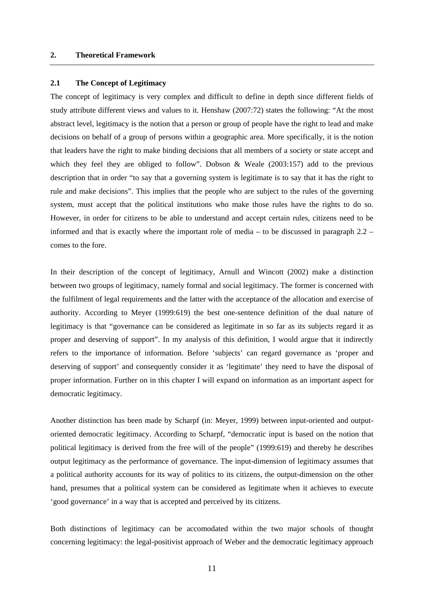# **2. Theoretical Framework**

# **2.1 The Concept of Legitimacy**

The concept of legitimacy is very complex and difficult to define in depth since different fields of study attribute different views and values to it. Henshaw (2007:72) states the following: "At the most abstract level, legitimacy is the notion that a person or group of people have the right to lead and make decisions on behalf of a group of persons within a geographic area. More specifically, it is the notion that leaders have the right to make binding decisions that all members of a society or state accept and which they feel they are obliged to follow". Dobson & Weale (2003:157) add to the previous description that in order "to say that a governing system is legitimate is to say that it has the right to rule and make decisions". This implies that the people who are subject to the rules of the governing system, must accept that the political institutions who make those rules have the rights to do so. However, in order for citizens to be able to understand and accept certain rules, citizens need to be informed and that is exactly where the important role of media – to be discussed in paragraph 2.2 – comes to the fore.

In their description of the concept of legitimacy, Arnull and Wincott (2002) make a distinction between two groups of legitimacy, namely formal and social legitimacy. The former is concerned with the fulfilment of legal requirements and the latter with the acceptance of the allocation and exercise of authority. According to Meyer (1999:619) the best one-sentence definition of the dual nature of legitimacy is that "governance can be considered as legitimate in so far as its subjects regard it as proper and deserving of support". In my analysis of this definition, I would argue that it indirectly refers to the importance of information. Before 'subjects' can regard governance as 'proper and deserving of support' and consequently consider it as 'legitimate' they need to have the disposal of proper information. Further on in this chapter I will expand on information as an important aspect for democratic legitimacy.

Another distinction has been made by Scharpf (in: Meyer, 1999) between input-oriented and outputoriented democratic legitimacy. According to Scharpf, "democratic input is based on the notion that political legitimacy is derived from the free will of the people" (1999:619) and thereby he describes output legitimacy as the performance of governance. The input-dimension of legitimacy assumes that a political authority accounts for its way of politics to its citizens, the output-dimension on the other hand, presumes that a political system can be considered as legitimate when it achieves to execute 'good governance' in a way that is accepted and perceived by its citizens.

Both distinctions of legitimacy can be accomodated within the two major schools of thought concerning legitimacy: the legal-positivist approach of Weber and the democratic legitimacy approach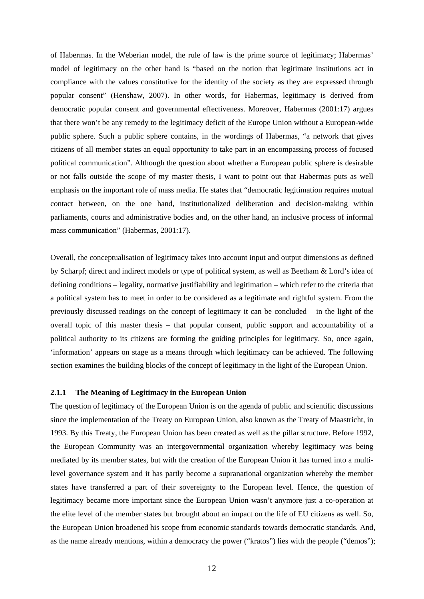of Habermas. In the Weberian model, the rule of law is the prime source of legitimacy; Habermas' model of legitimacy on the other hand is "based on the notion that legitimate institutions act in compliance with the values constitutive for the identity of the society as they are expressed through popular consent" (Henshaw, 2007). In other words, for Habermas, legitimacy is derived from democratic popular consent and governmental effectiveness. Moreover, Habermas (2001:17) argues that there won't be any remedy to the legitimacy deficit of the Europe Union without a European-wide public sphere. Such a public sphere contains, in the wordings of Habermas, "a network that gives citizens of all member states an equal opportunity to take part in an encompassing process of focused political communication". Although the question about whether a European public sphere is desirable or not falls outside the scope of my master thesis, I want to point out that Habermas puts as well emphasis on the important role of mass media. He states that "democratic legitimation requires mutual contact between, on the one hand, institutionalized deliberation and decision-making within parliaments, courts and administrative bodies and, on the other hand, an inclusive process of informal mass communication" (Habermas, 2001:17).

Overall, the conceptualisation of legitimacy takes into account input and output dimensions as defined by Scharpf; direct and indirect models or type of political system, as well as Beetham & Lord's idea of defining conditions – legality, normative justifiability and legitimation – which refer to the criteria that a political system has to meet in order to be considered as a legitimate and rightful system. From the previously discussed readings on the concept of legitimacy it can be concluded – in the light of the overall topic of this master thesis – that popular consent, public support and accountability of a political authority to its citizens are forming the guiding principles for legitimacy. So, once again, 'information' appears on stage as a means through which legitimacy can be achieved. The following section examines the building blocks of the concept of legitimacy in the light of the European Union.

# **2.1.1 The Meaning of Legitimacy in the European Union**

The question of legitimacy of the European Union is on the agenda of public and scientific discussions since the implementation of the Treaty on European Union, also known as the Treaty of Maastricht, in 1993. By this Treaty, the European Union has been created as well as the pillar structure. Before 1992, the European Community was an intergovernmental organization whereby legitimacy was being mediated by its member states, but with the creation of the European Union it has turned into a multilevel governance system and it has partly become a supranational organization whereby the member states have transferred a part of their sovereignty to the European level. Hence, the question of legitimacy became more important since the European Union wasn't anymore just a co-operation at the elite level of the member states but brought about an impact on the life of EU citizens as well. So, the European Union broadened his scope from economic standards towards democratic standards. And, as the name already mentions, within a democracy the power ("kratos") lies with the people ("demos");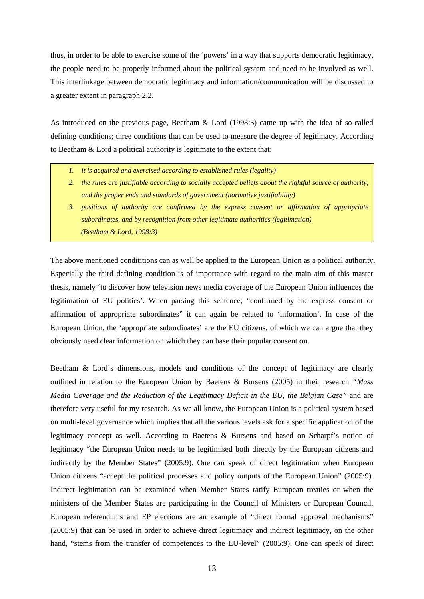thus, in order to be able to exercise some of the 'powers' in a way that supports democratic legitimacy, the people need to be properly informed about the political system and need to be involved as well. This interlinkage between democratic legitimacy and information/communication will be discussed to a greater extent in paragraph 2.2.

As introduced on the previous page, Beetham & Lord (1998:3) came up with the idea of so-called defining conditions; three conditions that can be used to measure the degree of legitimacy. According to Beetham & Lord a political authority is legitimate to the extent that:

- *1. it is acquired and exercised according to established rules (legality)*
- *2. the rules are justifiable according to socially accepted beliefs about the rightful source of authority, and the proper ends and standards of government (normative justifiability)*
- *3. positions of authority are confirmed by the express consent or affirmation of appropriate subordinates, and by recognition from other legitimate authorities (legitimation) (Beetham & Lord, 1998:3)*

The above mentioned condititions can as well be applied to the European Union as a political authority. Especially the third defining condition is of importance with regard to the main aim of this master thesis, namely 'to discover how television news media coverage of the European Union influences the legitimation of EU politics'. When parsing this sentence; "confirmed by the express consent or affirmation of appropriate subordinates" it can again be related to 'information'. In case of the European Union, the 'appropriate subordinates' are the EU citizens, of which we can argue that they obviously need clear information on which they can base their popular consent on.

Beetham & Lord's dimensions, models and conditions of the concept of legitimacy are clearly outlined in relation to the European Union by Baetens & Bursens (2005) in their research *"Mass Media Coverage and the Reduction of the Legitimacy Deficit in the EU, the Belgian Case"* and are therefore very useful for my research. As we all know, the European Union is a political system based on multi-level governance which implies that all the various levels ask for a specific application of the legitimacy concept as well. According to Baetens & Bursens and based on Scharpf's notion of legitimacy "the European Union needs to be legitimised both directly by the European citizens and indirectly by the Member States" (2005:9). One can speak of direct legitimation when European Union citizens "accept the political processes and policy outputs of the European Union" (2005:9). Indirect legitimation can be examined when Member States ratify European treaties or when the ministers of the Member States are participating in the Council of Ministers or European Council. European referendums and EP elections are an example of "direct formal approval mechanisms" (2005:9) that can be used in order to achieve direct legitimacy and indirect legitimacy, on the other hand, "stems from the transfer of competences to the EU-level" (2005:9). One can speak of direct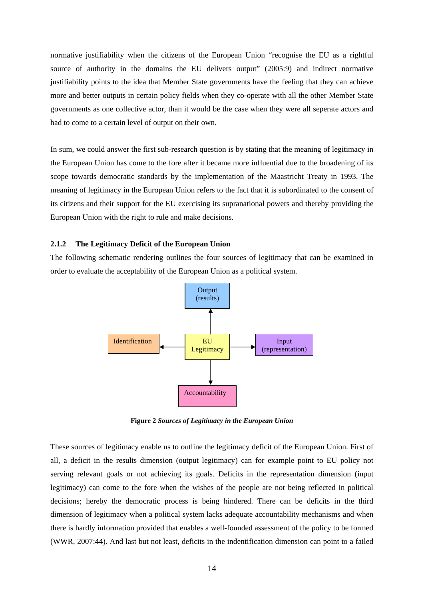normative justifiability when the citizens of the European Union "recognise the EU as a rightful source of authority in the domains the EU delivers output" (2005:9) and indirect normative justifiability points to the idea that Member State governments have the feeling that they can achieve more and better outputs in certain policy fields when they co-operate with all the other Member State governments as one collective actor, than it would be the case when they were all seperate actors and had to come to a certain level of output on their own.

In sum, we could answer the first sub-research question is by stating that the meaning of legitimacy in the European Union has come to the fore after it became more influential due to the broadening of its scope towards democratic standards by the implementation of the Maastricht Treaty in 1993. The meaning of legitimacy in the European Union refers to the fact that it is subordinated to the consent of its citizens and their support for the EU exercising its supranational powers and thereby providing the European Union with the right to rule and make decisions.

## **2.1.2 The Legitimacy Deficit of the European Union**

The following schematic rendering outlines the four sources of legitimacy that can be examined in order to evaluate the acceptability of the European Union as a political system.



**Figure 2** *Sources of Legitimacy in the European Union*

These sources of legitimacy enable us to outline the legitimacy deficit of the European Union. First of all, a deficit in the results dimension (output legitimacy) can for example point to EU policy not serving relevant goals or not achieving its goals. Deficits in the representation dimension (input legitimacy) can come to the fore when the wishes of the people are not being reflected in political decisions; hereby the democratic process is being hindered. There can be deficits in the third dimension of legitimacy when a political system lacks adequate accountability mechanisms and when there is hardly information provided that enables a well-founded assessment of the policy to be formed (WWR, 2007:44). And last but not least, deficits in the indentification dimension can point to a failed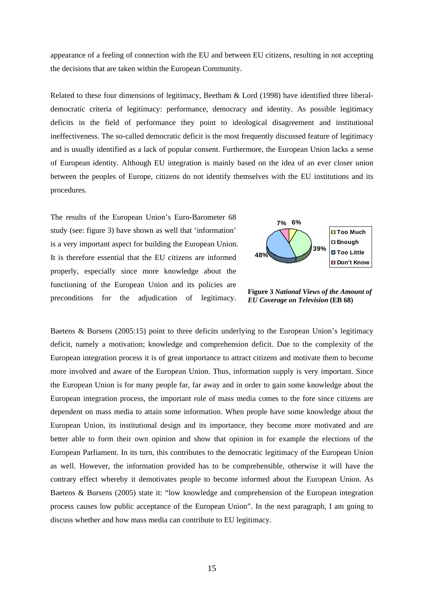appearance of a feeling of connection with the EU and between EU citizens, resulting in not accepting the decisions that are taken within the European Community.

Related to these four dimensions of legitimacy, Beetham & Lord (1998) have identified three liberaldemocratic criteria of legitimacy: performance, democracy and identity. As possible legitimacy deficits in the field of performance they point to ideological disagreement and institutional ineffectiveness. The so-called democratic deficit is the most frequently discussed feature of legitimacy and is usually identified as a lack of popular consent. Furthermore, the European Union lacks a sense of European identity. Although EU integration is mainly based on the idea of an ever closer union between the peoples of Europe, citizens do not identify themselves with the EU institutions and its procedures.

The results of the European Union's Euro-Barometer 68 study (see: figure 3) have shown as well that 'information' is a very important aspect for building the European Union. It is therefore essential that the EU citizens are informed properly, especially since more knowledge about the functioning of the European Union and its policies are preconditions for the adjudication of legitimacy.



**Figure 3** *National Views of the Amount of EU Coverage on Television* **(EB 68)**

Baetens & Bursens (2005:15) point to three deficits underlying to the European Union's legitimacy deficit, namely a motivation; knowledge and comprehension deficit. Due to the complexity of the European integration process it is of great importance to attract citizens and motivate them to become more involved and aware of the European Union. Thus, information supply is very important. Since the European Union is for many people far, far away and in order to gain some knowledge about the European integration process, the important role of mass media comes to the fore since citizens are dependent on mass media to attain some information. When people have some knowledge about the European Union, its institutional design and its importance, they become more motivated and are better able to form their own opinion and show that opinion in for example the elections of the European Parliament. In its turn, this contributes to the democratic legitimacy of the European Union as well. However, the information provided has to be comprehensible, otherwise it will have the contrary effect whereby it demotivates people to become informed about the European Union. As Baetens & Bursens (2005) state it: "low knowledge and comprehension of the European integration process causes low public acceptance of the European Union". In the next paragraph, I am going to discuss whether and how mass media can contribute to EU legitimacy.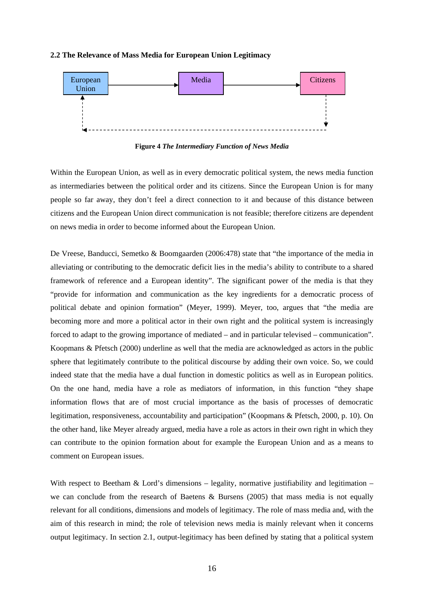#### **2.2 The Relevance of Mass Media for European Union Legitimacy**



**Figure 4** *The Intermediary Function of News Media*

Within the European Union, as well as in every democratic political system, the news media function as intermediaries between the political order and its citizens. Since the European Union is for many people so far away, they don't feel a direct connection to it and because of this distance between citizens and the European Union direct communication is not feasible; therefore citizens are dependent on news media in order to become informed about the European Union.

De Vreese, Banducci, Semetko & Boomgaarden (2006:478) state that "the importance of the media in alleviating or contributing to the democratic deficit lies in the media's ability to contribute to a shared framework of reference and a European identity". The significant power of the media is that they "provide for information and communication as the key ingredients for a democratic process of political debate and opinion formation" (Meyer, 1999). Meyer, too, argues that "the media are becoming more and more a political actor in their own right and the political system is increasingly forced to adapt to the growing importance of mediated – and in particular televised – communication". Koopmans & Pfetsch (2000) underline as well that the media are acknowledged as actors in the public sphere that legitimately contribute to the political discourse by adding their own voice. So, we could indeed state that the media have a dual function in domestic politics as well as in European politics. On the one hand, media have a role as mediators of information, in this function "they shape information flows that are of most crucial importance as the basis of processes of democratic legitimation, responsiveness, accountability and participation" (Koopmans & Pfetsch, 2000, p. 10). On the other hand, like Meyer already argued, media have a role as actors in their own right in which they can contribute to the opinion formation about for example the European Union and as a means to comment on European issues.

With respect to Beetham & Lord's dimensions – legality, normative justifiability and legitimation – we can conclude from the research of Baetens & Bursens (2005) that mass media is not equally relevant for all conditions, dimensions and models of legitimacy. The role of mass media and, with the aim of this research in mind; the role of television news media is mainly relevant when it concerns output legitimacy. In section 2.1, output-legitimacy has been defined by stating that a political system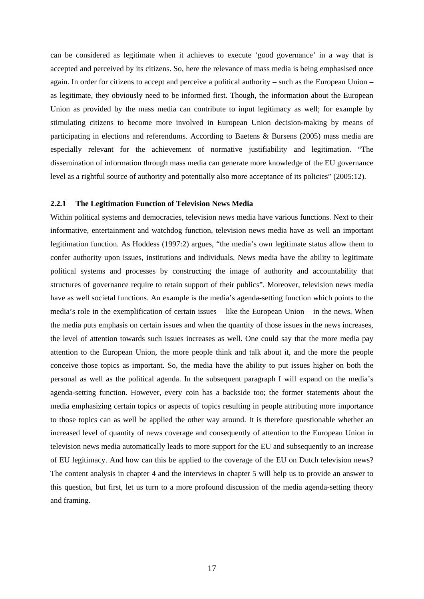can be considered as legitimate when it achieves to execute 'good governance' in a way that is accepted and perceived by its citizens. So, here the relevance of mass media is being emphasised once again. In order for citizens to accept and perceive a political authority – such as the European Union – as legitimate, they obviously need to be informed first. Though, the information about the European Union as provided by the mass media can contribute to input legitimacy as well; for example by stimulating citizens to become more involved in European Union decision-making by means of participating in elections and referendums. According to Baetens & Bursens (2005) mass media are especially relevant for the achievement of normative justifiability and legitimation. "The dissemination of information through mass media can generate more knowledge of the EU governance level as a rightful source of authority and potentially also more acceptance of its policies" (2005:12).

#### **2.2.1 The Legitimation Function of Television News Media**

Within political systems and democracies, television news media have various functions. Next to their informative, entertainment and watchdog function, television news media have as well an important legitimation function. As Hoddess (1997:2) argues, "the media's own legitimate status allow them to confer authority upon issues, institutions and individuals. News media have the ability to legitimate political systems and processes by constructing the image of authority and accountability that structures of governance require to retain support of their publics". Moreover, television news media have as well societal functions. An example is the media's agenda-setting function which points to the media's role in the exemplification of certain issues – like the European Union – in the news. When the media puts emphasis on certain issues and when the quantity of those issues in the news increases, the level of attention towards such issues increases as well. One could say that the more media pay attention to the European Union, the more people think and talk about it, and the more the people conceive those topics as important. So, the media have the ability to put issues higher on both the personal as well as the political agenda. In the subsequent paragraph I will expand on the media's agenda-setting function. However, every coin has a backside too; the former statements about the media emphasizing certain topics or aspects of topics resulting in people attributing more importance to those topics can as well be applied the other way around. It is therefore questionable whether an increased level of quantity of news coverage and consequently of attention to the European Union in television news media automatically leads to more support for the EU and subsequently to an increase of EU legitimacy. And how can this be applied to the coverage of the EU on Dutch television news? The content analysis in chapter 4 and the interviews in chapter 5 will help us to provide an answer to this question, but first, let us turn to a more profound discussion of the media agenda-setting theory and framing.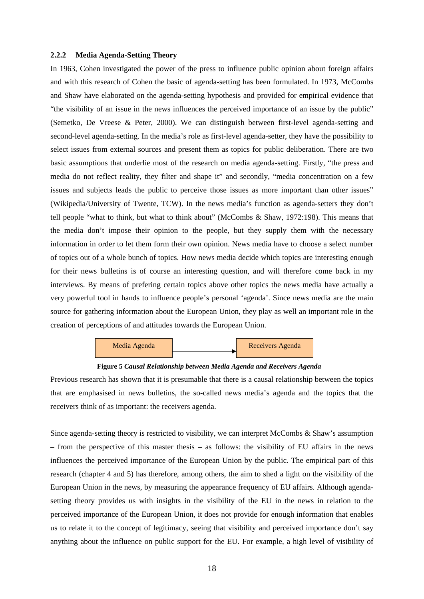#### **2.2.2 Media Agenda-Setting Theory**

In 1963, Cohen investigated the power of the press to influence public opinion about foreign affairs and with this research of Cohen the basic of agenda-setting has been formulated. In 1973, McCombs and Shaw have elaborated on the agenda-setting hypothesis and provided for empirical evidence that "the visibility of an issue in the news influences the perceived importance of an issue by the public" (Semetko, De Vreese & Peter, 2000). We can distinguish between first-level agenda-setting and second-level agenda-setting. In the media's role as first-level agenda-setter, they have the possibility to select issues from external sources and present them as topics for public deliberation. There are two basic assumptions that underlie most of the research on media agenda-setting. Firstly, "the press and media do not reflect reality, they filter and shape it" and secondly, "media concentration on a few issues and subjects leads the public to perceive those issues as more important than other issues" (Wikipedia/University of Twente, TCW). In the news media's function as agenda-setters they don't tell people "what to think, but what to think about" (McCombs & Shaw, 1972:198). This means that the media don't impose their opinion to the people, but they supply them with the necessary information in order to let them form their own opinion. News media have to choose a select number of topics out of a whole bunch of topics. How news media decide which topics are interesting enough for their news bulletins is of course an interesting question, and will therefore come back in my interviews. By means of prefering certain topics above other topics the news media have actually a very powerful tool in hands to influence people's personal 'agenda'. Since news media are the main source for gathering information about the European Union, they play as well an important role in the creation of perceptions of and attitudes towards the European Union.





Previous research has shown that it is presumable that there is a causal relationship between the topics that are emphasised in news bulletins, the so-called news media's agenda and the topics that the receivers think of as important: the receivers agenda.

Since agenda-setting theory is restricted to visibility, we can interpret McCombs & Shaw's assumption – from the perspective of this master thesis – as follows: the visibility of EU affairs in the news influences the perceived importance of the European Union by the public. The empirical part of this research (chapter 4 and 5) has therefore, among others, the aim to shed a light on the visibility of the European Union in the news, by measuring the appearance frequency of EU affairs. Although agendasetting theory provides us with insights in the visibility of the EU in the news in relation to the perceived importance of the European Union, it does not provide for enough information that enables us to relate it to the concept of legitimacy, seeing that visibility and perceived importance don't say anything about the influence on public support for the EU. For example, a high level of visibility of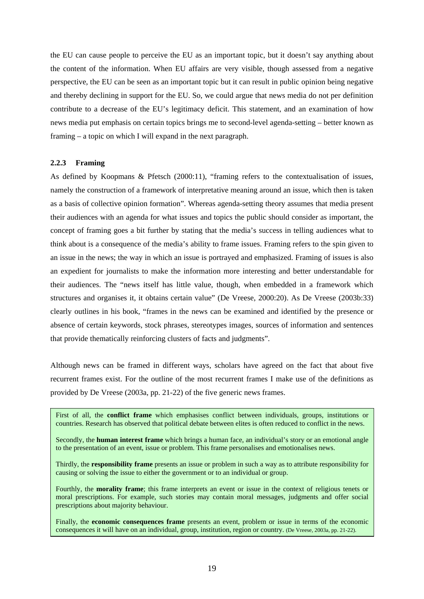the EU can cause people to perceive the EU as an important topic, but it doesn't say anything about the content of the information. When EU affairs are very visible, though assessed from a negative perspective, the EU can be seen as an important topic but it can result in public opinion being negative and thereby declining in support for the EU. So, we could argue that news media do not per definition contribute to a decrease of the EU's legitimacy deficit. This statement, and an examination of how news media put emphasis on certain topics brings me to second-level agenda-setting – better known as framing – a topic on which I will expand in the next paragraph.

# **2.2.3 Framing**

As defined by Koopmans & Pfetsch (2000:11), "framing refers to the contextualisation of issues, namely the construction of a framework of interpretative meaning around an issue, which then is taken as a basis of collective opinion formation". Whereas agenda-setting theory assumes that media present their audiences with an agenda for what issues and topics the public should consider as important, the concept of framing goes a bit further by stating that the media's success in telling audiences what to think about is a consequence of the media's ability to frame issues. Framing refers to the spin given to an issue in the news; the way in which an issue is portrayed and emphasized. Framing of issues is also an expedient for journalists to make the information more interesting and better understandable for their audiences. The "news itself has little value, though, when embedded in a framework which structures and organises it, it obtains certain value" (De Vreese, 2000:20). As De Vreese (2003b:33) clearly outlines in his book, "frames in the news can be examined and identified by the presence or absence of certain keywords, stock phrases, stereotypes images, sources of information and sentences that provide thematically reinforcing clusters of facts and judgments".

Although news can be framed in different ways, scholars have agreed on the fact that about five recurrent frames exist. For the outline of the most recurrent frames I make use of the definitions as provided by De Vreese (2003a, pp. 21-22) of the five generic news frames.

First of all, the **conflict frame** which emphasises conflict between individuals, groups, institutions or countries. Research has observed that political debate between elites is often reduced to conflict in the news.

Secondly, the **human interest frame** which brings a human face, an individual's story or an emotional angle to the presentation of an event, issue or problem. This frame personalises and emotionalises news.

Thirdly, the **responsibility frame** presents an issue or problem in such a way as to attribute responsibility for causing or solving the issue to either the government or to an individual or group.

Fourthly, the **morality frame**; this frame interprets an event or issue in the context of religious tenets or moral prescriptions. For example, such stories may contain moral messages, judgments and offer social prescriptions about majority behaviour.

Finally, the **economic consequences frame** presents an event, problem or issue in terms of the economic consequences it will have on an individual, group, institution, region or country. (De Vreese, 2003a, pp. 21-22).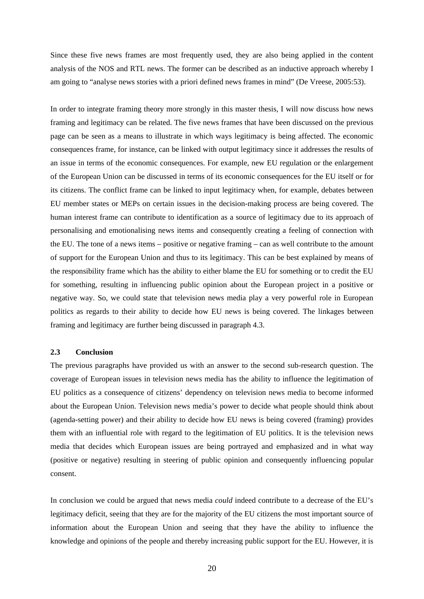Since these five news frames are most frequently used, they are also being applied in the content analysis of the NOS and RTL news. The former can be described as an inductive approach whereby I am going to "analyse news stories with a priori defined news frames in mind" (De Vreese, 2005:53).

In order to integrate framing theory more strongly in this master thesis, I will now discuss how news framing and legitimacy can be related. The five news frames that have been discussed on the previous page can be seen as a means to illustrate in which ways legitimacy is being affected. The economic consequences frame, for instance, can be linked with output legitimacy since it addresses the results of an issue in terms of the economic consequences. For example, new EU regulation or the enlargement of the European Union can be discussed in terms of its economic consequences for the EU itself or for its citizens. The conflict frame can be linked to input legitimacy when, for example, debates between EU member states or MEPs on certain issues in the decision-making process are being covered. The human interest frame can contribute to identification as a source of legitimacy due to its approach of personalising and emotionalising news items and consequently creating a feeling of connection with the EU. The tone of a news items – positive or negative framing – can as well contribute to the amount of support for the European Union and thus to its legitimacy. This can be best explained by means of the responsibility frame which has the ability to either blame the EU for something or to credit the EU for something, resulting in influencing public opinion about the European project in a positive or negative way. So, we could state that television news media play a very powerful role in European politics as regards to their ability to decide how EU news is being covered. The linkages between framing and legitimacy are further being discussed in paragraph 4.3.

# **2.3 Conclusion**

The previous paragraphs have provided us with an answer to the second sub-research question. The coverage of European issues in television news media has the ability to influence the legitimation of EU politics as a consequence of citizens' dependency on television news media to become informed about the European Union. Television news media's power to decide what people should think about (agenda-setting power) and their ability to decide how EU news is being covered (framing) provides them with an influential role with regard to the legitimation of EU politics. It is the television news media that decides which European issues are being portrayed and emphasized and in what way (positive or negative) resulting in steering of public opinion and consequently influencing popular consent.

In conclusion we could be argued that news media *could* indeed contribute to a decrease of the EU's legitimacy deficit, seeing that they are for the majority of the EU citizens the most important source of information about the European Union and seeing that they have the ability to influence the knowledge and opinions of the people and thereby increasing public support for the EU. However, it is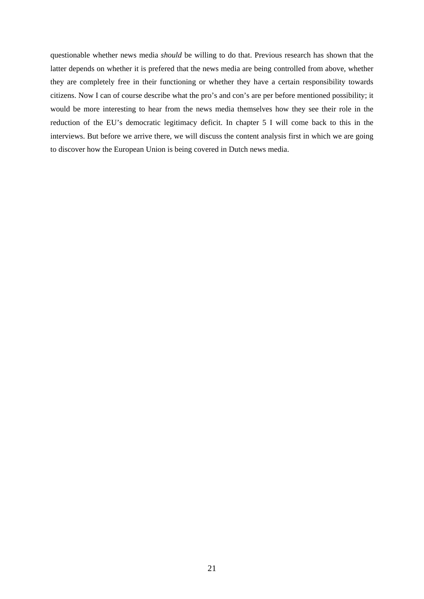questionable whether news media *should* be willing to do that. Previous research has shown that the latter depends on whether it is prefered that the news media are being controlled from above, whether they are completely free in their functioning or whether they have a certain responsibility towards citizens. Now I can of course describe what the pro's and con's are per before mentioned possibility; it would be more interesting to hear from the news media themselves how they see their role in the reduction of the EU's democratic legitimacy deficit. In chapter 5 I will come back to this in the interviews. But before we arrive there, we will discuss the content analysis first in which we are going to discover how the European Union is being covered in Dutch news media.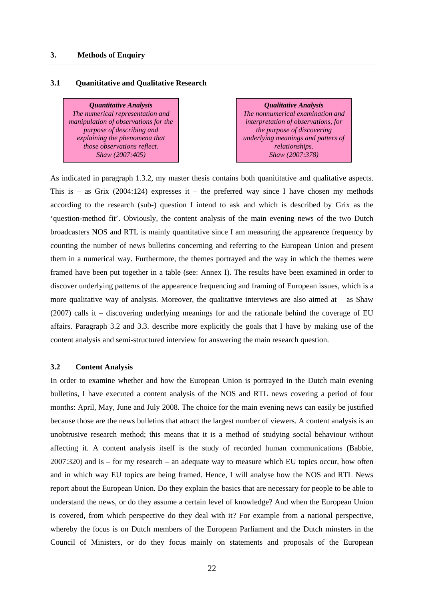# **3. Methods of Enquiry**

# **3.1 Quanititative and Qualitative Research**

*Quantitative Analysis The numerical representation and manipulation of observations for the purpose of describing and explaining the phenomena that those observations reflect. Shaw (2007:405)* 

*Qualitative Analysis The nonnumerical examination and interpretation of observations, for the purpose of discovering underlying meanings and patters of relationships. Shaw (2007:378)* 

As indicated in paragraph 1.3.2, my master thesis contains both quanititative and qualitative aspects. This is – as Grix (2004:124) expresses it – the preferred way since I have chosen my methods according to the research (sub-) question I intend to ask and which is described by Grix as the 'question-method fit'. Obviously, the content analysis of the main evening news of the two Dutch broadcasters NOS and RTL is mainly quantitative since I am measuring the appearence frequency by counting the number of news bulletins concerning and referring to the European Union and present them in a numerical way. Furthermore, the themes portrayed and the way in which the themes were framed have been put together in a table (see: Annex I). The results have been examined in order to discover underlying patterns of the appearence frequencing and framing of European issues, which is a more qualitative way of analysis. Moreover, the qualitative interviews are also aimed at  $-$  as Shaw (2007) calls it – discovering underlying meanings for and the rationale behind the coverage of EU affairs. Paragraph 3.2 and 3.3. describe more explicitly the goals that I have by making use of the content analysis and semi-structured interview for answering the main research question.

# **3.2 Content Analysis**

In order to examine whether and how the European Union is portrayed in the Dutch main evening bulletins, I have executed a content analysis of the NOS and RTL news covering a period of four months: April, May, June and July 2008. The choice for the main evening news can easily be justified because those are the news bulletins that attract the largest number of viewers. A content analysis is an unobtrusive research method; this means that it is a method of studying social behaviour without affecting it. A content analysis itself is the study of recorded human communications (Babbie, 2007:320) and is – for my research – an adequate way to measure which EU topics occur, how often and in which way EU topics are being framed. Hence, I will analyse how the NOS and RTL News report about the European Union. Do they explain the basics that are necessary for people to be able to understand the news, or do they assume a certain level of knowledge? And when the European Union is covered, from which perspective do they deal with it? For example from a national perspective, whereby the focus is on Dutch members of the European Parliament and the Dutch minsters in the Council of Ministers, or do they focus mainly on statements and proposals of the European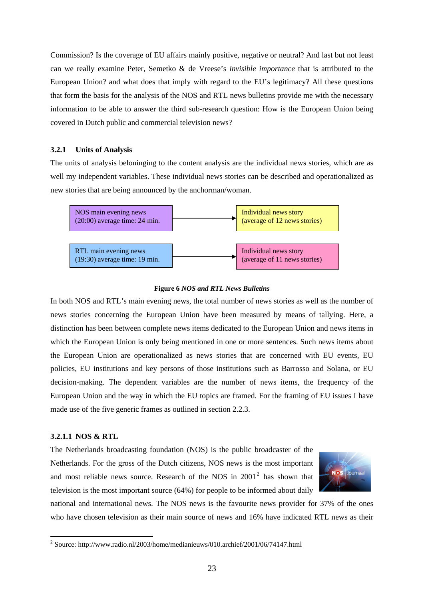Commission? Is the coverage of EU affairs mainly positive, negative or neutral? And last but not least can we really examine Peter, Semetko & de Vreese's *invisible importance* that is attributed to the European Union? and what does that imply with regard to the EU's legitimacy? All these questions that form the basis for the analysis of the NOS and RTL news bulletins provide me with the necessary information to be able to answer the third sub-research question: How is the European Union being covered in Dutch public and commercial television news?

# **3.2.1 Units of Analysis**

The units of analysis beloninging to the content analysis are the individual news stories, which are as well my independent variables. These individual news stories can be described and operationalized as new stories that are being announced by the anchorman/woman.



#### **Figure 6** *NOS and RTL News Bulletins*

In both NOS and RTL's main evening news, the total number of news stories as well as the number of news stories concerning the European Union have been measured by means of tallying. Here, a distinction has been between complete news items dedicated to the European Union and news items in which the European Union is only being mentioned in one or more sentences. Such news items about the European Union are operationalized as news stories that are concerned with EU events, EU policies, EU institutions and key persons of those institutions such as Barrosso and Solana, or EU decision-making. The dependent variables are the number of news items, the frequency of the European Union and the way in which the EU topics are framed. For the framing of EU issues I have made use of the five generic frames as outlined in section 2.2.3.

# **3.2.1.1 NOS & RTL**

1

The Netherlands broadcasting foundation (NOS) is the public broadcaster of the Netherlands. For the gross of the Dutch citizens, NOS news is the most important and most reliable news source. Research of the NOS in  $2001<sup>2</sup>$  $2001<sup>2</sup>$  has shown that television is the most important source (64%) for people to be informed about daily



national and international news. The NOS news is the favourite news provider for 37% of the ones who have chosen television as their main source of news and 16% have indicated RTL news as their

<span id="page-22-0"></span><sup>&</sup>lt;sup>2</sup> Source: http://www.radio.nl/2003/home/medianieuws/010.archief/2001/06/74147.html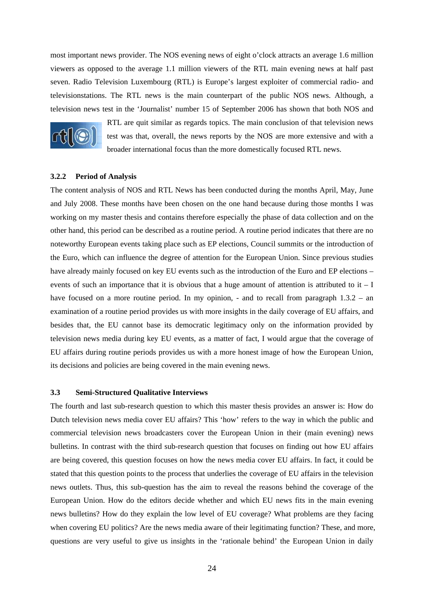most important news provider. The NOS evening news of eight o'clock attracts an average 1.6 million viewers as opposed to the average 1.1 million viewers of the RTL main evening news at half past seven. Radio Television Luxembourg (RTL) is Europe's largest exploiter of commercial radio- and televisionstations. The RTL news is the main counterpart of the public NOS news. Although, a television news test in the 'Journalist' number 15 of September 2006 has shown that both NOS and



RTL are quit similar as regards topics. The main conclusion of that television news test was that, overall, the news reports by the NOS are more extensive and with a broader international focus than the more domestically focused RTL news.

# **3.2.2 Period of Analysis**

The content analysis of NOS and RTL News has been conducted during the months April, May, June and July 2008. These months have been chosen on the one hand because during those months I was working on my master thesis and contains therefore especially the phase of data collection and on the other hand, this period can be described as a routine period. A routine period indicates that there are no noteworthy European events taking place such as EP elections, Council summits or the introduction of the Euro, which can influence the degree of attention for the European Union. Since previous studies have already mainly focused on key EU events such as the introduction of the Euro and EP elections – events of such an importance that it is obvious that a huge amount of attention is attributed to it  $-1$ have focused on a more routine period. In my opinion, - and to recall from paragraph 1.3.2 – an examination of a routine period provides us with more insights in the daily coverage of EU affairs, and besides that, the EU cannot base its democratic legitimacy only on the information provided by television news media during key EU events, as a matter of fact, I would argue that the coverage of EU affairs during routine periods provides us with a more honest image of how the European Union, its decisions and policies are being covered in the main evening news.

# **3.3 Semi-Structured Qualitative Interviews**

The fourth and last sub-research question to which this master thesis provides an answer is: How do Dutch television news media cover EU affairs? This 'how' refers to the way in which the public and commercial television news broadcasters cover the European Union in their (main evening) news bulletins. In contrast with the third sub-research question that focuses on finding out how EU affairs are being covered, this question focuses on how the news media cover EU affairs. In fact, it could be stated that this question points to the process that underlies the coverage of EU affairs in the television news outlets. Thus, this sub-question has the aim to reveal the reasons behind the coverage of the European Union. How do the editors decide whether and which EU news fits in the main evening news bulletins? How do they explain the low level of EU coverage? What problems are they facing when covering EU politics? Are the news media aware of their legitimating function? These, and more, questions are very useful to give us insights in the 'rationale behind' the European Union in daily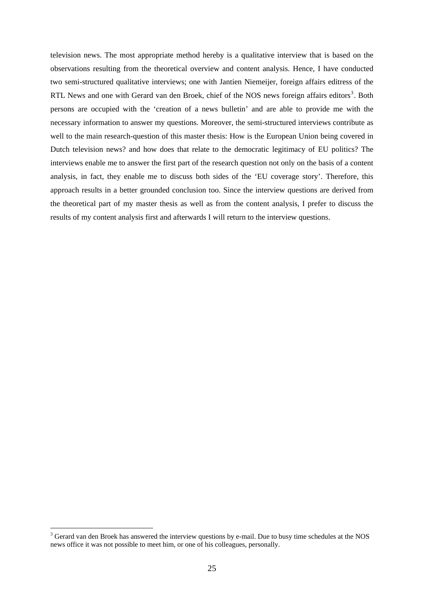television news. The most appropriate method hereby is a qualitative interview that is based on the observations resulting from the theoretical overview and content analysis. Hence, I have conducted two semi-structured qualitative interviews; one with Jantien Niemeijer, foreign affairs editress of the RTL News and one with Gerard van den Broek, chief of the NOS news foreign affairs editors<sup>[3](#page-24-0)</sup>. Both persons are occupied with the 'creation of a news bulletin' and are able to provide me with the necessary information to answer my questions. Moreover, the semi-structured interviews contribute as well to the main research-question of this master thesis: How is the European Union being covered in Dutch television news? and how does that relate to the democratic legitimacy of EU politics? The interviews enable me to answer the first part of the research question not only on the basis of a content analysis, in fact, they enable me to discuss both sides of the 'EU coverage story'. Therefore, this approach results in a better grounded conclusion too. Since the interview questions are derived from the theoretical part of my master thesis as well as from the content analysis, I prefer to discuss the results of my content analysis first and afterwards I will return to the interview questions.

1

<span id="page-24-0"></span><sup>&</sup>lt;sup>3</sup> Gerard van den Broek has answered the interview questions by e-mail. Due to busy time schedules at the NOS news office it was not possible to meet him, or one of his colleagues, personally.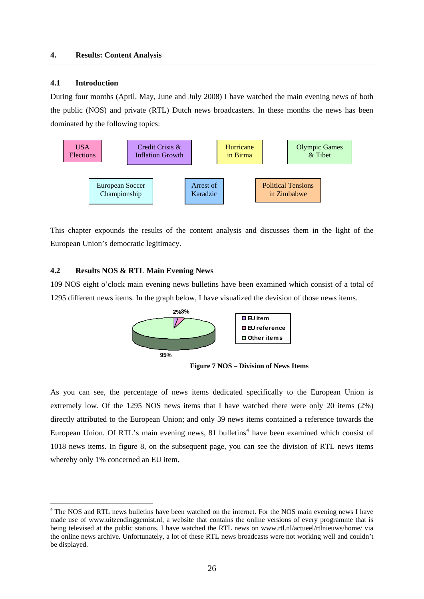# **4.1 Introduction**

1

During four months (April, May, June and July 2008) I have watched the main evening news of both the public (NOS) and private (RTL) Dutch news broadcasters. In these months the news has been dominated by the following topics:



This chapter expounds the results of the content analysis and discusses them in the light of the European Union's democratic legitimacy.

# **4.2 Results NOS & RTL Main Evening News**

109 NOS eight o'clock main evening news bulletins have been examined which consist of a total of 1295 different news items. In the graph below, I have visualized the devision of those news items.





As you can see, the percentage of news items dedicated specifically to the European Union is extremely low. Of the 1295 NOS news items that I have watched there were only 20 items (2%) directly attributed to the European Union; and only 39 news items contained a reference towards the European Union. Of RTL's main evening news, 81 bulletins<sup>[4](#page-25-0)</sup> have been examined which consist of 1018 news items. In figure 8, on the subsequent page, you can see the division of RTL news items whereby only 1% concerned an EU item.

<span id="page-25-0"></span><sup>&</sup>lt;sup>4</sup> The NOS and RTL news bulletins have been watched on the internet. For the NOS main evening news I have made use of www.uitzendinggemist.nl, a website that contains the online versions of every programme that is being televised at the public stations. I have watched the RTL news on www.rtl.nl/actueel/rtlnieuws/home/ via the online news archive. Unfortunately, a lot of these RTL news broadcasts were not working well and couldn't be displayed.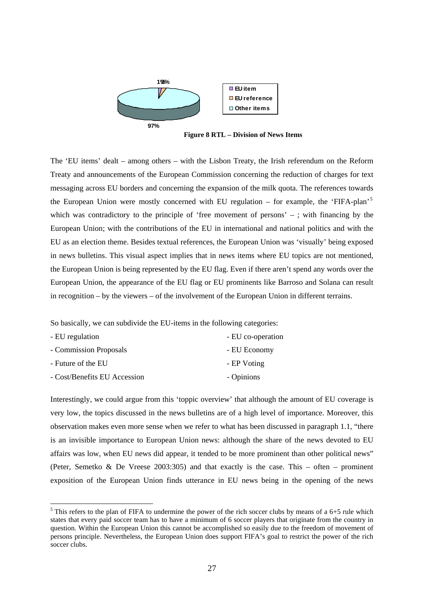

 **Figure 8 RTL – Division of News Items** 

The 'EU items' dealt – among others – with the Lisbon Treaty, the Irish referendum on the Reform Treaty and announcements of the European Commission concerning the reduction of charges for text messaging across EU borders and concerning the expansion of the milk quota. The references towards the European Union were mostly concerned with EU regulation – for example, the 'FIFA-plan'<sup>[5](#page-26-0)</sup> which was contradictory to the principle of 'free movement of persons' – ; with financing by the European Union; with the contributions of the EU in international and national politics and with the EU as an election theme. Besides textual references, the European Union was 'visually' being exposed in news bulletins. This visual aspect implies that in news items where EU topics are not mentioned, the European Union is being represented by the EU flag. Even if there aren't spend any words over the European Union, the appearance of the EU flag or EU prominents like Barroso and Solana can result in recognition – by the viewers – of the involvement of the European Union in different terrains.

So basically, we can subdivide the EU-items in the following categories:

| - EU regulation              | - EU co-operation |
|------------------------------|-------------------|
| - Commission Proposals       | - EU Economy      |
| - Future of the EU           | - EP Voting       |
| - Cost/Benefits EU Accession | - Opinions        |

1

Interestingly, we could argue from this 'toppic overview' that although the amount of EU coverage is very low, the topics discussed in the news bulletins are of a high level of importance. Moreover, this observation makes even more sense when we refer to what has been discussed in paragraph 1.1, "there is an invisible importance to European Union news: although the share of the news devoted to EU affairs was low, when EU news did appear, it tended to be more prominent than other political news" (Peter, Semetko & De Vreese 2003:305) and that exactly is the case. This – often – prominent exposition of the European Union finds utterance in EU news being in the opening of the news

<span id="page-26-0"></span> $<sup>5</sup>$  This refers to the plan of FIFA to undermine the power of the rich soccer clubs by means of a 6+5 rule which</sup> states that every paid soccer team has to have a minimum of 6 soccer players that originate from the country in question. Within the European Union this cannot be accomplished so easily due to the freedom of movement of persons principle. Nevertheless, the European Union does support FIFA's goal to restrict the power of the rich soccer clubs.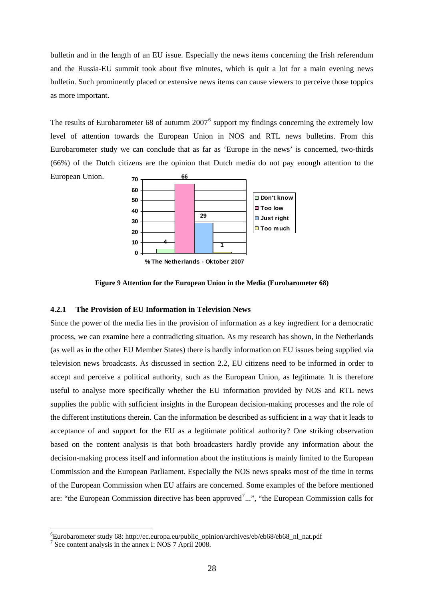bulletin and in the length of an EU issue. Especially the news items concerning the Irish referendum and the Russia-EU summit took about five minutes, which is quit a lot for a main evening news bulletin. Such prominently placed or extensive news items can cause viewers to perceive those toppics as more important.

The results of Eurobarometer [6](#page-27-0)8 of autumm  $2007<sup>6</sup>$  support my findings concerning the extremely low level of attention towards the European Union in NOS and RTL news bulletins. From this Eurobarometer study we can conclude that as far as 'Europe in the news' is concerned, two-thirds (66%) of the Dutch citizens are the opinion that Dutch media do not pay enough attention to the European Union. **66 70**



**Figure 9 Attention for the European Union in the Media (Eurobarometer 68)** 

# **4.2.1 The Provision of EU Information in Television News**

Since the power of the media lies in the provision of information as a key ingredient for a democratic process, we can examine here a contradicting situation. As my research has shown, in the Netherlands (as well as in the other EU Member States) there is hardly information on EU issues being supplied via television news broadcasts. As discussed in section 2.2, EU citizens need to be informed in order to accept and perceive a political authority, such as the European Union, as legitimate. It is therefore useful to analyse more specifically whether the EU information provided by NOS and RTL news supplies the public with sufficient insights in the European decision-making processes and the role of the different institutions therein. Can the information be described as sufficient in a way that it leads to acceptance of and support for the EU as a legitimate political authority? One striking observation based on the content analysis is that both broadcasters hardly provide any information about the decision-making process itself and information about the institutions is mainly limited to the European Commission and the European Parliament. Especially the NOS news speaks most of the time in terms of the European Commission when EU affairs are concerned. Some examples of the before mentioned are: "the European Commission directive has been approved<sup>[7](#page-27-1)</sup>...", "the European Commission calls for

1

<span id="page-27-0"></span><sup>6</sup> Eurobarometer study 68: http://ec.europa.eu/public\_opinion/archives/eb/eb68/eb68\_nl\_nat.pdf

<span id="page-27-1"></span><sup>7</sup> See content analysis in the annex I: NOS 7 April 2008.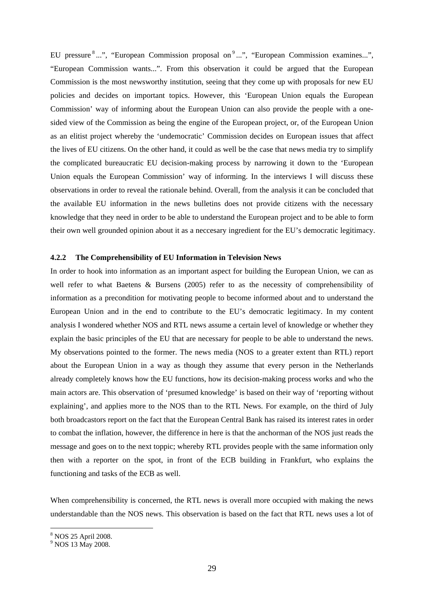EU pressure <sup>[8](#page-28-0)</sup> ...", "European Commission proposal on <sup>[9](#page-28-1)</sup> ...", "European Commission examines...", "European Commission wants...". From this observation it could be argued that the European Commission is the most newsworthy institution, seeing that they come up with proposals for new EU policies and decides on important topics. However, this 'European Union equals the European Commission' way of informing about the European Union can also provide the people with a onesided view of the Commission as being the engine of the European project, or, of the European Union as an elitist project whereby the 'undemocratic' Commission decides on European issues that affect the lives of EU citizens. On the other hand, it could as well be the case that news media try to simplify the complicated bureaucratic EU decision-making process by narrowing it down to the 'European Union equals the European Commission' way of informing. In the interviews I will discuss these observations in order to reveal the rationale behind. Overall, from the analysis it can be concluded that the available EU information in the news bulletins does not provide citizens with the necessary knowledge that they need in order to be able to understand the European project and to be able to form their own well grounded opinion about it as a neccesary ingredient for the EU's democratic legitimacy.

# **4.2.2 The Comprehensibility of EU Information in Television News**

In order to hook into information as an important aspect for building the European Union, we can as well refer to what Baetens & Bursens (2005) refer to as the necessity of comprehensibility of information as a precondition for motivating people to become informed about and to understand the European Union and in the end to contribute to the EU's democratic legitimacy. In my content analysis I wondered whether NOS and RTL news assume a certain level of knowledge or whether they explain the basic principles of the EU that are necessary for people to be able to understand the news. My observations pointed to the former. The news media (NOS to a greater extent than RTL) report about the European Union in a way as though they assume that every person in the Netherlands already completely knows how the EU functions, how its decision-making process works and who the main actors are. This observation of 'presumed knowledge' is based on their way of 'reporting without explaining', and applies more to the NOS than to the RTL News. For example, on the third of July both broadcastors report on the fact that the European Central Bank has raised its interest rates in order to combat the inflation, however, the difference in here is that the anchorman of the NOS just reads the message and goes on to the next toppic; whereby RTL provides people with the same information only then with a reporter on the spot, in front of the ECB building in Frankfurt, who explains the functioning and tasks of the ECB as well.

When comprehensibility is concerned, the RTL news is overall more occupied with making the news understandable than the NOS news. This observation is based on the fact that RTL news uses a lot of

1

<span id="page-28-0"></span><sup>8</sup> NOS 25 April 2008.

<span id="page-28-1"></span><sup>&</sup>lt;sup>9</sup> NOS 13 May 2008.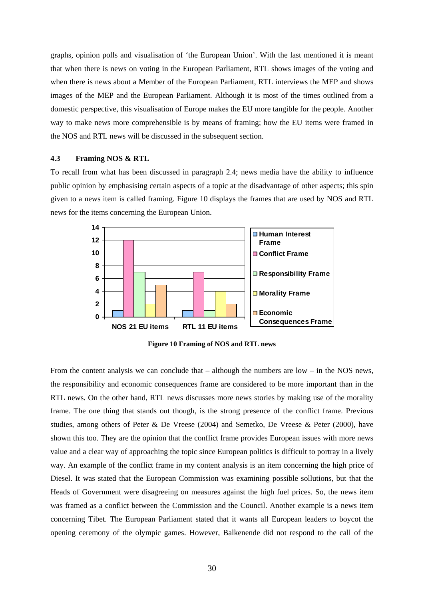graphs, opinion polls and visualisation of 'the European Union'. With the last mentioned it is meant that when there is news on voting in the European Parliament, RTL shows images of the voting and when there is news about a Member of the European Parliament, RTL interviews the MEP and shows images of the MEP and the European Parliament. Although it is most of the times outlined from a domestic perspective, this visualisation of Europe makes the EU more tangible for the people. Another way to make news more comprehensible is by means of framing; how the EU items were framed in the NOS and RTL news will be discussed in the subsequent section.

#### **4.3 Framing NOS & RTL**

To recall from what has been discussed in paragraph 2.4; news media have the ability to influence public opinion by emphasising certain aspects of a topic at the disadvantage of other aspects; this spin given to a news item is called framing. Figure 10 displays the frames that are used by NOS and RTL news for the items concerning the European Union.



**Figure 10 Framing of NOS and RTL news**

From the content analysis we can conclude that – although the numbers are low – in the NOS news, the responsibility and economic consequences frame are considered to be more important than in the RTL news. On the other hand, RTL news discusses more news stories by making use of the morality frame. The one thing that stands out though, is the strong presence of the conflict frame. Previous studies, among others of Peter & De Vreese (2004) and Semetko, De Vreese & Peter (2000), have shown this too. They are the opinion that the conflict frame provides European issues with more news value and a clear way of approaching the topic since European politics is difficult to portray in a lively way. An example of the conflict frame in my content analysis is an item concerning the high price of Diesel. It was stated that the European Commission was examining possible sollutions, but that the Heads of Government were disagreeing on measures against the high fuel prices. So, the news item was framed as a conflict between the Commission and the Council. Another example is a news item concerning Tibet. The European Parliament stated that it wants all European leaders to boycot the opening ceremony of the olympic games. However, Balkenende did not respond to the call of the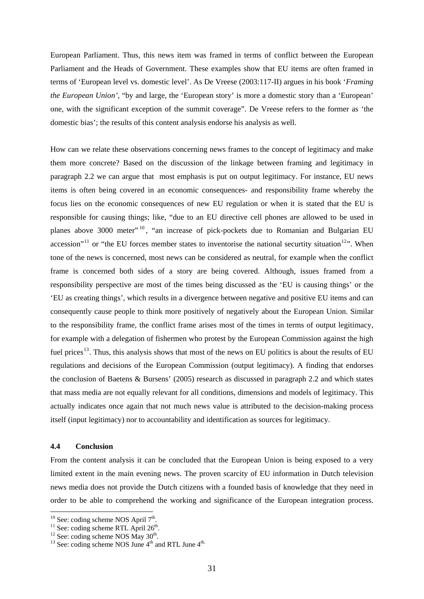European Parliament. Thus, this news item was framed in terms of conflict between the European Parliament and the Heads of Government. These examples show that EU items are often framed in terms of 'European level vs. domestic level'. As De Vreese (2003:117-II) argues in his book '*Framing the European Union'*, "by and large, the 'European story' is more a domestic story than a 'European' one, with the significant exception of the summit coverage". De Vreese refers to the former as 'the domestic bias'; the results of this content analysis endorse his analysis as well.

How can we relate these observations concerning news frames to the concept of legitimacy and make them more concrete? Based on the discussion of the linkage between framing and legitimacy in paragraph 2.2 we can argue that most emphasis is put on output legitimacy. For instance, EU news items is often being covered in an economic consequences- and responsibility frame whereby the focus lies on the economic consequences of new EU regulation or when it is stated that the EU is responsible for causing things; like, "due to an EU directive cell phones are allowed to be used in planes above 3000 meter"<sup>[10](#page-30-0)</sup>, "an increase of pick-pockets due to Romanian and Bulgarian EU accession"<sup>[11](#page-30-1)</sup> or "the EU forces member states to inventorise the national securtity situation<sup>[12](#page-30-2)</sup>". When tone of the news is concerned, most news can be considered as neutral, for example when the conflict frame is concerned both sides of a story are being covered. Although, issues framed from a responsibility perspective are most of the times being discussed as the 'EU is causing things' or the 'EU as creating things', which results in a divergence between negative and positive EU items and can consequently cause people to think more positively of negatively about the European Union. Similar to the responsibility frame, the conflict frame arises most of the times in terms of output legitimacy, for example with a delegation of fishermen who protest by the European Commission against the high fuel prices<sup>[13](#page-30-3)</sup>. Thus, this analysis shows that most of the news on EU politics is about the results of EU regulations and decisions of the European Commission (output legitimacy). A finding that endorses the conclusion of Baetens & Bursens' (2005) research as discussed in paragraph 2.2 and which states that mass media are not equally relevant for all conditions, dimensions and models of legitimacy. This actually indicates once again that not much news value is attributed to the decision-making process itself (input legitimacy) nor to accountability and identification as sources for legitimacy.

# **4.4 Conclusion**

From the content analysis it can be concluded that the European Union is being exposed to a very limited extent in the main evening news. The proven scarcity of EU information in Dutch television news media does not provide the Dutch citizens with a founded basis of knowledge that they need in order to be able to comprehend the working and significance of the European integration process.

<span id="page-30-0"></span> $10$  See: coding scheme NOS April  $7<sup>th</sup>$ .

<span id="page-30-3"></span><span id="page-30-2"></span>

<span id="page-30-1"></span><sup>&</sup>lt;sup>11</sup> See: coding scheme RTL April 7.<br><sup>12</sup> See: coding scheme NOS May 30<sup>th</sup>.<br><sup>13</sup> See: coding scheme NOS June 4<sup>th</sup> and RTL June 4<sup>th.</sup>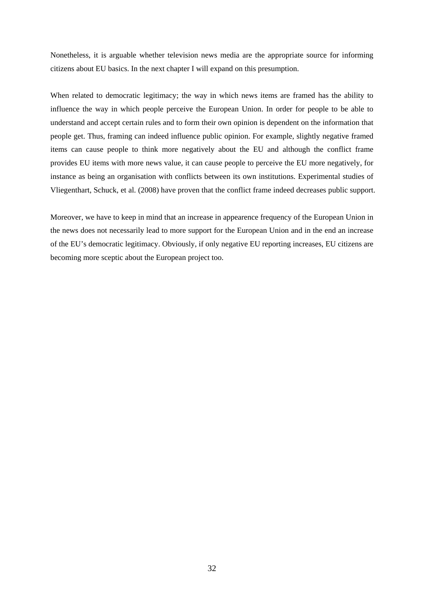Nonetheless, it is arguable whether television news media are the appropriate source for informing citizens about EU basics. In the next chapter I will expand on this presumption.

When related to democratic legitimacy; the way in which news items are framed has the ability to influence the way in which people perceive the European Union. In order for people to be able to understand and accept certain rules and to form their own opinion is dependent on the information that people get. Thus, framing can indeed influence public opinion. For example, slightly negative framed items can cause people to think more negatively about the EU and although the conflict frame provides EU items with more news value, it can cause people to perceive the EU more negatively, for instance as being an organisation with conflicts between its own institutions. Experimental studies of Vliegenthart, Schuck, et al. (2008) have proven that the conflict frame indeed decreases public support.

Moreover, we have to keep in mind that an increase in appearence frequency of the European Union in the news does not necessarily lead to more support for the European Union and in the end an increase of the EU's democratic legitimacy. Obviously, if only negative EU reporting increases, EU citizens are becoming more sceptic about the European project too.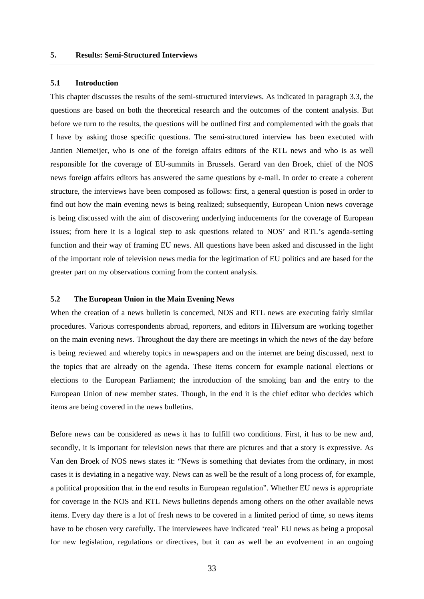# **5.1 Introduction**

This chapter discusses the results of the semi-structured interviews. As indicated in paragraph 3.3, the questions are based on both the theoretical research and the outcomes of the content analysis. But before we turn to the results, the questions will be outlined first and complemented with the goals that I have by asking those specific questions. The semi-structured interview has been executed with Jantien Niemeijer, who is one of the foreign affairs editors of the RTL news and who is as well responsible for the coverage of EU-summits in Brussels. Gerard van den Broek, chief of the NOS news foreign affairs editors has answered the same questions by e-mail. In order to create a coherent structure, the interviews have been composed as follows: first, a general question is posed in order to find out how the main evening news is being realized; subsequently, European Union news coverage is being discussed with the aim of discovering underlying inducements for the coverage of European issues; from here it is a logical step to ask questions related to NOS' and RTL's agenda-setting function and their way of framing EU news. All questions have been asked and discussed in the light of the important role of television news media for the legitimation of EU politics and are based for the greater part on my observations coming from the content analysis.

# **5.2 The European Union in the Main Evening News**

When the creation of a news bulletin is concerned, NOS and RTL news are executing fairly similar procedures. Various correspondents abroad, reporters, and editors in Hilversum are working together on the main evening news. Throughout the day there are meetings in which the news of the day before is being reviewed and whereby topics in newspapers and on the internet are being discussed, next to the topics that are already on the agenda. These items concern for example national elections or elections to the European Parliament; the introduction of the smoking ban and the entry to the European Union of new member states. Though, in the end it is the chief editor who decides which items are being covered in the news bulletins.

Before news can be considered as news it has to fulfill two conditions. First, it has to be new and, secondly, it is important for television news that there are pictures and that a story is expressive. As Van den Broek of NOS news states it: "News is something that deviates from the ordinary, in most cases it is deviating in a negative way. News can as well be the result of a long process of, for example, a political proposition that in the end results in European regulation". Whether EU news is appropriate for coverage in the NOS and RTL News bulletins depends among others on the other available news items. Every day there is a lot of fresh news to be covered in a limited period of time, so news items have to be chosen very carefully. The interviewees have indicated 'real' EU news as being a proposal for new legislation, regulations or directives, but it can as well be an evolvement in an ongoing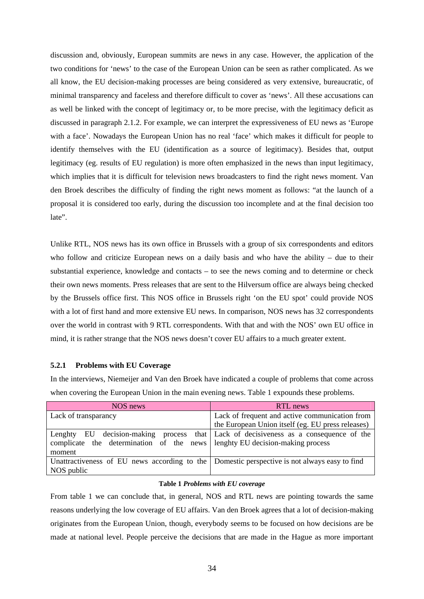discussion and, obviously, European summits are news in any case. However, the application of the two conditions for 'news' to the case of the European Union can be seen as rather complicated. As we all know, the EU decision-making processes are being considered as very extensive, bureaucratic, of minimal transparency and faceless and therefore difficult to cover as 'news'. All these accusations can as well be linked with the concept of legitimacy or, to be more precise, with the legitimacy deficit as discussed in paragraph 2.1.2. For example, we can interpret the expressiveness of EU news as 'Europe with a face'. Nowadays the European Union has no real 'face' which makes it difficult for people to identify themselves with the EU (identification as a source of legitimacy). Besides that, output legitimacy (eg. results of EU regulation) is more often emphasized in the news than input legitimacy, which implies that it is difficult for television news broadcasters to find the right news moment. Van den Broek describes the difficulty of finding the right news moment as follows: "at the launch of a proposal it is considered too early, during the discussion too incomplete and at the final decision too late".

Unlike RTL, NOS news has its own office in Brussels with a group of six correspondents and editors who follow and criticize European news on a daily basis and who have the ability – due to their substantial experience, knowledge and contacts – to see the news coming and to determine or check their own news moments. Press releases that are sent to the Hilversum office are always being checked by the Brussels office first. This NOS office in Brussels right 'on the EU spot' could provide NOS with a lot of first hand and more extensive EU news. In comparison, NOS news has 32 correspondents over the world in contrast with 9 RTL correspondents. With that and with the NOS' own EU office in mind, it is rather strange that the NOS news doesn't cover EU affairs to a much greater extent.

# **5.2.1 Problems with EU Coverage**

In the interviews, Niemeijer and Van den Broek have indicated a couple of problems that come across when covering the European Union in the main evening news. Table 1 expounds these problems.

| NOS news                                                                                     | RTL news                                                  |
|----------------------------------------------------------------------------------------------|-----------------------------------------------------------|
| Lack of transparancy                                                                         | Lack of frequent and active communication from            |
|                                                                                              | the European Union itself (eg. EU press releases)         |
| EU decision-making<br>Lenghty                                                                | process that Lack of decisiveness as a consequence of the |
| complicate the determination of the news lengthy EU decision-making process                  |                                                           |
| moment                                                                                       |                                                           |
| Unattractiveness of EU news according to the Domestic perspective is not always easy to find |                                                           |
| NOS public                                                                                   |                                                           |

# **Table 1** *Problems with EU coverage*

From table 1 we can conclude that, in general, NOS and RTL news are pointing towards the same reasons underlying the low coverage of EU affairs. Van den Broek agrees that a lot of decision-making originates from the European Union, though, everybody seems to be focused on how decisions are be made at national level. People perceive the decisions that are made in the Hague as more important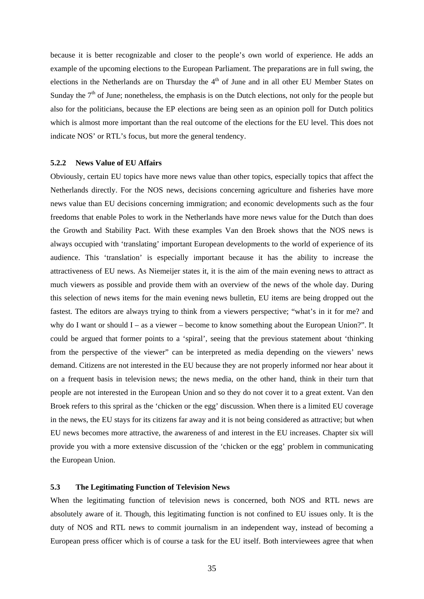because it is better recognizable and closer to the people's own world of experience. He adds an example of the upcoming elections to the European Parliament. The preparations are in full swing, the elections in the Netherlands are on Thursday the  $4<sup>th</sup>$  of June and in all other EU Member States on Sunday the  $7<sup>th</sup>$  of June; nonetheless, the emphasis is on the Dutch elections, not only for the people but also for the politicians, because the EP elections are being seen as an opinion poll for Dutch politics which is almost more important than the real outcome of the elections for the EU level. This does not indicate NOS' or RTL's focus, but more the general tendency.

# **5.2.2 News Value of EU Affairs**

Obviously, certain EU topics have more news value than other topics, especially topics that affect the Netherlands directly. For the NOS news, decisions concerning agriculture and fisheries have more news value than EU decisions concerning immigration; and economic developments such as the four freedoms that enable Poles to work in the Netherlands have more news value for the Dutch than does the Growth and Stability Pact. With these examples Van den Broek shows that the NOS news is always occupied with 'translating' important European developments to the world of experience of its audience. This 'translation' is especially important because it has the ability to increase the attractiveness of EU news. As Niemeijer states it, it is the aim of the main evening news to attract as much viewers as possible and provide them with an overview of the news of the whole day. During this selection of news items for the main evening news bulletin, EU items are being dropped out the fastest. The editors are always trying to think from a viewers perspective; "what's in it for me? and why do I want or should I – as a viewer – become to know something about the European Union?". It could be argued that former points to a 'spiral', seeing that the previous statement about 'thinking from the perspective of the viewer" can be interpreted as media depending on the viewers' news demand. Citizens are not interested in the EU because they are not properly informed nor hear about it on a frequent basis in television news; the news media, on the other hand, think in their turn that people are not interested in the European Union and so they do not cover it to a great extent. Van den Broek refers to this spriral as the 'chicken or the egg' discussion. When there is a limited EU coverage in the news, the EU stays for its citizens far away and it is not being considered as attractive; but when EU news becomes more attractive, the awareness of and interest in the EU increases. Chapter six will provide you with a more extensive discussion of the 'chicken or the egg' problem in communicating the European Union.

# **5.3 The Legitimating Function of Television News**

When the legitimating function of television news is concerned, both NOS and RTL news are absolutely aware of it. Though, this legitimating function is not confined to EU issues only. It is the duty of NOS and RTL news to commit journalism in an independent way, instead of becoming a European press officer which is of course a task for the EU itself. Both interviewees agree that when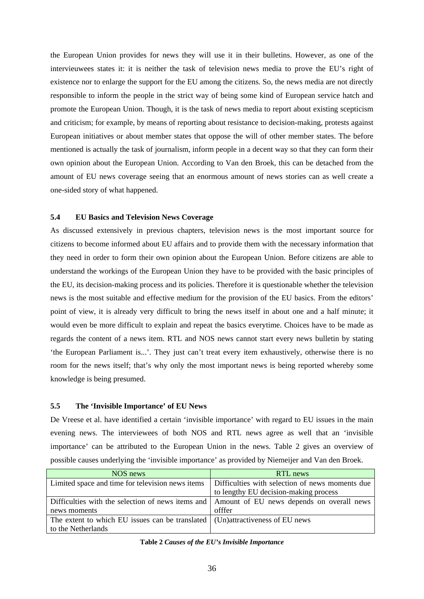the European Union provides for news they will use it in their bulletins. However, as one of the intervieuwees states it: it is neither the task of television news media to prove the EU's right of existence nor to enlarge the support for the EU among the citizens. So, the news media are not directly responsible to inform the people in the strict way of being some kind of European service hatch and promote the European Union. Though, it is the task of news media to report about existing scepticism and criticism; for example, by means of reporting about resistance to decision-making, protests against European initiatives or about member states that oppose the will of other member states. The before mentioned is actually the task of journalism, inform people in a decent way so that they can form their own opinion about the European Union. According to Van den Broek, this can be detached from the amount of EU news coverage seeing that an enormous amount of news stories can as well create a one-sided story of what happened.

# **5.4 EU Basics and Television News Coverage**

As discussed extensively in previous chapters, television news is the most important source for citizens to become informed about EU affairs and to provide them with the necessary information that they need in order to form their own opinion about the European Union. Before citizens are able to understand the workings of the European Union they have to be provided with the basic principles of the EU, its decision-making process and its policies. Therefore it is questionable whether the television news is the most suitable and effective medium for the provision of the EU basics. From the editors' point of view, it is already very difficult to bring the news itself in about one and a half minute; it would even be more difficult to explain and repeat the basics everytime. Choices have to be made as regards the content of a news item. RTL and NOS news cannot start every news bulletin by stating 'the European Parliament is...'. They just can't treat every item exhaustively, otherwise there is no room for the news itself; that's why only the most important news is being reported whereby some knowledge is being presumed.

# **5.5 The 'Invisible Importance' of EU News**

De Vreese et al. have identified a certain 'invisible importance' with regard to EU issues in the main evening news. The interviewees of both NOS and RTL news agree as well that an 'invisible importance' can be attributed to the European Union in the news. Table 2 gives an overview of possible causes underlying the 'invisible importance' as provided by Niemeijer and Van den Broek.

| NOS news                                                                                    | RTL news                                        |
|---------------------------------------------------------------------------------------------|-------------------------------------------------|
| Limited space and time for television news items                                            | Difficulties with selection of news moments due |
|                                                                                             | to lengthy EU decision-making process           |
| Difficulties with the selection of news items and Amount of EU news depends on overall news |                                                 |
| news moments                                                                                | offfer                                          |
| The extent to which EU issues can be translated $\mid$ (Un)attractiveness of EU news        |                                                 |
| to the Netherlands                                                                          |                                                 |

# **Table 2** *Causes of the EU's Invisible Importance*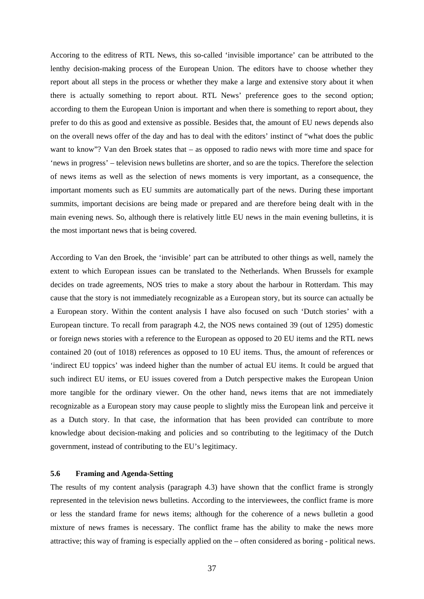Accoring to the editress of RTL News, this so-called 'invisible importance' can be attributed to the lenthy decision-making process of the European Union. The editors have to choose whether they report about all steps in the process or whether they make a large and extensive story about it when there is actually something to report about. RTL News' preference goes to the second option; according to them the European Union is important and when there is something to report about, they prefer to do this as good and extensive as possible. Besides that, the amount of EU news depends also on the overall news offer of the day and has to deal with the editors' instinct of "what does the public want to know"? Van den Broek states that – as opposed to radio news with more time and space for 'news in progress' – television news bulletins are shorter, and so are the topics. Therefore the selection of news items as well as the selection of news moments is very important, as a consequence, the important moments such as EU summits are automatically part of the news. During these important summits, important decisions are being made or prepared and are therefore being dealt with in the main evening news. So, although there is relatively little EU news in the main evening bulletins, it is the most important news that is being covered.

According to Van den Broek, the 'invisible' part can be attributed to other things as well, namely the extent to which European issues can be translated to the Netherlands. When Brussels for example decides on trade agreements, NOS tries to make a story about the harbour in Rotterdam. This may cause that the story is not immediately recognizable as a European story, but its source can actually be a European story. Within the content analysis I have also focused on such 'Dutch stories' with a European tincture. To recall from paragraph 4.2, the NOS news contained 39 (out of 1295) domestic or foreign news stories with a reference to the European as opposed to 20 EU items and the RTL news contained 20 (out of 1018) references as opposed to 10 EU items. Thus, the amount of references or 'indirect EU toppics' was indeed higher than the number of actual EU items. It could be argued that such indirect EU items, or EU issues covered from a Dutch perspective makes the European Union more tangible for the ordinary viewer. On the other hand, news items that are not immediately recognizable as a European story may cause people to slightly miss the European link and perceive it as a Dutch story. In that case, the information that has been provided can contribute to more knowledge about decision-making and policies and so contributing to the legitimacy of the Dutch government, instead of contributing to the EU's legitimacy.

## **5.6 Framing and Agenda-Setting**

The results of my content analysis (paragraph 4.3) have shown that the conflict frame is strongly represented in the television news bulletins. According to the interviewees, the conflict frame is more or less the standard frame for news items; although for the coherence of a news bulletin a good mixture of news frames is necessary. The conflict frame has the ability to make the news more attractive; this way of framing is especially applied on the – often considered as boring - political news.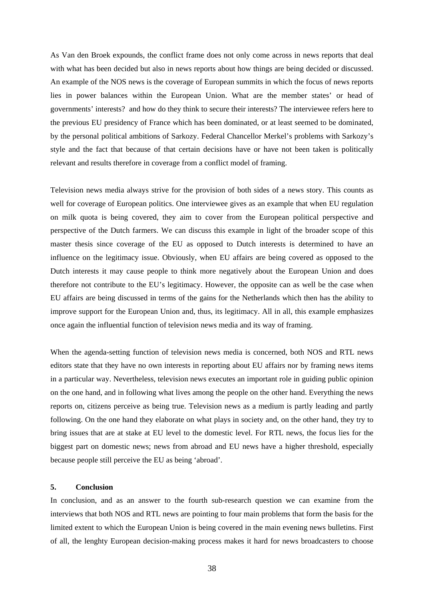As Van den Broek expounds, the conflict frame does not only come across in news reports that deal with what has been decided but also in news reports about how things are being decided or discussed. An example of the NOS news is the coverage of European summits in which the focus of news reports lies in power balances within the European Union. What are the member states' or head of governments' interests? and how do they think to secure their interests? The interviewee refers here to the previous EU presidency of France which has been dominated, or at least seemed to be dominated, by the personal political ambitions of Sarkozy. Federal Chancellor Merkel's problems with Sarkozy's style and the fact that because of that certain decisions have or have not been taken is politically relevant and results therefore in coverage from a conflict model of framing.

Television news media always strive for the provision of both sides of a news story. This counts as well for coverage of European politics. One interviewee gives as an example that when EU regulation on milk quota is being covered, they aim to cover from the European political perspective and perspective of the Dutch farmers. We can discuss this example in light of the broader scope of this master thesis since coverage of the EU as opposed to Dutch interests is determined to have an influence on the legitimacy issue. Obviously, when EU affairs are being covered as opposed to the Dutch interests it may cause people to think more negatively about the European Union and does therefore not contribute to the EU's legitimacy. However, the opposite can as well be the case when EU affairs are being discussed in terms of the gains for the Netherlands which then has the ability to improve support for the European Union and, thus, its legitimacy. All in all, this example emphasizes once again the influential function of television news media and its way of framing.

When the agenda-setting function of television news media is concerned, both NOS and RTL news editors state that they have no own interests in reporting about EU affairs nor by framing news items in a particular way. Nevertheless, television news executes an important role in guiding public opinion on the one hand, and in following what lives among the people on the other hand. Everything the news reports on, citizens perceive as being true. Television news as a medium is partly leading and partly following. On the one hand they elaborate on what plays in society and, on the other hand, they try to bring issues that are at stake at EU level to the domestic level. For RTL news, the focus lies for the biggest part on domestic news; news from abroad and EU news have a higher threshold, especially because people still perceive the EU as being 'abroad'.

## **5. Conclusion**

In conclusion, and as an answer to the fourth sub-research question we can examine from the interviews that both NOS and RTL news are pointing to four main problems that form the basis for the limited extent to which the European Union is being covered in the main evening news bulletins. First of all, the lenghty European decision-making process makes it hard for news broadcasters to choose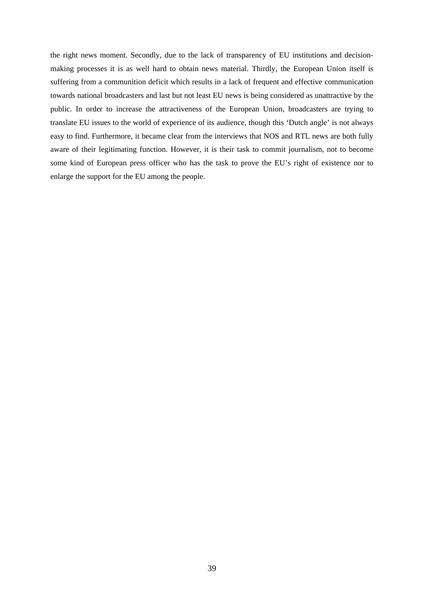the right news moment. Secondly, due to the lack of transparency of EU institutions and decisionmaking processes it is as well hard to obtain news material. Thirdly, the European Union itself is suffering from a communition deficit which results in a lack of frequent and effective communication towards national broadcasters and last but not least EU news is being considered as unattractive by the public. In order to increase the attractiveness of the European Union, broadcasters are trying to translate EU issues to the world of experience of its audience, though this 'Dutch angle' is not always easy to find. Furthermore, it became clear from the interviews that NOS and RTL news are both fully aware of their legitimating function. However, it is their task to commit journalism, not to become some kind of European press officer who has the task to prove the EU's right of existence nor to enlarge the support for the EU among the people.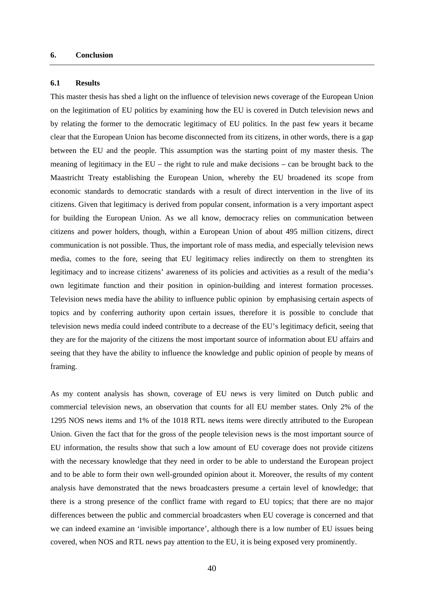## **6. Conclusion**

#### **6.1 Results**

This master thesis has shed a light on the influence of television news coverage of the European Union on the legitimation of EU politics by examining how the EU is covered in Dutch television news and by relating the former to the democratic legitimacy of EU politics. In the past few years it became clear that the European Union has become disconnected from its citizens, in other words, there is a gap between the EU and the people. This assumption was the starting point of my master thesis. The meaning of legitimacy in the EU – the right to rule and make decisions – can be brought back to the Maastricht Treaty establishing the European Union, whereby the EU broadened its scope from economic standards to democratic standards with a result of direct intervention in the live of its citizens. Given that legitimacy is derived from popular consent, information is a very important aspect for building the European Union. As we all know, democracy relies on communication between citizens and power holders, though, within a European Union of about 495 million citizens, direct communication is not possible. Thus, the important role of mass media, and especially television news media, comes to the fore, seeing that EU legitimacy relies indirectly on them to strenghten its legitimacy and to increase citizens' awareness of its policies and activities as a result of the media's own legitimate function and their position in opinion-building and interest formation processes. Television news media have the ability to influence public opinion by emphasising certain aspects of topics and by conferring authority upon certain issues, therefore it is possible to conclude that television news media could indeed contribute to a decrease of the EU's legitimacy deficit, seeing that they are for the majority of the citizens the most important source of information about EU affairs and seeing that they have the ability to influence the knowledge and public opinion of people by means of framing.

As my content analysis has shown, coverage of EU news is very limited on Dutch public and commercial television news, an observation that counts for all EU member states. Only 2% of the 1295 NOS news items and 1% of the 1018 RTL news items were directly attributed to the European Union. Given the fact that for the gross of the people television news is the most important source of EU information, the results show that such a low amount of EU coverage does not provide citizens with the necessary knowledge that they need in order to be able to understand the European project and to be able to form their own well-grounded opinion about it. Moreover, the results of my content analysis have demonstrated that the news broadcasters presume a certain level of knowledge; that there is a strong presence of the conflict frame with regard to EU topics; that there are no major differences between the public and commercial broadcasters when EU coverage is concerned and that we can indeed examine an 'invisible importance', although there is a low number of EU issues being covered, when NOS and RTL news pay attention to the EU, it is being exposed very prominently.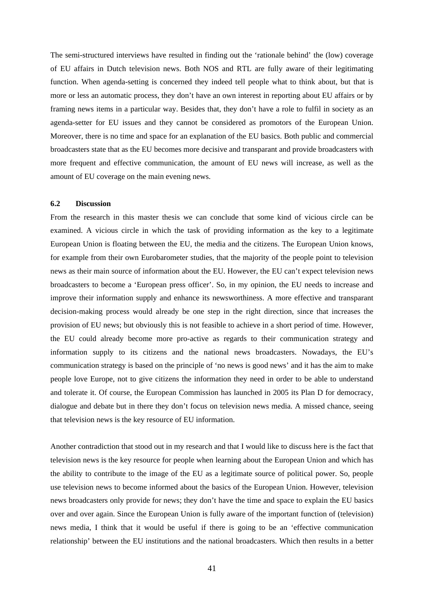The semi-structured interviews have resulted in finding out the 'rationale behind' the (low) coverage of EU affairs in Dutch television news. Both NOS and RTL are fully aware of their legitimating function. When agenda-setting is concerned they indeed tell people what to think about, but that is more or less an automatic process, they don't have an own interest in reporting about EU affairs or by framing news items in a particular way. Besides that, they don't have a role to fulfil in society as an agenda-setter for EU issues and they cannot be considered as promotors of the European Union. Moreover, there is no time and space for an explanation of the EU basics. Both public and commercial broadcasters state that as the EU becomes more decisive and transparant and provide broadcasters with more frequent and effective communication, the amount of EU news will increase, as well as the amount of EU coverage on the main evening news.

#### **6.2 Discussion**

From the research in this master thesis we can conclude that some kind of vicious circle can be examined. A vicious circle in which the task of providing information as the key to a legitimate European Union is floating between the EU, the media and the citizens. The European Union knows, for example from their own Eurobarometer studies, that the majority of the people point to television news as their main source of information about the EU. However, the EU can't expect television news broadcasters to become a 'European press officer'. So, in my opinion, the EU needs to increase and improve their information supply and enhance its newsworthiness. A more effective and transparant decision-making process would already be one step in the right direction, since that increases the provision of EU news; but obviously this is not feasible to achieve in a short period of time. However, the EU could already become more pro-active as regards to their communication strategy and information supply to its citizens and the national news broadcasters. Nowadays, the EU's communication strategy is based on the principle of 'no news is good news' and it has the aim to make people love Europe, not to give citizens the information they need in order to be able to understand and tolerate it. Of course, the European Commission has launched in 2005 its Plan D for democracy, dialogue and debate but in there they don't focus on television news media. A missed chance, seeing that television news is the key resource of EU information.

Another contradiction that stood out in my research and that I would like to discuss here is the fact that television news is the key resource for people when learning about the European Union and which has the ability to contribute to the image of the EU as a legitimate source of political power. So, people use television news to become informed about the basics of the European Union. However, television news broadcasters only provide for news; they don't have the time and space to explain the EU basics over and over again. Since the European Union is fully aware of the important function of (television) news media, I think that it would be useful if there is going to be an 'effective communication relationship' between the EU institutions and the national broadcasters. Which then results in a better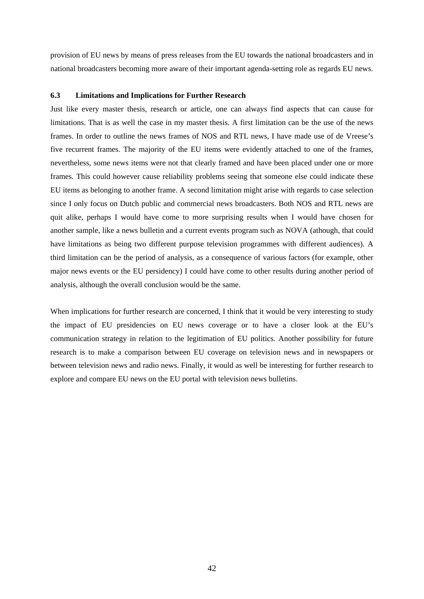provision of EU news by means of press releases from the EU towards the national broadcasters and in national broadcasters becoming more aware of their important agenda-setting role as regards EU news.

#### **6.3 Limitations and Implications for Further Research**

Just like every master thesis, research or article, one can always find aspects that can cause for limitations. That is as well the case in my master thesis. A first limitation can be the use of the news frames. In order to outline the news frames of NOS and RTL news, I have made use of de Vreese's five recurrent frames. The majority of the EU items were evidently attached to one of the frames, nevertheless, some news items were not that clearly framed and have been placed under one or more frames. This could however cause reliability problems seeing that someone else could indicate these EU items as belonging to another frame. A second limitation might arise with regards to case selection since I only focus on Dutch public and commercial news broadcasters. Both NOS and RTL news are quit alike, perhaps I would have come to more surprising results when I would have chosen for another sample, like a news bulletin and a current events program such as NOVA (athough, that could have limitations as being two different purpose television programmes with different audiences). A third limitation can be the period of analysis, as a consequence of various factors (for example, other major news events or the EU persidency) I could have come to other results during another period of analysis, although the overall conclusion would be the same.

When implications for further research are concerned, I think that it would be very interesting to study the impact of EU presidencies on EU news coverage or to have a closer look at the EU's communication strategy in relation to the legitimation of EU politics. Another possibility for future research is to make a comparison between EU coverage on television news and in newspapers or between television news and radio news. Finally, it would as well be interesting for further research to explore and compare EU news on the EU portal with television news bulletins.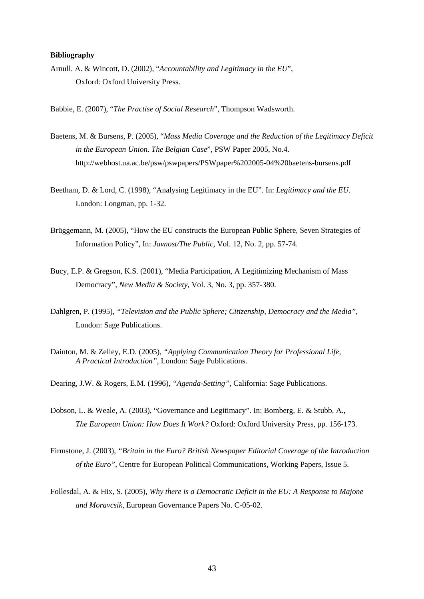## **Bibliography**

Arnull. A. & Wincott, D. (2002), "*Accountability and Legitimacy in the EU*", Oxford: Oxford University Press.

Babbie, E. (2007), "*The Practise of Social Research*", Thompson Wadsworth.

- Baetens, M. & Bursens, P. (2005), "*Mass Media Coverage and the Reduction of the Legitimacy Deficit in the European Union. The Belgian Case*", PSW Paper 2005, No.4. http://webhost.ua.ac.be/psw/pswpapers/PSWpaper%202005-04%20baetens-bursens.pdf
- Beetham, D. & Lord, C. (1998), "Analysing Legitimacy in the EU". In: *Legitimacy and the EU*. London: Longman, pp. 1-32.
- Brüggemann, M. (2005), "How the EU constructs the European Public Sphere, Seven Strategies of Information Policy", In: *Javnost/The Public*, Vol. 12, No. 2, pp. 57-74.
- Bucy, E.P. & Gregson, K.S. (2001), "Media Participation, A Legitimizing Mechanism of Mass Democracy", *New Media & Society*, Vol. 3, No. 3, pp. 357-380.
- Dahlgren, P. (1995), *"Television and the Public Sphere; Citizenship, Democracy and the Media"*, London: Sage Publications.
- Dainton, M. & Zelley, E.D. (2005), *"Applying Communication Theory for Professional Life, A Practical Introduction"*, London: Sage Publications.
- Dearing, J.W. & Rogers, E.M. (1996), *"Agenda-Setting"*, California: Sage Publications.
- Dobson, L. & Weale, A. (2003), "Governance and Legitimacy". In: Bomberg, E. & Stubb, A., *The European Union: How Does It Work?* Oxford: Oxford University Press, pp. 156-173.
- Firmstone, J. (2003), *"Britain in the Euro? British Newspaper Editorial Coverage of the Introduction of the Euro"*, Centre for European Political Communications, Working Papers, Issue 5.
- Follesdal, A. & Hix, S. (2005), *Why there is a Democratic Deficit in the EU: A Response to Majone and Moravcsik*, European Governance Papers No. C-05-02.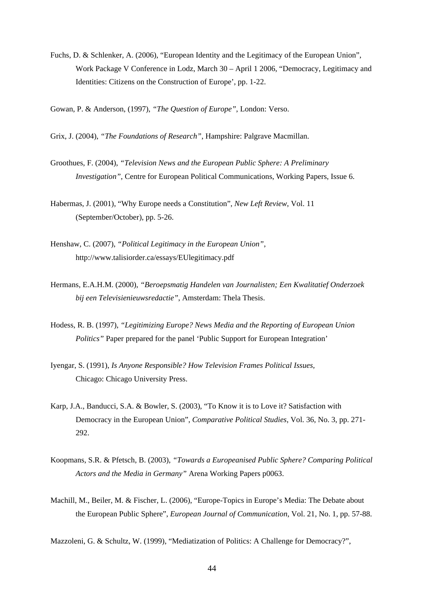Fuchs, D. & Schlenker, A. (2006), "European Identity and the Legitimacy of the European Union", Work Package V Conference in Lodz, March 30 – April 1 2006, "Democracy, Legitimacy and Identities: Citizens on the Construction of Europe', pp. 1-22.

Gowan, P. & Anderson, (1997), *"The Question of Europe"*, London: Verso.

Grix, J. (2004), *"The Foundations of Research"*, Hampshire: Palgrave Macmillan.

- Groothues, F. (2004), *"Television News and the European Public Sphere: A Preliminary Investigation"*, Centre for European Political Communications, Working Papers, Issue 6.
- Habermas, J. (2001), "Why Europe needs a Constitution", *New Left Review*, Vol. 11 (September/October), pp. 5-26.
- Henshaw, C. (2007), *"Political Legitimacy in the European Union"*, http://www.talisiorder.ca/essays/EUlegitimacy.pdf
- Hermans, E.A.H.M. (2000), *"Beroepsmatig Handelen van Journalisten; Een Kwalitatief Onderzoek bij een Televisienieuwsredactie"*, Amsterdam: Thela Thesis.
- Hodess, R. B. (1997), *"Legitimizing Europe? News Media and the Reporting of European Union Politics*" Paper prepared for the panel 'Public Support for European Integration'
- Iyengar, S. (1991), *Is Anyone Responsible? How Television Frames Political Issues,*  Chicago: Chicago University Press.
- Karp, J.A., Banducci, S.A. & Bowler, S. (2003), "To Know it is to Love it? Satisfaction with Democracy in the European Union", *Comparative Political Studies*, Vol. 36, No. 3, pp. 271- 292.
- Koopmans, S.R. & Pfetsch, B. (2003), *"Towards a Europeanised Public Sphere? Comparing Political Actors and the Media in Germany"* Arena Working Papers p0063.
- Machill, M., Beiler, M. & Fischer, L. (2006), "Europe-Topics in Europe's Media: The Debate about the European Public Sphere", *European Journal of Communication*, Vol. 21, No. 1, pp. 57-88.

Mazzoleni, G. & Schultz, W. (1999), "Mediatization of Politics: A Challenge for Democracy?",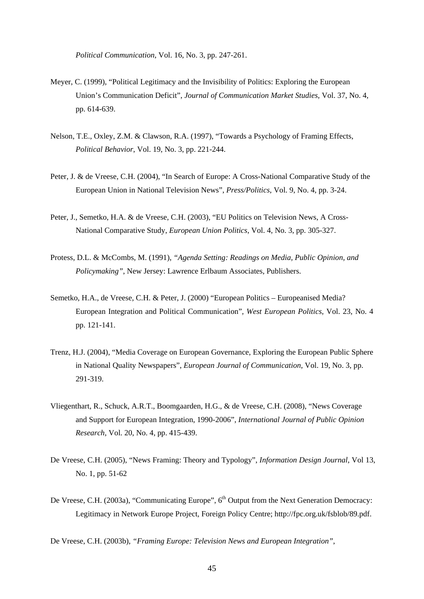*Political Communication*, Vol. 16, No. 3, pp. 247-261.

- Meyer, C. (1999), "Political Legitimacy and the Invisibility of Politics: Exploring the European Union's Communication Deficit", *Journal of Communication Market Studies*, Vol. 37, No. 4, pp. 614-639.
- Nelson, T.E., Oxley, Z.M. & Clawson, R.A. (1997), "Towards a Psychology of Framing Effects, *Political Behavior*, Vol. 19, No. 3, pp. 221-244.
- Peter, J. & de Vreese, C.H. (2004), "In Search of Europe: A Cross-National Comparative Study of the European Union in National Television News", *Press/Politics*, Vol. 9, No. 4, pp. 3-24.
- Peter, J., Semetko, H.A. & de Vreese, C.H. (2003), "EU Politics on Television News, A Cross-National Comparative Study, *European Union Politics*, Vol. 4, No. 3, pp. 305-327.
- Protess, D.L. & McCombs, M. (1991), *"Agenda Setting: Readings on Media, Public Opinion, and Policymaking"*, New Jersey: Lawrence Erlbaum Associates, Publishers.
- Semetko, H.A., de Vreese, C.H. & Peter, J. (2000) "European Politics Europeanised Media? European Integration and Political Communication"*, West European Politics*, Vol. 23, No. 4 pp. 121-141.
- Trenz, H.J. (2004), "Media Coverage on European Governance, Exploring the European Public Sphere in National Quality Newspapers", *European Journal of Communication*, Vol. 19, No. 3, pp. 291-319.
- Vliegenthart, R., Schuck, A.R.T., Boomgaarden, H.G., & de Vreese, C.H. (2008), "News Coverage and Support for European Integration, 1990-2006", *International Journal of Public Opinion Research*, Vol. 20, No. 4, pp. 415-439.
- De Vreese, C.H. (2005), "News Framing: Theory and Typology", *Information Design Journal*, Vol 13, No. 1, pp. 51-62
- De Vreese, C.H. (2003a), "Communicating Europe", 6<sup>th</sup> Output from the Next Generation Democracy: Legitimacy in Network Europe Project, Foreign Policy Centre; http://fpc.org.uk/fsblob/89.pdf.

De Vreese, C.H. (2003b), *"Framing Europe: Television News and European Integration"*,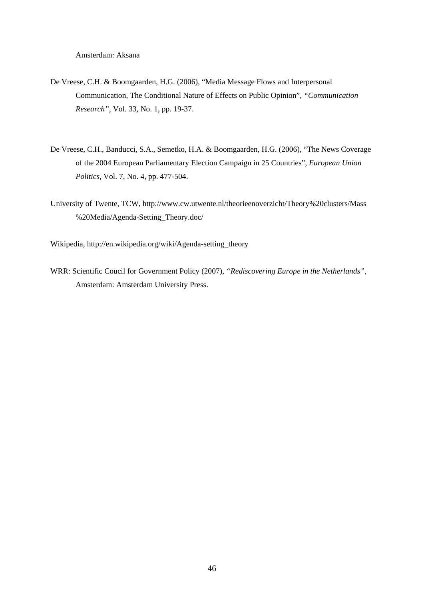Amsterdam: Aksana

- De Vreese, C.H. & Boomgaarden, H.G. (2006), "Media Message Flows and Interpersonal Communication, The Conditional Nature of Effects on Public Opinion", *"Communication Research"*, Vol. 33, No. 1, pp. 19-37.
- De Vreese, C.H., Banducci, S.A., Semetko, H.A. & Boomgaarden, H.G. (2006), "The News Coverage of the 2004 European Parliamentary Election Campaign in 25 Countries", *European Union Politics*, Vol. 7, No. 4, pp. 477-504.
- University of Twente, TCW, http://www.cw.utwente.nl/theorieenoverzicht/Theory%20clusters/Mass %20Media/Agenda-Setting\_Theory.doc/

Wikipedia, http://en.wikipedia.org/wiki/Agenda-setting\_theory

WRR: Scientific Coucil for Government Policy (2007), *"Rediscovering Europe in the Netherlands"*, Amsterdam: Amsterdam University Press.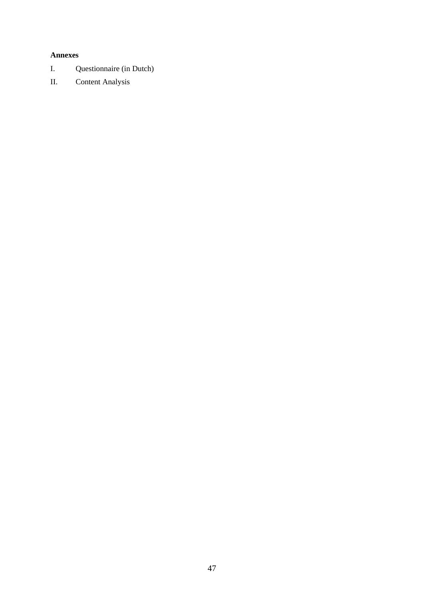# **Annexes**

- I. Questionnaire (in Dutch)
- II. Content Analysis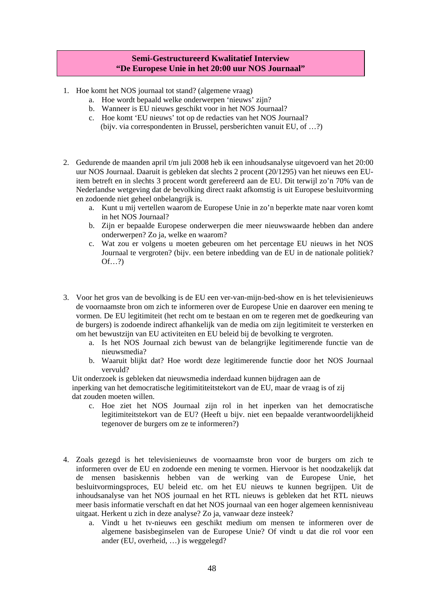# **Semi-Gestructureerd Kwalitatief Interview "De Europese Unie in het 20:00 uur NOS Journaal"**

- 1. Hoe komt het NOS journaal tot stand? (algemene vraag)
	- a. Hoe wordt bepaald welke onderwerpen 'nieuws' zijn?
	- b. Wanneer is EU nieuws geschikt voor in het NOS Journaal?
	- c. Hoe komt 'EU nieuws' tot op de redacties van het NOS Journaal? (bijv. via correspondenten in Brussel, persberichten vanuit EU, of …?)
- 2. Gedurende de maanden april t/m juli 2008 heb ik een inhoudsanalyse uitgevoerd van het 20:00 uur NOS Journaal. Daaruit is gebleken dat slechts 2 procent (20/1295) van het nieuws een EUitem betreft en in slechts 3 procent wordt gerefereerd aan de EU. Dit terwijl zo'n 70% van de Nederlandse wetgeving dat de bevolking direct raakt afkomstig is uit Europese besluitvorming en zodoende niet geheel onbelangrijk is.
	- a. Kunt u mij vertellen waarom de Europese Unie in zo'n beperkte mate naar voren komt in het NOS Journaal?
	- b. Zijn er bepaalde Europese onderwerpen die meer nieuwswaarde hebben dan andere onderwerpen? Zo ja, welke en waarom?
	- c. Wat zou er volgens u moeten gebeuren om het percentage EU nieuws in het NOS Journaal te vergroten? (bijv. een betere inbedding van de EU in de nationale politiek?  $Of...?$
- 3. Voor het gros van de bevolking is de EU een ver-van-mijn-bed-show en is het televisienieuws de voornaamste bron om zich te informeren over de Europese Unie en daarover een mening te vormen. De EU legitimiteit (het recht om te bestaan en om te regeren met de goedkeuring van de burgers) is zodoende indirect afhankelijk van de media om zijn legitimiteit te versterken en om het bewustzijn van EU activiteiten en EU beleid bij de bevolking te vergroten.
	- a. Is het NOS Journaal zich bewust van de belangrijke legitimerende functie van de nieuwsmedia?
	- b. Waaruit blijkt dat? Hoe wordt deze legitimerende functie door het NOS Journaal vervuld?

 Uit onderzoek is gebleken dat nieuwsmedia inderdaad kunnen bijdragen aan de inperking van het democratische legitimititeitstekort van de EU, maar de vraag is of zij dat zouden moeten willen.

- c. Hoe ziet het NOS Journaal zijn rol in het inperken van het democratische legitimiteitstekort van de EU? (Heeft u bijv. niet een bepaalde verantwoordelijkheid tegenover de burgers om ze te informeren?)
- 4. Zoals gezegd is het televisienieuws de voornaamste bron voor de burgers om zich te informeren over de EU en zodoende een mening te vormen. Hiervoor is het noodzakelijk dat de mensen basiskennis hebben van de werking van de Europese Unie, het besluitvormingsproces, EU beleid etc. om het EU nieuws te kunnen begrijpen. Uit de inhoudsanalyse van het NOS journaal en het RTL nieuws is gebleken dat het RTL nieuws meer basis informatie verschaft en dat het NOS journaal van een hoger algemeen kennisniveau uitgaat. Herkent u zich in deze analyse? Zo ja, vanwaar deze insteek?
	- a. Vindt u het tv-nieuws een geschikt medium om mensen te informeren over de algemene basisbeginselen van de Europese Unie? Of vindt u dat die rol voor een ander (EU, overheid, …) is weggelegd?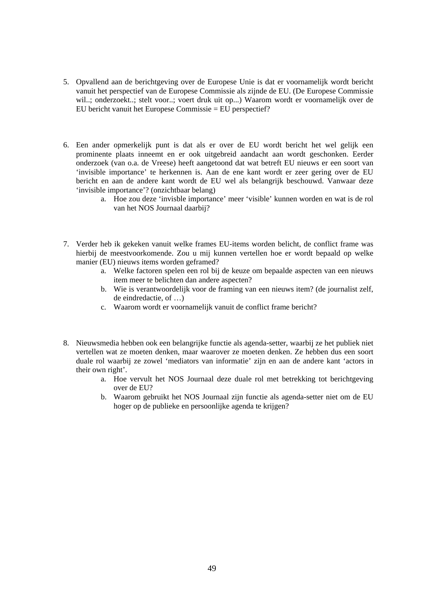- 5. Opvallend aan de berichtgeving over de Europese Unie is dat er voornamelijk wordt bericht vanuit het perspectief van de Europese Commissie als zijnde de EU. (De Europese Commissie wil..; onderzoekt..; stelt voor..; voert druk uit op...) Waarom wordt er voornamelijk over de EU bericht vanuit het Europese Commissie = EU perspectief?
- 6. Een ander opmerkelijk punt is dat als er over de EU wordt bericht het wel gelijk een prominente plaats inneemt en er ook uitgebreid aandacht aan wordt geschonken. Eerder onderzoek (van o.a. de Vreese) heeft aangetoond dat wat betreft EU nieuws er een soort van 'invisible importance' te herkennen is. Aan de ene kant wordt er zeer gering over de EU bericht en aan de andere kant wordt de EU wel als belangrijk beschouwd. Vanwaar deze 'invisible importance'? (onzichtbaar belang)
	- a. Hoe zou deze 'invisble importance' meer 'visible' kunnen worden en wat is de rol van het NOS Journaal daarbij?
- 7. Verder heb ik gekeken vanuit welke frames EU-items worden belicht, de conflict frame was hierbij de meestvoorkomende. Zou u mij kunnen vertellen hoe er wordt bepaald op welke manier (EU) nieuws items worden geframed?
	- a. Welke factoren spelen een rol bij de keuze om bepaalde aspecten van een nieuws item meer te belichten dan andere aspecten?
	- b. Wie is verantwoordelijk voor de framing van een nieuws item? (de journalist zelf, de eindredactie, of …)
	- c. Waarom wordt er voornamelijk vanuit de conflict frame bericht?
- 8. Nieuwsmedia hebben ook een belangrijke functie als agenda-setter, waarbij ze het publiek niet vertellen wat ze moeten denken, maar waarover ze moeten denken. Ze hebben dus een soort duale rol waarbij ze zowel 'mediators van informatie' zijn en aan de andere kant 'actors in their own right'.
	- a. Hoe vervult het NOS Journaal deze duale rol met betrekking tot berichtgeving over de EU?
	- b. Waarom gebruikt het NOS Journaal zijn functie als agenda-setter niet om de EU hoger op de publieke en persoonlijke agenda te krijgen?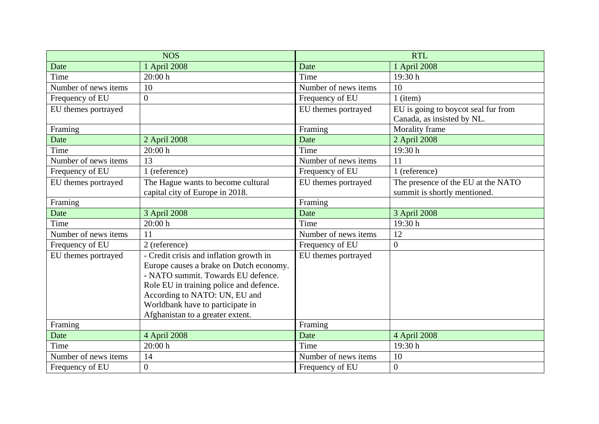| <b>NOS</b>           |                                                                                                                                                                                                                                                                              | <b>RTL</b>           |                                                                   |
|----------------------|------------------------------------------------------------------------------------------------------------------------------------------------------------------------------------------------------------------------------------------------------------------------------|----------------------|-------------------------------------------------------------------|
| Date                 | 1 April 2008                                                                                                                                                                                                                                                                 | Date                 | 1 April 2008                                                      |
| Time                 | 20:00 h                                                                                                                                                                                                                                                                      | Time                 | 19:30 h                                                           |
| Number of news items | 10                                                                                                                                                                                                                                                                           | Number of news items | 10                                                                |
| Frequency of EU      | $\Omega$                                                                                                                                                                                                                                                                     | Frequency of EU      | $1$ (item)                                                        |
| EU themes portrayed  |                                                                                                                                                                                                                                                                              | EU themes portrayed  | EU is going to boycot seal fur from<br>Canada, as insisted by NL. |
| Framing              |                                                                                                                                                                                                                                                                              | Framing              | Morality frame                                                    |
| Date                 | 2 April 2008                                                                                                                                                                                                                                                                 | Date                 | 2 April 2008                                                      |
| Time                 | 20:00 h                                                                                                                                                                                                                                                                      | Time                 | 19:30h                                                            |
| Number of news items | 13                                                                                                                                                                                                                                                                           | Number of news items | 11                                                                |
| Frequency of EU      | 1 (reference)                                                                                                                                                                                                                                                                | Frequency of EU      | 1 (reference)                                                     |
| EU themes portrayed  | The Hague wants to become cultural                                                                                                                                                                                                                                           | EU themes portrayed  | The presence of the EU at the NATO                                |
|                      | capital city of Europe in 2018.                                                                                                                                                                                                                                              |                      | summit is shortly mentioned.                                      |
| Framing              |                                                                                                                                                                                                                                                                              | Framing              |                                                                   |
| Date                 | 3 April 2008                                                                                                                                                                                                                                                                 | Date                 | 3 April 2008                                                      |
| Time                 | 20:00 h                                                                                                                                                                                                                                                                      | Time                 | 19:30 h                                                           |
| Number of news items | 11                                                                                                                                                                                                                                                                           | Number of news items | 12                                                                |
| Frequency of EU      | 2 (reference)                                                                                                                                                                                                                                                                | Frequency of EU      | $\overline{0}$                                                    |
| EU themes portrayed  | - Credit crisis and inflation growth in<br>Europe causes a brake on Dutch economy.<br>- NATO summit. Towards EU defence.<br>Role EU in training police and defence.<br>According to NATO: UN, EU and<br>Worldbank have to participate in<br>Afghanistan to a greater extent. | EU themes portrayed  |                                                                   |
| Framing              |                                                                                                                                                                                                                                                                              | Framing              |                                                                   |
| Date                 | 4 April 2008                                                                                                                                                                                                                                                                 | Date                 | 4 April 2008                                                      |
| Time                 | 20:00 h                                                                                                                                                                                                                                                                      | Time                 | 19:30 h                                                           |
| Number of news items | 14                                                                                                                                                                                                                                                                           | Number of news items | 10                                                                |
| Frequency of EU      | $\overline{0}$                                                                                                                                                                                                                                                               | Frequency of EU      | $\boldsymbol{0}$                                                  |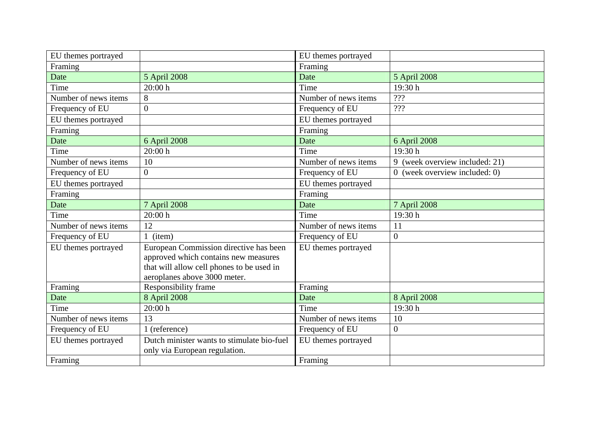| EU themes portrayed  |                                                                                                                                                             | EU themes portrayed  |                                |
|----------------------|-------------------------------------------------------------------------------------------------------------------------------------------------------------|----------------------|--------------------------------|
| Framing              |                                                                                                                                                             | Framing              |                                |
| Date                 | 5 April 2008                                                                                                                                                | Date                 | 5 April 2008                   |
| Time                 | 20:00 h                                                                                                                                                     | Time                 | 19:30 h                        |
| Number of news items | 8                                                                                                                                                           | Number of news items | ???                            |
| Frequency of EU      | $\overline{0}$                                                                                                                                              | Frequency of EU      | ???                            |
| EU themes portrayed  |                                                                                                                                                             | EU themes portrayed  |                                |
| Framing              |                                                                                                                                                             | Framing              |                                |
| Date                 | 6 April 2008                                                                                                                                                | Date                 | 6 April 2008                   |
| Time                 | 20:00 h                                                                                                                                                     | Time                 | 19:30h                         |
| Number of news items | 10                                                                                                                                                          | Number of news items | 9 (week overview included: 21) |
| Frequency of EU      | $\overline{0}$                                                                                                                                              | Frequency of EU      | 0 (week overview included: 0)  |
| EU themes portrayed  |                                                                                                                                                             | EU themes portrayed  |                                |
| Framing              |                                                                                                                                                             | Framing              |                                |
| Date                 | 7 April 2008                                                                                                                                                | Date                 | 7 April 2008                   |
| Time                 | 20:00 h                                                                                                                                                     | Time                 | 19:30h                         |
| Number of news items | 12                                                                                                                                                          | Number of news items | 11                             |
| Frequency of EU      | 1 (item)                                                                                                                                                    | Frequency of EU      | $\overline{0}$                 |
| EU themes portrayed  | European Commission directive has been<br>approved which contains new measures<br>that will allow cell phones to be used in<br>aeroplanes above 3000 meter. | EU themes portrayed  |                                |
| Framing              | Responsibility frame                                                                                                                                        | Framing              |                                |
| Date                 | 8 April 2008                                                                                                                                                | Date                 | 8 April 2008                   |
| Time                 | 20:00 h                                                                                                                                                     | Time                 | 19:30 h                        |
| Number of news items | 13                                                                                                                                                          | Number of news items | 10                             |
| Frequency of EU      | 1 (reference)                                                                                                                                               | Frequency of EU      | $\overline{0}$                 |
| EU themes portrayed  | Dutch minister wants to stimulate bio-fuel<br>only via European regulation.                                                                                 | EU themes portrayed  |                                |
| Framing              |                                                                                                                                                             | Framing              |                                |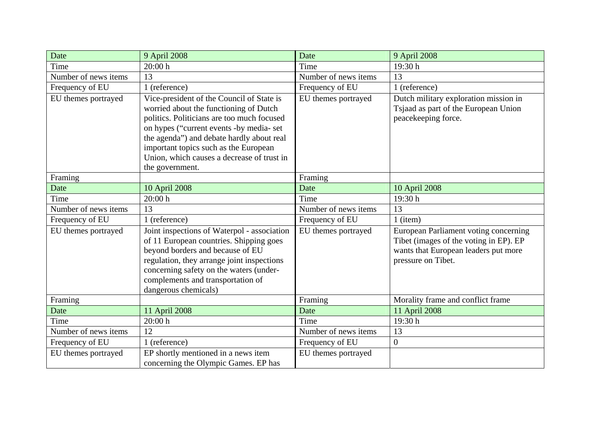| Date                 | 9 April 2008                                                                                                                                                                                                                                                                                                                         | Date                 | 9 April 2008                                                                                                                                  |
|----------------------|--------------------------------------------------------------------------------------------------------------------------------------------------------------------------------------------------------------------------------------------------------------------------------------------------------------------------------------|----------------------|-----------------------------------------------------------------------------------------------------------------------------------------------|
| Time                 | 20:00h                                                                                                                                                                                                                                                                                                                               | Time                 | 19:30 h                                                                                                                                       |
| Number of news items | 13                                                                                                                                                                                                                                                                                                                                   | Number of news items | 13                                                                                                                                            |
| Frequency of EU      | 1 (reference)                                                                                                                                                                                                                                                                                                                        | Frequency of EU      | 1 (reference)                                                                                                                                 |
| EU themes portrayed  | Vice-president of the Council of State is<br>worried about the functioning of Dutch<br>politics. Politicians are too much focused<br>on hypes ("current events -by media- set<br>the agenda") and debate hardly about real<br>important topics such as the European<br>Union, which causes a decrease of trust in<br>the government. | EU themes portrayed  | Dutch military exploration mission in<br>Tsjaad as part of the European Union<br>peacekeeping force.                                          |
| Framing              |                                                                                                                                                                                                                                                                                                                                      | Framing              |                                                                                                                                               |
| Date                 | 10 April 2008                                                                                                                                                                                                                                                                                                                        | Date                 | 10 April 2008                                                                                                                                 |
| Time                 | 20:00h                                                                                                                                                                                                                                                                                                                               | Time                 | 19:30 h                                                                                                                                       |
| Number of news items | 13                                                                                                                                                                                                                                                                                                                                   | Number of news items | 13                                                                                                                                            |
| Frequency of EU      | 1 (reference)                                                                                                                                                                                                                                                                                                                        | Frequency of EU      | $1$ (item)                                                                                                                                    |
| EU themes portrayed  | Joint inspections of Waterpol - association<br>of 11 European countries. Shipping goes<br>beyond borders and because of EU<br>regulation, they arrange joint inspections<br>concerning safety on the waters (under-<br>complements and transportation of<br>dangerous chemicals)                                                     | EU themes portrayed  | European Parliament voting concerning<br>Tibet (images of the voting in EP). EP<br>wants that European leaders put more<br>pressure on Tibet. |
| Framing              |                                                                                                                                                                                                                                                                                                                                      | Framing              | Morality frame and conflict frame                                                                                                             |
| Date                 | 11 April 2008                                                                                                                                                                                                                                                                                                                        | Date                 | 11 April 2008                                                                                                                                 |
| Time                 | 20:00 h                                                                                                                                                                                                                                                                                                                              | Time                 | 19:30 h                                                                                                                                       |
| Number of news items | 12                                                                                                                                                                                                                                                                                                                                   | Number of news items | 13                                                                                                                                            |
| Frequency of EU      | 1 (reference)                                                                                                                                                                                                                                                                                                                        | Frequency of EU      | $\overline{0}$                                                                                                                                |
| EU themes portrayed  | EP shortly mentioned in a news item<br>concerning the Olympic Games. EP has                                                                                                                                                                                                                                                          | EU themes portrayed  |                                                                                                                                               |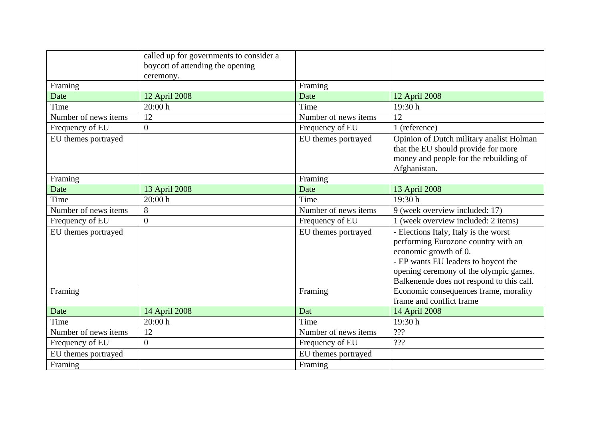|                      | called up for governments to consider a<br>boycott of attending the opening |                      |                                                                                                                                                                                                                                     |
|----------------------|-----------------------------------------------------------------------------|----------------------|-------------------------------------------------------------------------------------------------------------------------------------------------------------------------------------------------------------------------------------|
|                      | ceremony.                                                                   |                      |                                                                                                                                                                                                                                     |
| Framing              |                                                                             | Framing              |                                                                                                                                                                                                                                     |
| Date                 | 12 April 2008                                                               | Date                 | 12 April 2008                                                                                                                                                                                                                       |
| Time                 | 20:00 h                                                                     | Time                 | 19:30 h                                                                                                                                                                                                                             |
| Number of news items | 12                                                                          | Number of news items | 12                                                                                                                                                                                                                                  |
| Frequency of EU      | $\overline{0}$                                                              | Frequency of EU      | 1 (reference)                                                                                                                                                                                                                       |
| EU themes portrayed  |                                                                             | EU themes portrayed  | Opinion of Dutch military analist Holman<br>that the EU should provide for more<br>money and people for the rebuilding of<br>Afghanistan.                                                                                           |
| Framing              |                                                                             | Framing              |                                                                                                                                                                                                                                     |
| Date                 | 13 April 2008                                                               | Date                 | 13 April 2008                                                                                                                                                                                                                       |
| Time                 | 20:00 h                                                                     | Time                 | 19:30h                                                                                                                                                                                                                              |
| Number of news items | 8                                                                           | Number of news items | 9 (week overview included: 17)                                                                                                                                                                                                      |
| Frequency of EU      | $\overline{0}$                                                              | Frequency of EU      | 1 (week overview included: 2 items)                                                                                                                                                                                                 |
| EU themes portrayed  |                                                                             | EU themes portrayed  | - Elections Italy, Italy is the worst<br>performing Eurozone country with an<br>economic growth of 0.<br>- EP wants EU leaders to boycot the<br>opening ceremony of the olympic games.<br>Balkenende does not respond to this call. |
| Framing              |                                                                             | Framing              | Economic consequences frame, morality<br>frame and conflict frame                                                                                                                                                                   |
| Date                 | 14 April 2008                                                               | Dat                  | 14 April 2008                                                                                                                                                                                                                       |
| Time                 | 20:00 h                                                                     | Time                 | 19:30h                                                                                                                                                                                                                              |
| Number of news items | 12                                                                          | Number of news items | ???                                                                                                                                                                                                                                 |
| Frequency of EU      | $\overline{0}$                                                              | Frequency of EU      | ???                                                                                                                                                                                                                                 |
| EU themes portrayed  |                                                                             | EU themes portrayed  |                                                                                                                                                                                                                                     |
| Framing              |                                                                             | Framing              |                                                                                                                                                                                                                                     |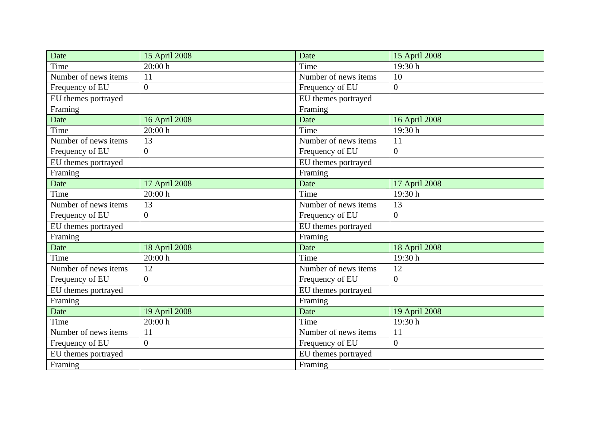| Date                 | 15 April 2008  | Date                 | 15 April 2008    |
|----------------------|----------------|----------------------|------------------|
| Time                 | 20:00 h        | Time                 | 19:30h           |
| Number of news items | 11             | Number of news items | 10               |
| Frequency of EU      | $\overline{0}$ | Frequency of EU      | $\overline{0}$   |
| EU themes portrayed  |                | EU themes portrayed  |                  |
| Framing              |                | Framing              |                  |
| Date                 | 16 April 2008  | Date                 | 16 April 2008    |
| Time                 | 20:00h         | Time                 | 19:30h           |
| Number of news items | 13             | Number of news items | 11               |
| Frequency of EU      | $\overline{0}$ | Frequency of EU      | $\overline{0}$   |
| EU themes portrayed  |                | EU themes portrayed  |                  |
| Framing              |                | Framing              |                  |
| Date                 | 17 April 2008  | Date                 | 17 April 2008    |
| Time                 | 20:00 h        | Time                 | 19:30h           |
| Number of news items | 13             | Number of news items | 13               |
| Frequency of EU      | $\overline{0}$ | Frequency of EU      | $\overline{0}$   |
| EU themes portrayed  |                | EU themes portrayed  |                  |
| Framing              |                | Framing              |                  |
| Date                 | 18 April 2008  | Date                 | 18 April 2008    |
| Time                 | 20:00h         | Time                 | 19:30h           |
| Number of news items | 12             | Number of news items | 12               |
| Frequency of EU      | $\overline{0}$ | Frequency of EU      | $\overline{0}$   |
| EU themes portrayed  |                | EU themes portrayed  |                  |
| Framing              |                | Framing              |                  |
| Date                 | 19 April 2008  | Date                 | 19 April 2008    |
| Time                 | 20:00 h        | Time                 | 19:30h           |
| Number of news items | 11             | Number of news items | 11               |
| Frequency of EU      | $\overline{0}$ | Frequency of EU      | $\boldsymbol{0}$ |
| EU themes portrayed  |                | EU themes portrayed  |                  |
| Framing              |                | Framing              |                  |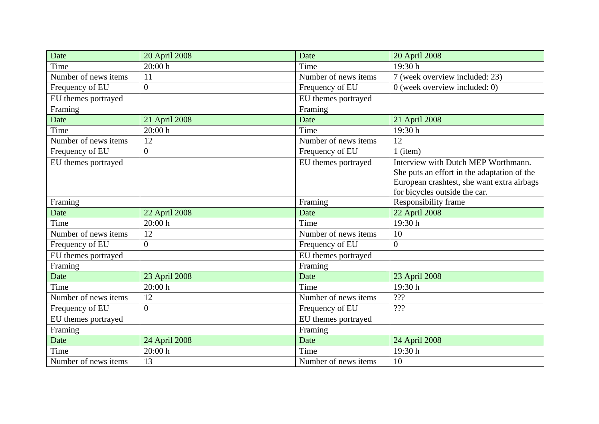| Date                 | 20 April 2008  | Date                 | 20 April 2008                               |
|----------------------|----------------|----------------------|---------------------------------------------|
| Time                 | 20:00 h        | Time                 | 19:30 h                                     |
| Number of news items | 11             | Number of news items | 7 (week overview included: 23)              |
| Frequency of EU      | $\overline{0}$ | Frequency of EU      | 0 (week overview included: 0)               |
| EU themes portrayed  |                | EU themes portrayed  |                                             |
| Framing              |                | Framing              |                                             |
| Date                 | 21 April 2008  | Date                 | 21 April 2008                               |
| Time                 | 20:00h         | Time                 | 19:30 h                                     |
| Number of news items | 12             | Number of news items | 12                                          |
| Frequency of EU      | $\overline{0}$ | Frequency of EU      | $1$ (item)                                  |
| EU themes portrayed  |                | EU themes portrayed  | Interview with Dutch MEP Worthmann.         |
|                      |                |                      | She puts an effort in the adaptation of the |
|                      |                |                      | European crashtest, she want extra airbags  |
|                      |                |                      | for bicycles outside the car.               |
| Framing              |                | Framing              | Responsibility frame                        |
| Date                 | 22 April 2008  | Date                 | 22 April 2008                               |
| Time                 | 20:00 h        | Time                 | 19:30 h                                     |
| Number of news items | 12             | Number of news items | 10                                          |
| Frequency of EU      | $\overline{0}$ | Frequency of EU      | $\mathbf{0}$                                |
| EU themes portrayed  |                | EU themes portrayed  |                                             |
| Framing              |                | Framing              |                                             |
| Date                 | 23 April 2008  | Date                 | 23 April 2008                               |
| Time                 | 20:00h         | Time                 | 19:30h                                      |
| Number of news items | 12             | Number of news items | ???                                         |
| Frequency of EU      | $\overline{0}$ | Frequency of EU      | ???                                         |
| EU themes portrayed  |                | EU themes portrayed  |                                             |
| Framing              |                | Framing              |                                             |
| Date                 | 24 April 2008  | Date                 | 24 April 2008                               |
| Time                 | 20:00h         | Time                 | 19:30 h                                     |
| Number of news items | 13             | Number of news items | 10                                          |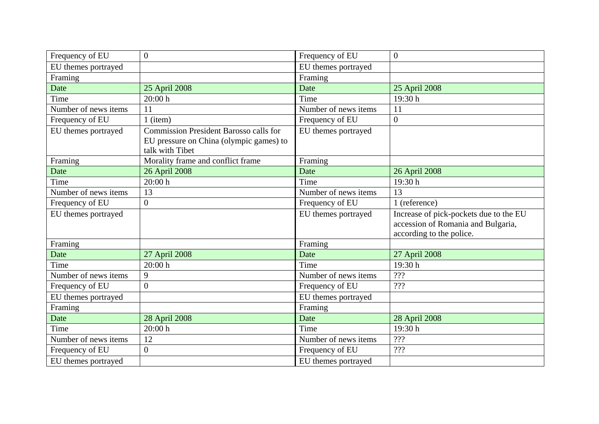| Frequency of EU      | $\overline{0}$                                                                                              | Frequency of EU      | $\overline{0}$                                                                                           |
|----------------------|-------------------------------------------------------------------------------------------------------------|----------------------|----------------------------------------------------------------------------------------------------------|
| EU themes portrayed  |                                                                                                             | EU themes portrayed  |                                                                                                          |
| Framing              |                                                                                                             | Framing              |                                                                                                          |
| Date                 | 25 April 2008                                                                                               | Date                 | 25 April 2008                                                                                            |
| Time                 | 20:00h                                                                                                      | Time                 | 19:30 h                                                                                                  |
| Number of news items | 11                                                                                                          | Number of news items | 11                                                                                                       |
| Frequency of EU      | $1$ (item)                                                                                                  | Frequency of EU      | $\overline{0}$                                                                                           |
| EU themes portrayed  | <b>Commission President Barosso calls for</b><br>EU pressure on China (olympic games) to<br>talk with Tibet | EU themes portrayed  |                                                                                                          |
| Framing              | Morality frame and conflict frame                                                                           | Framing              |                                                                                                          |
| Date                 | 26 April 2008                                                                                               | Date                 | 26 April 2008                                                                                            |
| Time                 | 20:00 h                                                                                                     | Time                 | 19:30h                                                                                                   |
| Number of news items | 13                                                                                                          | Number of news items | 13                                                                                                       |
| Frequency of EU      | $\overline{0}$                                                                                              | Frequency of EU      | 1 (reference)                                                                                            |
| EU themes portrayed  |                                                                                                             | EU themes portrayed  | Increase of pick-pockets due to the EU<br>accession of Romania and Bulgaria,<br>according to the police. |
| Framing              |                                                                                                             | Framing              |                                                                                                          |
| Date                 | 27 April 2008                                                                                               | Date                 | 27 April 2008                                                                                            |
| Time                 | 20:00h                                                                                                      | Time                 | 19:30h                                                                                                   |
| Number of news items | 9                                                                                                           | Number of news items | ???                                                                                                      |
| Frequency of EU      | $\overline{0}$                                                                                              | Frequency of EU      | ???                                                                                                      |
| EU themes portrayed  |                                                                                                             | EU themes portrayed  |                                                                                                          |
| Framing              |                                                                                                             | Framing              |                                                                                                          |
| Date                 | 28 April 2008                                                                                               | Date                 | 28 April 2008                                                                                            |
| Time                 | 20:00 h                                                                                                     | Time                 | 19:30 h                                                                                                  |
| Number of news items | 12                                                                                                          | Number of news items | ???                                                                                                      |
| Frequency of EU      | $\overline{0}$                                                                                              | Frequency of EU      | ???                                                                                                      |
| EU themes portrayed  |                                                                                                             | EU themes portrayed  |                                                                                                          |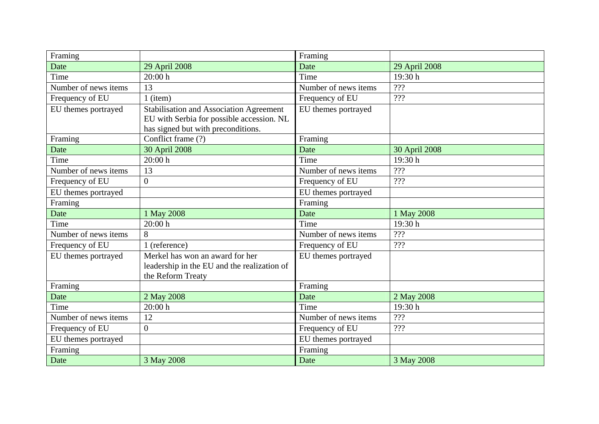| Framing              |                                                                                                                                   | Framing              |               |
|----------------------|-----------------------------------------------------------------------------------------------------------------------------------|----------------------|---------------|
| Date                 | 29 April 2008                                                                                                                     | Date                 | 29 April 2008 |
| Time                 | 20:00 h                                                                                                                           | Time                 | 19:30h        |
| Number of news items | 13                                                                                                                                | Number of news items | ???           |
| Frequency of EU      | $1$ (item)                                                                                                                        | Frequency of EU      | ???           |
| EU themes portrayed  | <b>Stabilisation and Association Agreement</b><br>EU with Serbia for possible accession. NL<br>has signed but with preconditions. | EU themes portrayed  |               |
| Framing              | Conflict frame (?)                                                                                                                | Framing              |               |
| Date                 | 30 April 2008                                                                                                                     | Date                 | 30 April 2008 |
| Time                 | 20:00 h                                                                                                                           | Time                 | 19:30h        |
| Number of news items | 13                                                                                                                                | Number of news items | ???           |
| Frequency of EU      | $\overline{0}$                                                                                                                    | Frequency of EU      | ???           |
| EU themes portrayed  |                                                                                                                                   | EU themes portrayed  |               |
| Framing              |                                                                                                                                   | Framing              |               |
| Date                 | 1 May 2008                                                                                                                        | Date                 | 1 May 2008    |
| Time                 | 20:00 h                                                                                                                           | Time                 | 19:30 h       |
| Number of news items | 8                                                                                                                                 | Number of news items | $222$         |
| Frequency of EU      | 1 (reference)                                                                                                                     | Frequency of EU      | ???           |
| EU themes portrayed  | Merkel has won an award for her<br>leadership in the EU and the realization of<br>the Reform Treaty                               | EU themes portrayed  |               |
| Framing              |                                                                                                                                   | Framing              |               |
| Date                 | 2 May 2008                                                                                                                        | Date                 | 2 May 2008    |
| Time                 | 20:00 h                                                                                                                           | Time                 | 19:30 h       |
| Number of news items | 12                                                                                                                                | Number of news items | ???           |
| Frequency of EU      | $\overline{0}$                                                                                                                    | Frequency of EU      | ???           |
| EU themes portrayed  |                                                                                                                                   | EU themes portrayed  |               |
| Framing              |                                                                                                                                   | Framing              |               |
| Date                 | 3 May 2008                                                                                                                        | Date                 | 3 May 2008    |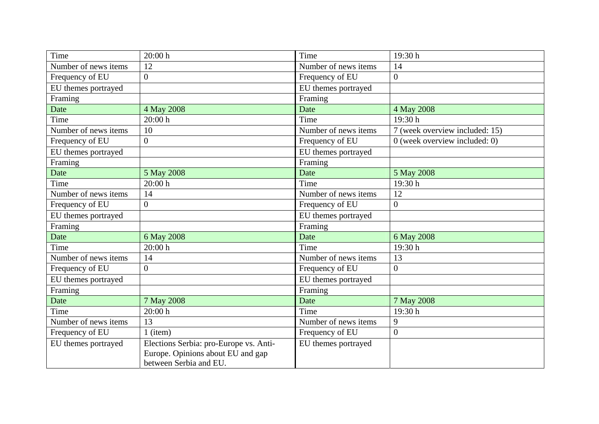| Time                 | 20:00h                                                                                                | Time                 | 19:30 h                        |
|----------------------|-------------------------------------------------------------------------------------------------------|----------------------|--------------------------------|
| Number of news items | 12                                                                                                    | Number of news items | 14                             |
| Frequency of EU      | $\overline{0}$                                                                                        | Frequency of EU      | $\overline{0}$                 |
| EU themes portrayed  |                                                                                                       | EU themes portrayed  |                                |
| Framing              |                                                                                                       | Framing              |                                |
| Date                 | 4 May 2008                                                                                            | Date                 | 4 May 2008                     |
| Time                 | 20:00h                                                                                                | Time                 | 19:30h                         |
| Number of news items | 10                                                                                                    | Number of news items | 7 (week overview included: 15) |
| Frequency of EU      | $\overline{0}$                                                                                        | Frequency of EU      | 0 (week overview included: 0)  |
| EU themes portrayed  |                                                                                                       | EU themes portrayed  |                                |
| Framing              |                                                                                                       | Framing              |                                |
| Date                 | 5 May 2008                                                                                            | Date                 | 5 May 2008                     |
| Time                 | 20:00h                                                                                                | Time                 | 19:30 h                        |
| Number of news items | 14                                                                                                    | Number of news items | 12                             |
| Frequency of EU      | $\overline{0}$                                                                                        | Frequency of EU      | $\overline{0}$                 |
| EU themes portrayed  |                                                                                                       | EU themes portrayed  |                                |
| Framing              |                                                                                                       | Framing              |                                |
| Date                 | 6 May 2008                                                                                            | Date                 | 6 May 2008                     |
| Time                 | 20:00h                                                                                                | Time                 | 19:30 h                        |
| Number of news items | 14                                                                                                    | Number of news items | 13                             |
| Frequency of EU      | $\overline{0}$                                                                                        | Frequency of EU      | $\overline{0}$                 |
| EU themes portrayed  |                                                                                                       | EU themes portrayed  |                                |
| Framing              |                                                                                                       | Framing              |                                |
| Date                 | 7 May 2008                                                                                            | Date                 | 7 May 2008                     |
| Time                 | 20:00h                                                                                                | Time                 | 19:30 h                        |
| Number of news items | 13                                                                                                    | Number of news items | 9                              |
| Frequency of EU      | 1 (item)                                                                                              | Frequency of EU      | $\overline{0}$                 |
| EU themes portrayed  | Elections Serbia: pro-Europe vs. Anti-<br>Europe. Opinions about EU and gap<br>between Serbia and EU. | EU themes portrayed  |                                |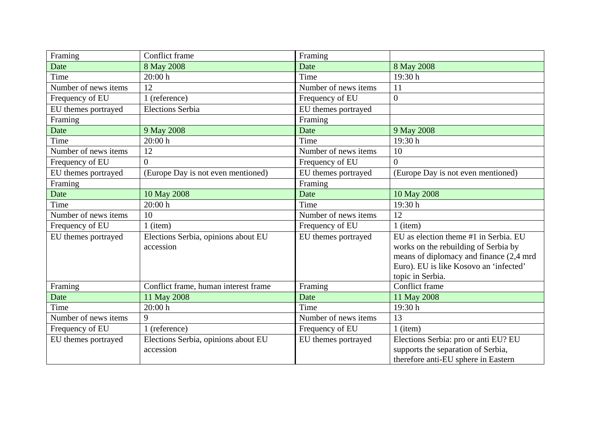| Framing              | Conflict frame                                   | Framing              |                                                                                                                                                                                        |
|----------------------|--------------------------------------------------|----------------------|----------------------------------------------------------------------------------------------------------------------------------------------------------------------------------------|
| Date                 | 8 May 2008                                       | Date                 | 8 May 2008                                                                                                                                                                             |
| Time                 | 20:00h                                           | Time                 | 19:30 h                                                                                                                                                                                |
| Number of news items | 12                                               | Number of news items | 11                                                                                                                                                                                     |
| Frequency of EU      | 1 (reference)                                    | Frequency of EU      | $\boldsymbol{0}$                                                                                                                                                                       |
| EU themes portrayed  | <b>Elections Serbia</b>                          | EU themes portrayed  |                                                                                                                                                                                        |
| Framing              |                                                  | Framing              |                                                                                                                                                                                        |
| Date                 | 9 May 2008                                       | Date                 | 9 May 2008                                                                                                                                                                             |
| Time                 | 20:00 h                                          | Time                 | 19:30 h                                                                                                                                                                                |
| Number of news items | 12                                               | Number of news items | 10                                                                                                                                                                                     |
| Frequency of EU      | $\overline{0}$                                   | Frequency of EU      | $\theta$                                                                                                                                                                               |
| EU themes portrayed  | (Europe Day is not even mentioned)               | EU themes portrayed  | (Europe Day is not even mentioned)                                                                                                                                                     |
| Framing              |                                                  | Framing              |                                                                                                                                                                                        |
| Date                 | 10 May 2008                                      | Date                 | 10 May 2008                                                                                                                                                                            |
| Time                 | 20:00h                                           | Time                 | 19:30h                                                                                                                                                                                 |
| Number of news items | 10                                               | Number of news items | 12                                                                                                                                                                                     |
| Frequency of EU      | $1$ (item)                                       | Frequency of EU      | $1$ (item)                                                                                                                                                                             |
| EU themes portrayed  | Elections Serbia, opinions about EU<br>accession | EU themes portrayed  | EU as election theme #1 in Serbia. EU<br>works on the rebuilding of Serbia by<br>means of diplomacy and finance (2,4 mrd<br>Euro). EU is like Kosovo an 'infected'<br>topic in Serbia. |
| Framing              | Conflict frame, human interest frame             | Framing              | Conflict frame                                                                                                                                                                         |
| Date                 | 11 May 2008                                      | Date                 | 11 May 2008                                                                                                                                                                            |
| Time                 | 20:00h                                           | Time                 | 19:30 h                                                                                                                                                                                |
| Number of news items | 9                                                | Number of news items | 13                                                                                                                                                                                     |
| Frequency of EU      | 1 (reference)                                    | Frequency of EU      | $1$ (item)                                                                                                                                                                             |
| EU themes portrayed  | Elections Serbia, opinions about EU<br>accession | EU themes portrayed  | Elections Serbia: pro or anti EU? EU<br>supports the separation of Serbia,<br>therefore anti-EU sphere in Eastern                                                                      |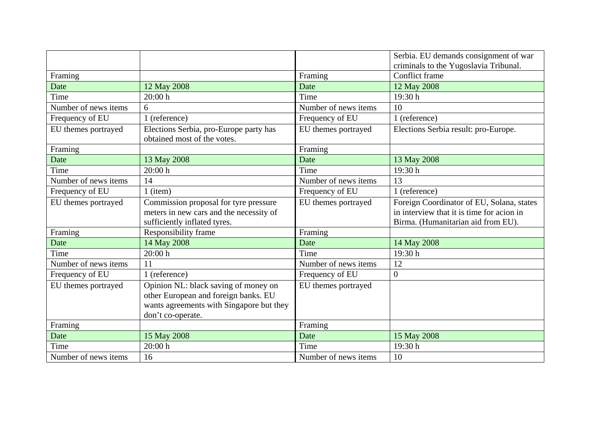|                      |                                                                                                                                               |                      | Serbia. EU demands consignment of war<br>criminals to the Yugoslavia Tribunal.                                               |
|----------------------|-----------------------------------------------------------------------------------------------------------------------------------------------|----------------------|------------------------------------------------------------------------------------------------------------------------------|
| Framing              |                                                                                                                                               | Framing              | Conflict frame                                                                                                               |
| Date                 | 12 May 2008                                                                                                                                   | Date                 | 12 May 2008                                                                                                                  |
| Time                 | 20:00h                                                                                                                                        | Time                 | 19:30 h                                                                                                                      |
| Number of news items | 6                                                                                                                                             | Number of news items | 10                                                                                                                           |
| Frequency of EU      | 1 (reference)                                                                                                                                 | Frequency of EU      | 1 (reference)                                                                                                                |
| EU themes portrayed  | Elections Serbia, pro-Europe party has<br>obtained most of the votes.                                                                         | EU themes portrayed  | Elections Serbia result: pro-Europe.                                                                                         |
| Framing              |                                                                                                                                               | Framing              |                                                                                                                              |
| Date                 | 13 May 2008                                                                                                                                   | Date                 | 13 May 2008                                                                                                                  |
| Time                 | 20:00h                                                                                                                                        | Time                 | 19:30 h                                                                                                                      |
| Number of news items | 14                                                                                                                                            | Number of news items | 13                                                                                                                           |
| Frequency of EU      | 1 (item)                                                                                                                                      | Frequency of EU      | 1 (reference)                                                                                                                |
| EU themes portrayed  | Commission proposal for tyre pressure<br>meters in new cars and the necessity of<br>sufficiently inflated tyres.                              | EU themes portrayed  | Foreign Coordinator of EU, Solana, states<br>in interview that it is time for acion in<br>Birma. (Humanitarian aid from EU). |
| Framing              | Responsibility frame                                                                                                                          | Framing              |                                                                                                                              |
| Date                 | 14 May 2008                                                                                                                                   | Date                 | 14 May 2008                                                                                                                  |
| Time                 | 20:00h                                                                                                                                        | Time                 | 19:30 h                                                                                                                      |
| Number of news items | 11                                                                                                                                            | Number of news items | 12                                                                                                                           |
| Frequency of EU      | 1 (reference)                                                                                                                                 | Frequency of EU      | $\boldsymbol{0}$                                                                                                             |
| EU themes portrayed  | Opinion NL: black saving of money on<br>other European and foreign banks. EU<br>wants agreements with Singapore but they<br>don't co-operate. | EU themes portrayed  |                                                                                                                              |
| Framing              |                                                                                                                                               | Framing              |                                                                                                                              |
| Date                 | 15 May 2008                                                                                                                                   | Date                 | 15 May 2008                                                                                                                  |
| Time                 | 20:00 h                                                                                                                                       | Time                 | 19:30 h                                                                                                                      |
| Number of news items | 16                                                                                                                                            | Number of news items | 10                                                                                                                           |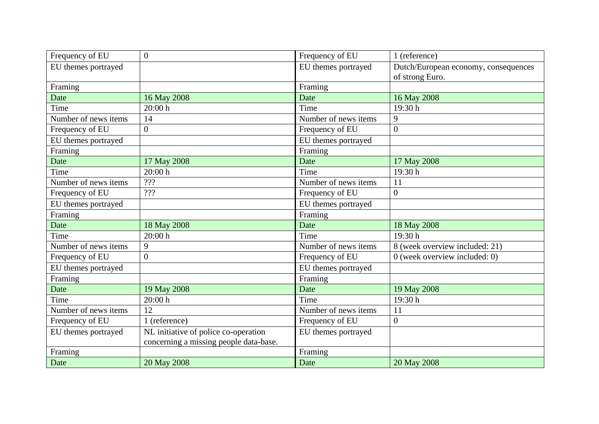| Frequency of EU      | $\overline{0}$                         | Frequency of EU      | 1 (reference)                        |
|----------------------|----------------------------------------|----------------------|--------------------------------------|
| EU themes portrayed  |                                        | EU themes portrayed  | Dutch/European economy, consequences |
|                      |                                        |                      | of strong Euro.                      |
| Framing              |                                        | Framing              |                                      |
| Date                 | 16 May 2008                            | Date                 | 16 May 2008                          |
| Time                 | 20:00 h                                | Time                 | 19:30h                               |
| Number of news items | 14                                     | Number of news items | 9                                    |
| Frequency of EU      | $\overline{0}$                         | Frequency of EU      | $\boldsymbol{0}$                     |
| EU themes portrayed  |                                        | EU themes portrayed  |                                      |
| Framing              |                                        | Framing              |                                      |
| Date                 | 17 May 2008                            | Date                 | 17 May 2008                          |
| Time                 | 20:00 h                                | Time                 | 19:30h                               |
| Number of news items | ???                                    | Number of news items | 11                                   |
| Frequency of EU      | ???                                    | Frequency of EU      | $\overline{0}$                       |
| EU themes portrayed  |                                        | EU themes portrayed  |                                      |
| Framing              |                                        | Framing              |                                      |
| Date                 | 18 May 2008                            | Date                 | 18 May 2008                          |
| Time                 | 20:00 h                                | Time                 | 19:30h                               |
| Number of news items | 9                                      | Number of news items | 8 (week overview included: 21)       |
| Frequency of EU      | $\overline{0}$                         | Frequency of EU      | 0 (week overview included: 0)        |
| EU themes portrayed  |                                        | EU themes portrayed  |                                      |
| Framing              |                                        | Framing              |                                      |
| Date                 | 19 May 2008                            | Date                 | 19 May 2008                          |
| Time                 | 20:00h                                 | Time                 | 19:30 h                              |
| Number of news items | 12                                     | Number of news items | 11                                   |
| Frequency of EU      | 1 (reference)                          | Frequency of EU      | $\overline{0}$                       |
| EU themes portrayed  | NL initiative of police co-operation   | EU themes portrayed  |                                      |
|                      | concerning a missing people data-base. |                      |                                      |
| Framing              |                                        | Framing              |                                      |
| Date                 | 20 May 2008                            | Date                 | 20 May 2008                          |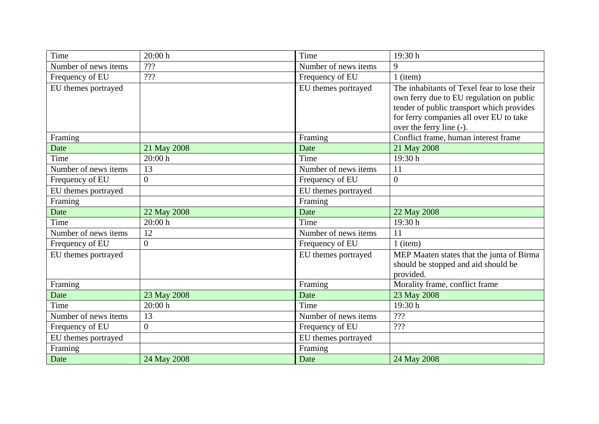| Time                 | 20:00h         | Time                 | 19:30h                                                                                                                                                                                                      |
|----------------------|----------------|----------------------|-------------------------------------------------------------------------------------------------------------------------------------------------------------------------------------------------------------|
| Number of news items | ???            | Number of news items | 9                                                                                                                                                                                                           |
| Frequency of EU      | ???            | Frequency of EU      | $1$ (item)                                                                                                                                                                                                  |
| EU themes portrayed  |                | EU themes portrayed  | The inhabitants of Texel fear to lose their<br>own ferry due to EU regulation on public<br>tender of public transport which provides<br>for ferry companies all over EU to take<br>over the ferry line (-). |
| Framing              |                | Framing              | Conflict frame, human interest frame                                                                                                                                                                        |
| Date                 | 21 May 2008    | Date                 | 21 May 2008                                                                                                                                                                                                 |
| Time                 | 20:00 h        | Time                 | 19:30h                                                                                                                                                                                                      |
| Number of news items | 13             | Number of news items | 11                                                                                                                                                                                                          |
| Frequency of EU      | $\overline{0}$ | Frequency of EU      | $\overline{0}$                                                                                                                                                                                              |
| EU themes portrayed  |                | EU themes portrayed  |                                                                                                                                                                                                             |
| Framing              |                | Framing              |                                                                                                                                                                                                             |
| Date                 | 22 May 2008    | Date                 | 22 May 2008                                                                                                                                                                                                 |
| Time                 | 20:00 h        | Time                 | 19:30h                                                                                                                                                                                                      |
| Number of news items | 12             | Number of news items | 11                                                                                                                                                                                                          |
| Frequency of EU      | $\overline{0}$ | Frequency of EU      | $1$ (item)                                                                                                                                                                                                  |
| EU themes portrayed  |                | EU themes portrayed  | MEP Maaten states that the junta of Birma<br>should be stopped and aid should be<br>provided.                                                                                                               |
| Framing              |                | Framing              | Morality frame, conflict frame                                                                                                                                                                              |
| Date                 | 23 May 2008    | Date                 | 23 May 2008                                                                                                                                                                                                 |
| Time                 | 20:00 h        | Time                 | 19:30 h                                                                                                                                                                                                     |
| Number of news items | 13             | Number of news items | ???                                                                                                                                                                                                         |
| Frequency of EU      | $\overline{0}$ | Frequency of EU      | ???                                                                                                                                                                                                         |
| EU themes portrayed  |                | EU themes portrayed  |                                                                                                                                                                                                             |
| Framing              |                | Framing              |                                                                                                                                                                                                             |
| Date                 | 24 May 2008    | Date                 | 24 May 2008                                                                                                                                                                                                 |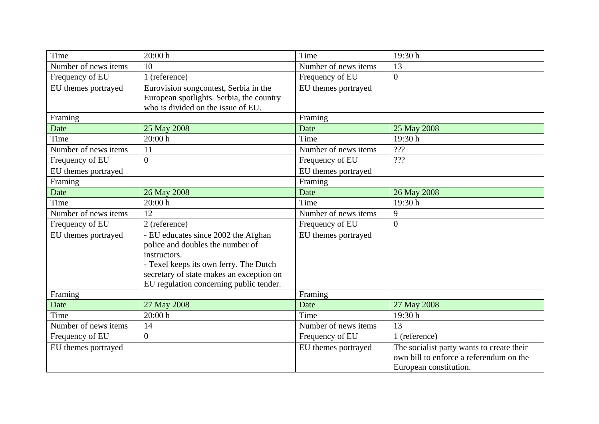| Time                 | 20:00 h                                  | Time                 | 19:30 h                                   |
|----------------------|------------------------------------------|----------------------|-------------------------------------------|
| Number of news items | 10                                       | Number of news items | 13                                        |
| Frequency of EU      | 1 (reference)                            | Frequency of EU      | $\overline{0}$                            |
| EU themes portrayed  | Eurovision songcontest, Serbia in the    | EU themes portrayed  |                                           |
|                      | European spotlights. Serbia, the country |                      |                                           |
|                      | who is divided on the issue of EU.       |                      |                                           |
| Framing              |                                          | Framing              |                                           |
| Date                 | 25 May 2008                              | Date                 | 25 May 2008                               |
| Time                 | 20:00 h                                  | Time                 | 19:30h                                    |
| Number of news items | 11                                       | Number of news items | ???                                       |
| Frequency of EU      | $\theta$                                 | Frequency of EU      | ???                                       |
| EU themes portrayed  |                                          | EU themes portrayed  |                                           |
| Framing              |                                          | Framing              |                                           |
| Date                 | 26 May 2008                              | Date                 | 26 May 2008                               |
| Time                 | 20:00 h                                  | Time                 | 19:30 h                                   |
| Number of news items | 12                                       | Number of news items | 9                                         |
| Frequency of EU      | 2 (reference)                            | Frequency of EU      | $\boldsymbol{0}$                          |
| EU themes portrayed  | - EU educates since 2002 the Afghan      | EU themes portrayed  |                                           |
|                      | police and doubles the number of         |                      |                                           |
|                      | instructors.                             |                      |                                           |
|                      | - Texel keeps its own ferry. The Dutch   |                      |                                           |
|                      | secretary of state makes an exception on |                      |                                           |
|                      | EU regulation concerning public tender.  |                      |                                           |
| Framing              |                                          | Framing              |                                           |
| Date                 | 27 May 2008                              | Date                 | 27 May 2008                               |
| Time                 | 20:00 h                                  | Time                 | 19:30 h                                   |
| Number of news items | 14                                       | Number of news items | 13                                        |
| Frequency of EU      | $\overline{0}$                           | Frequency of EU      | 1 (reference)                             |
| EU themes portrayed  |                                          | EU themes portrayed  | The socialist party wants to create their |
|                      |                                          |                      | own bill to enforce a referendum on the   |
|                      |                                          |                      | European constitution.                    |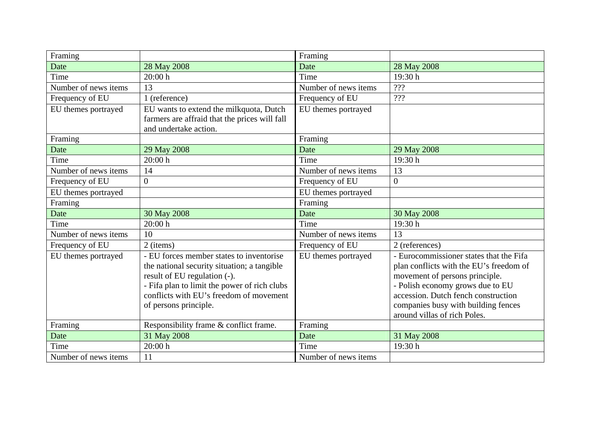| Framing              |                                               | Framing              |                                         |
|----------------------|-----------------------------------------------|----------------------|-----------------------------------------|
| Date                 | 28 May 2008                                   | Date                 | 28 May 2008                             |
| Time                 | 20:00 h                                       | Time                 | 19:30h                                  |
| Number of news items | 13                                            | Number of news items | ???                                     |
| Frequency of EU      | 1 (reference)                                 | Frequency of EU      | ???                                     |
| EU themes portrayed  | EU wants to extend the milkquota, Dutch       | EU themes portrayed  |                                         |
|                      | farmers are affraid that the prices will fall |                      |                                         |
|                      | and undertake action.                         |                      |                                         |
| Framing              |                                               | Framing              |                                         |
| Date                 | 29 May 2008                                   | Date                 | 29 May 2008                             |
| Time                 | 20:00h                                        | Time                 | 19:30 h                                 |
| Number of news items | 14                                            | Number of news items | 13                                      |
| Frequency of EU      | $\overline{0}$                                | Frequency of EU      | $\overline{0}$                          |
| EU themes portrayed  |                                               | EU themes portrayed  |                                         |
| Framing              |                                               | Framing              |                                         |
| Date                 | 30 May 2008                                   | Date                 | 30 May 2008                             |
| Time                 | 20:00h                                        | Time                 | 19:30 h                                 |
| Number of news items | 10                                            | Number of news items | 13                                      |
| Frequency of EU      | 2 (items)                                     | Frequency of EU      | 2 (references)                          |
| EU themes portrayed  | - EU forces member states to inventorise      | EU themes portrayed  | - Eurocommissioner states that the Fifa |
|                      | the national security situation; a tangible   |                      | plan conflicts with the EU's freedom of |
|                      | result of EU regulation (-).                  |                      | movement of persons principle.          |
|                      | - Fifa plan to limit the power of rich clubs  |                      | - Polish economy grows due to EU        |
|                      | conflicts with EU's freedom of movement       |                      | accession. Dutch fench construction     |
|                      | of persons principle.                         |                      | companies busy with building fences     |
|                      |                                               |                      | around villas of rich Poles.            |
| Framing              | Responsibility frame & conflict frame.        | Framing              |                                         |
| Date                 | 31 May 2008                                   | Date                 | 31 May 2008                             |
| Time                 | 20:00 h                                       | Time                 | 19:30 h                                 |
| Number of news items | 11                                            | Number of news items |                                         |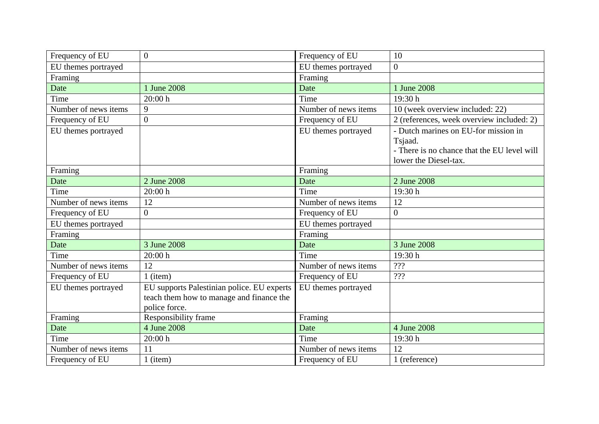| Frequency of EU      | $\overline{0}$                                                                                          | Frequency of EU      | 10                                                                                                                      |
|----------------------|---------------------------------------------------------------------------------------------------------|----------------------|-------------------------------------------------------------------------------------------------------------------------|
| EU themes portrayed  |                                                                                                         | EU themes portrayed  | $\overline{0}$                                                                                                          |
| Framing              |                                                                                                         | Framing              |                                                                                                                         |
| Date                 | 1 June 2008                                                                                             | Date                 | 1 June 2008                                                                                                             |
| Time                 | 20:00h                                                                                                  | Time                 | 19:30 h                                                                                                                 |
| Number of news items | 9                                                                                                       | Number of news items | 10 (week overview included: 22)                                                                                         |
| Frequency of EU      | $\overline{0}$                                                                                          | Frequency of EU      | 2 (references, week overview included: 2)                                                                               |
| EU themes portrayed  |                                                                                                         | EU themes portrayed  | - Dutch marines on EU-for mission in<br>Tsjaad.<br>- There is no chance that the EU level will<br>lower the Diesel-tax. |
| Framing              |                                                                                                         | Framing              |                                                                                                                         |
| Date                 | 2 June 2008                                                                                             | Date                 | 2 June 2008                                                                                                             |
| Time                 | 20:00h                                                                                                  | Time                 | 19:30 h                                                                                                                 |
| Number of news items | 12                                                                                                      | Number of news items | 12                                                                                                                      |
| Frequency of EU      | $\overline{0}$                                                                                          | Frequency of EU      | $\overline{0}$                                                                                                          |
| EU themes portrayed  |                                                                                                         | EU themes portrayed  |                                                                                                                         |
| Framing              |                                                                                                         | Framing              |                                                                                                                         |
| Date                 | 3 June 2008                                                                                             | Date                 | 3 June 2008                                                                                                             |
| Time                 | 20:00h                                                                                                  | Time                 | 19:30h                                                                                                                  |
| Number of news items | 12                                                                                                      | Number of news items | ???                                                                                                                     |
| Frequency of EU      | $1$ (item)                                                                                              | Frequency of EU      | ???                                                                                                                     |
| EU themes portrayed  | EU supports Palestinian police. EU experts<br>teach them how to manage and finance the<br>police force. | EU themes portrayed  |                                                                                                                         |
| Framing              | Responsibility frame                                                                                    | Framing              |                                                                                                                         |
| Date                 | 4 June 2008                                                                                             | Date                 | 4 June 2008                                                                                                             |
| Time                 | 20:00h                                                                                                  | Time                 | 19:30 h                                                                                                                 |
| Number of news items | 11                                                                                                      | Number of news items | 12                                                                                                                      |
| Frequency of EU      | $1$ (item)                                                                                              | Frequency of EU      | 1 (reference)                                                                                                           |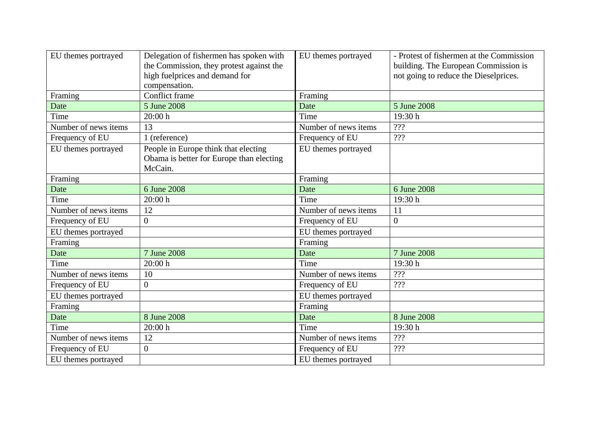| EU themes portrayed  | Delegation of fishermen has spoken with<br>the Commission, they protest against the<br>high fuelprices and demand for<br>compensation. | EU themes portrayed  | - Protest of fishermen at the Commission<br>building. The European Commission is<br>not going to reduce the Dieselprices. |
|----------------------|----------------------------------------------------------------------------------------------------------------------------------------|----------------------|---------------------------------------------------------------------------------------------------------------------------|
| Framing              | <b>Conflict frame</b>                                                                                                                  | Framing              |                                                                                                                           |
| Date                 | 5 June 2008                                                                                                                            | Date                 | 5 June 2008                                                                                                               |
| Time                 | 20:00h                                                                                                                                 | Time                 | 19:30 h                                                                                                                   |
| Number of news items | 13                                                                                                                                     | Number of news items | ???                                                                                                                       |
| Frequency of EU      | 1 (reference)                                                                                                                          | Frequency of EU      | ???                                                                                                                       |
| EU themes portrayed  | People in Europe think that electing<br>Obama is better for Europe than electing<br>McCain.                                            | EU themes portrayed  |                                                                                                                           |
| Framing              |                                                                                                                                        | Framing              |                                                                                                                           |
| Date                 | 6 June 2008                                                                                                                            | Date                 | 6 June 2008                                                                                                               |
| Time                 | 20:00h                                                                                                                                 | Time                 | 19:30 h                                                                                                                   |
| Number of news items | 12                                                                                                                                     | Number of news items | 11                                                                                                                        |
| Frequency of EU      | $\overline{0}$                                                                                                                         | Frequency of EU      | $\overline{0}$                                                                                                            |
| EU themes portrayed  |                                                                                                                                        | EU themes portrayed  |                                                                                                                           |
| Framing              |                                                                                                                                        | Framing              |                                                                                                                           |
| Date                 | 7 June 2008                                                                                                                            | Date                 | 7 June 2008                                                                                                               |
| Time                 | 20:00h                                                                                                                                 | Time                 | 19:30 h                                                                                                                   |
| Number of news items | 10                                                                                                                                     | Number of news items | ???                                                                                                                       |
| Frequency of EU      | $\Omega$                                                                                                                               | Frequency of EU      | ???                                                                                                                       |
| EU themes portrayed  |                                                                                                                                        | EU themes portrayed  |                                                                                                                           |
| Framing              |                                                                                                                                        | Framing              |                                                                                                                           |
| Date                 | 8 June 2008                                                                                                                            | Date                 | 8 June 2008                                                                                                               |
| Time                 | 20:00h                                                                                                                                 | Time                 | 19:30 h                                                                                                                   |
| Number of news items | 12                                                                                                                                     | Number of news items | ???                                                                                                                       |
| Frequency of EU      | $\overline{0}$                                                                                                                         | Frequency of EU      | ???                                                                                                                       |
| EU themes portrayed  |                                                                                                                                        | EU themes portrayed  |                                                                                                                           |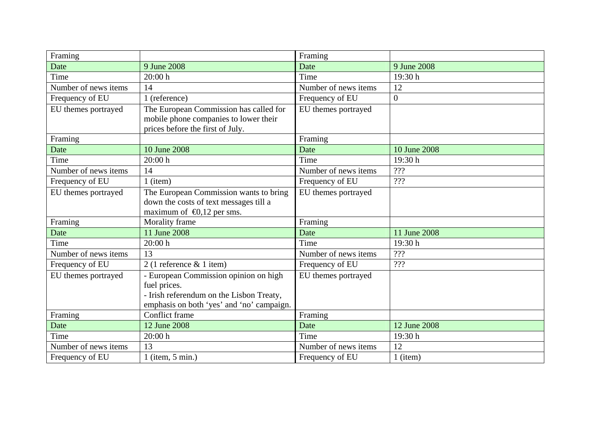| Framing              |                                                                                                                                                | Framing              |                                  |
|----------------------|------------------------------------------------------------------------------------------------------------------------------------------------|----------------------|----------------------------------|
| Date                 | 9 June 2008                                                                                                                                    | Date                 | 9 June 2008                      |
| Time                 | 20:00h                                                                                                                                         | Time                 | 19:30h                           |
| Number of news items | 14                                                                                                                                             | Number of news items | 12                               |
| Frequency of EU      | 1 (reference)                                                                                                                                  | Frequency of EU      | $\overline{0}$                   |
| EU themes portrayed  | The European Commission has called for<br>mobile phone companies to lower their<br>prices before the first of July.                            | EU themes portrayed  |                                  |
| Framing              |                                                                                                                                                | Framing              |                                  |
| Date                 | 10 June 2008                                                                                                                                   | Date                 | 10 June 2008                     |
| Time                 | 20:00h                                                                                                                                         | Time                 | 19:30 h                          |
| Number of news items | 14                                                                                                                                             | Number of news items | ???                              |
| Frequency of EU      | $1$ (item)                                                                                                                                     | Frequency of EU      | ???                              |
| EU themes portrayed  | The European Commission wants to bring<br>down the costs of text messages till a<br>maximum of $\bigoplus$ , 12 per sms.                       | EU themes portrayed  |                                  |
| Framing              | Morality frame                                                                                                                                 | Framing              |                                  |
| Date                 | 11 June 2008                                                                                                                                   | Date                 | 11 June 2008                     |
| Time                 | 20:00 h                                                                                                                                        | Time                 | 19:30 h                          |
| Number of news items | 13                                                                                                                                             | Number of news items | $\mathbf{?}\mathbf{?}\mathbf{?}$ |
| Frequency of EU      | $2(1)$ reference & 1 item)                                                                                                                     | Frequency of EU      | ???                              |
| EU themes portrayed  | - European Commission opinion on high<br>fuel prices.<br>- Irish referendum on the Lisbon Treaty,<br>emphasis on both 'yes' and 'no' campaign. | EU themes portrayed  |                                  |
| Framing              | Conflict frame                                                                                                                                 | Framing              |                                  |
| Date                 | 12 June 2008                                                                                                                                   | Date                 | 12 June 2008                     |
| Time                 | 20:00h                                                                                                                                         | Time                 | 19:30h                           |
| Number of news items | 13                                                                                                                                             | Number of news items | 12                               |
| Frequency of EU      | 1 (item, $5 \text{ min.}$ )                                                                                                                    | Frequency of EU      | $1$ (item)                       |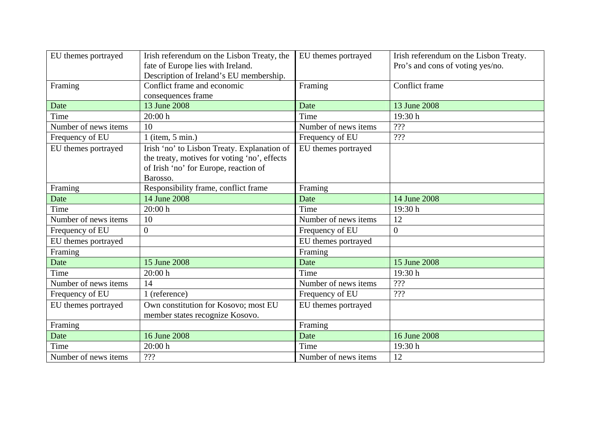| EU themes portrayed  | Irish referendum on the Lisbon Treaty, the<br>fate of Europe lies with Ireland.                                                                  | EU themes portrayed  | Irish referendum on the Lisbon Treaty.<br>Pro's and cons of voting yes/no. |
|----------------------|--------------------------------------------------------------------------------------------------------------------------------------------------|----------------------|----------------------------------------------------------------------------|
|                      | Description of Ireland's EU membership.<br>Conflict frame and economic                                                                           |                      | <b>Conflict frame</b>                                                      |
| Framing              | consequences frame                                                                                                                               | Framing              |                                                                            |
| Date                 | 13 June 2008                                                                                                                                     | Date                 | 13 June 2008                                                               |
| Time                 | 20:00h                                                                                                                                           | Time                 | 19:30h                                                                     |
| Number of news items | 10                                                                                                                                               | Number of news items | ???                                                                        |
| Frequency of EU      | 1 (item, $5$ min.)                                                                                                                               | Frequency of EU      | ???                                                                        |
| EU themes portrayed  | Irish 'no' to Lisbon Treaty. Explanation of<br>the treaty, motives for voting 'no', effects<br>of Irish 'no' for Europe, reaction of<br>Barosso. | EU themes portrayed  |                                                                            |
| Framing              | Responsibility frame, conflict frame                                                                                                             | Framing              |                                                                            |
| Date                 | 14 June 2008                                                                                                                                     | Date                 | 14 June 2008                                                               |
| Time                 | 20:00 h                                                                                                                                          | Time                 | 19:30h                                                                     |
| Number of news items | 10                                                                                                                                               | Number of news items | 12                                                                         |
| Frequency of EU      | $\overline{0}$                                                                                                                                   | Frequency of EU      | $\overline{0}$                                                             |
| EU themes portrayed  |                                                                                                                                                  | EU themes portrayed  |                                                                            |
| Framing              |                                                                                                                                                  | Framing              |                                                                            |
| Date                 | 15 June 2008                                                                                                                                     | Date                 | 15 June 2008                                                               |
| Time                 | 20:00h                                                                                                                                           | Time                 | 19:30 h                                                                    |
| Number of news items | 14                                                                                                                                               | Number of news items | ???                                                                        |
| Frequency of EU      | 1 (reference)                                                                                                                                    | Frequency of EU      | ???                                                                        |
| EU themes portrayed  | Own constitution for Kosovo; most EU<br>member states recognize Kosovo.                                                                          | EU themes portrayed  |                                                                            |
| Framing              |                                                                                                                                                  | Framing              |                                                                            |
| Date                 | 16 June 2008                                                                                                                                     | Date                 | 16 June 2008                                                               |
| Time                 | 20:00h                                                                                                                                           | Time                 | 19:30 h                                                                    |
| Number of news items | ???                                                                                                                                              | Number of news items | 12                                                                         |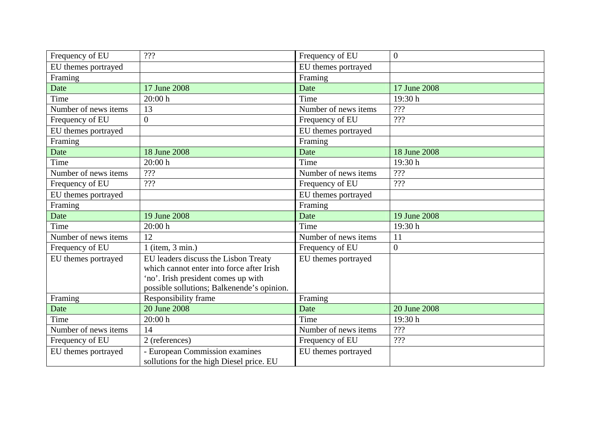| Frequency of EU      | ???                                                                        | Frequency of EU      | $\overline{0}$ |
|----------------------|----------------------------------------------------------------------------|----------------------|----------------|
| EU themes portrayed  |                                                                            | EU themes portrayed  |                |
| Framing              |                                                                            | Framing              |                |
| Date                 | 17 June 2008                                                               | Date                 | 17 June 2008   |
| Time                 | 20:00h                                                                     | Time                 | 19:30 h        |
| Number of news items | 13                                                                         | Number of news items | ???            |
| Frequency of EU      | $\overline{0}$                                                             | Frequency of EU      | 222            |
| EU themes portrayed  |                                                                            | EU themes portrayed  |                |
| Framing              |                                                                            | Framing              |                |
| Date                 | 18 June 2008                                                               | Date                 | 18 June 2008   |
| Time                 | 20:00h                                                                     | Time                 | 19:30h         |
| Number of news items | ???                                                                        | Number of news items | ???            |
| Frequency of EU      | ???                                                                        | Frequency of EU      | ???            |
| EU themes portrayed  |                                                                            | EU themes portrayed  |                |
| Framing              |                                                                            | Framing              |                |
| Date                 | 19 June 2008                                                               | Date                 | 19 June 2008   |
| Time                 | 20:00h                                                                     | Time                 | 19:30 h        |
| Number of news items | 12                                                                         | Number of news items | 11             |
| Frequency of EU      | $1$ (item, $3$ min.)                                                       | Frequency of EU      | $\overline{0}$ |
| EU themes portrayed  | EU leaders discuss the Lisbon Treaty                                       | EU themes portrayed  |                |
|                      | which cannot enter into force after Irish                                  |                      |                |
|                      | 'no'. Irish president comes up with                                        |                      |                |
|                      | possible sollutions; Balkenende's opinion.                                 |                      |                |
| Framing              | <b>Responsibility frame</b>                                                | Framing              |                |
| Date                 | 20 June 2008                                                               | Date                 | 20 June 2008   |
| Time                 | 20:00 h                                                                    | Time                 | 19:30h         |
| Number of news items | 14                                                                         | Number of news items | ???            |
| Frequency of EU      | 2 (references)                                                             | Frequency of EU      | ???            |
| EU themes portrayed  | - European Commission examines<br>sollutions for the high Diesel price. EU | EU themes portrayed  |                |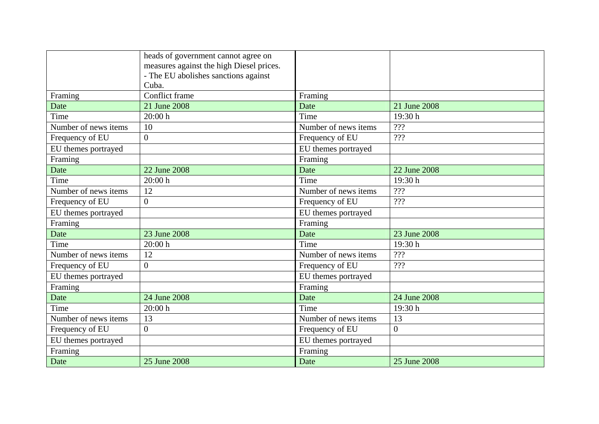|                      | heads of government cannot agree on<br>measures against the high Diesel prices.<br>- The EU abolishes sanctions against |                      |                |
|----------------------|-------------------------------------------------------------------------------------------------------------------------|----------------------|----------------|
|                      | Cuba.                                                                                                                   |                      |                |
| Framing              | Conflict frame                                                                                                          | Framing              |                |
| Date                 | 21 June 2008                                                                                                            | Date                 | 21 June 2008   |
| Time                 | 20:00h                                                                                                                  | Time                 | 19:30 h        |
| Number of news items | 10                                                                                                                      | Number of news items | ???            |
| Frequency of EU      | $\overline{0}$                                                                                                          | Frequency of EU      | ???            |
| EU themes portrayed  |                                                                                                                         | EU themes portrayed  |                |
| Framing              |                                                                                                                         | Framing              |                |
| Date                 | 22 June 2008                                                                                                            | Date                 | 22 June 2008   |
| Time                 | 20:00h                                                                                                                  | Time                 | 19:30 h        |
| Number of news items | 12                                                                                                                      | Number of news items | ???            |
| Frequency of EU      | $\overline{0}$                                                                                                          | Frequency of EU      | ???            |
| EU themes portrayed  |                                                                                                                         | EU themes portrayed  |                |
| Framing              |                                                                                                                         | Framing              |                |
| Date                 | 23 June 2008                                                                                                            | Date                 | 23 June 2008   |
| Time                 | 20:00h                                                                                                                  | Time                 | 19:30 h        |
| Number of news items | 12                                                                                                                      | Number of news items | ???            |
| Frequency of EU      | $\overline{0}$                                                                                                          | Frequency of EU      | ???            |
| EU themes portrayed  |                                                                                                                         | EU themes portrayed  |                |
| Framing              |                                                                                                                         | Framing              |                |
| Date                 | 24 June 2008                                                                                                            | Date                 | 24 June 2008   |
| Time                 | 20:00h                                                                                                                  | Time                 | 19:30 h        |
| Number of news items | 13                                                                                                                      | Number of news items | 13             |
| Frequency of EU      | $\overline{0}$                                                                                                          | Frequency of EU      | $\overline{0}$ |
| EU themes portrayed  |                                                                                                                         | EU themes portrayed  |                |
| Framing              |                                                                                                                         | Framing              |                |
| Date                 | 25 June 2008                                                                                                            | Date                 | 25 June 2008   |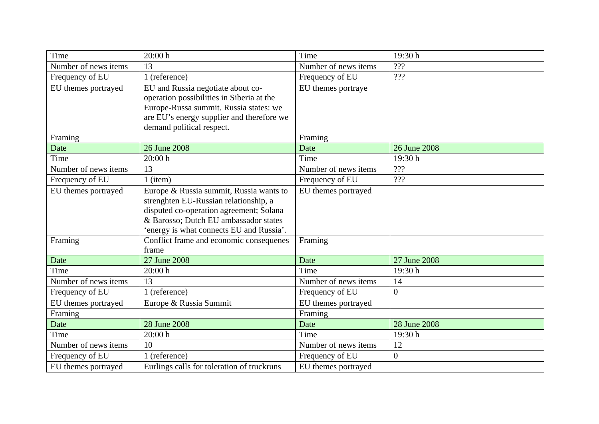| Time                 | 20:00h                                     | Time                 | 19:30 h         |
|----------------------|--------------------------------------------|----------------------|-----------------|
| Number of news items | 13                                         | Number of news items | ???             |
| Frequency of EU      | 1 (reference)                              | Frequency of EU      | ???             |
| EU themes portrayed  | EU and Russia negotiate about co-          | EU themes portraye   |                 |
|                      | operation possibilities in Siberia at the  |                      |                 |
|                      | Europe-Russa summit. Russia states: we     |                      |                 |
|                      | are EU's energy supplier and therefore we  |                      |                 |
|                      | demand political respect.                  |                      |                 |
| Framing              |                                            | Framing              |                 |
| Date                 | 26 June 2008                               | Date                 | 26 June 2008    |
| Time                 | 20:00 h                                    | Time                 | 19:30h          |
| Number of news items | 13                                         | Number of news items | ???             |
| Frequency of EU      | $1$ (item)                                 | Frequency of EU      | ???             |
| EU themes portrayed  | Europe & Russia summit, Russia wants to    | EU themes portrayed  |                 |
|                      | strenghten EU-Russian relationship, a      |                      |                 |
|                      | disputed co-operation agreement; Solana    |                      |                 |
|                      | & Barosso; Dutch EU ambassador states      |                      |                 |
|                      | 'energy is what connects EU and Russia'.   |                      |                 |
| Framing              | Conflict frame and economic consequenes    | Framing              |                 |
|                      | frame                                      |                      |                 |
| Date                 | 27 June 2008                               | Date                 | 27 June 2008    |
| Time                 | 20:00h                                     | Time                 | 19:30h          |
| Number of news items | 13                                         | Number of news items | 14              |
| Frequency of EU      | 1 (reference)                              | Frequency of EU      | $\overline{0}$  |
| EU themes portrayed  | Europe & Russia Summit                     | EU themes portrayed  |                 |
| Framing              |                                            | Framing              |                 |
| Date                 | 28 June 2008                               | Date                 | 28 June 2008    |
| Time                 | 20:00h                                     | Time                 | 19:30 h         |
| Number of news items | 10                                         | Number of news items | $\overline{12}$ |
| Frequency of EU      | 1 (reference)                              | Frequency of EU      | $\overline{0}$  |
| EU themes portrayed  | Eurlings calls for toleration of truckruns | EU themes portrayed  |                 |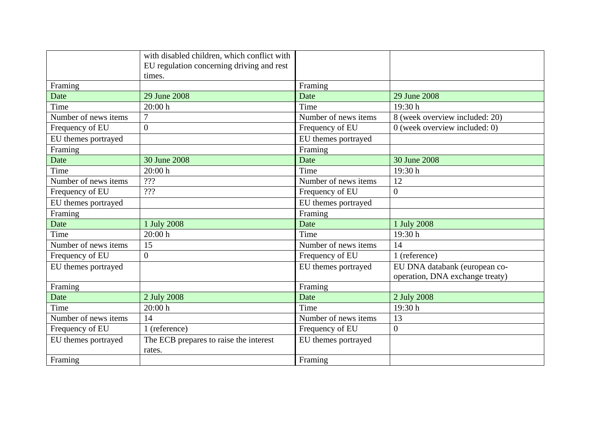|                      | with disabled children, which conflict with      |                      |                                 |
|----------------------|--------------------------------------------------|----------------------|---------------------------------|
|                      | EU regulation concerning driving and rest        |                      |                                 |
|                      | times.                                           |                      |                                 |
| Framing              |                                                  | Framing              |                                 |
| Date                 | 29 June 2008                                     | Date                 | 29 June 2008                    |
| Time                 | 20:00 h                                          | Time                 | 19:30 h                         |
| Number of news items | $\overline{7}$                                   | Number of news items | 8 (week overview included: 20)  |
| Frequency of EU      | $\overline{0}$                                   | Frequency of EU      | $0$ (week overview included: 0) |
| EU themes portrayed  |                                                  | EU themes portrayed  |                                 |
| Framing              |                                                  | Framing              |                                 |
| Date                 | 30 June 2008                                     | Date                 | 30 June 2008                    |
| Time                 | 20:00h                                           | Time                 | 19:30h                          |
| Number of news items | ???                                              | Number of news items | 12                              |
| Frequency of EU      | $\overline{?}$ ?                                 | Frequency of EU      | $\boldsymbol{0}$                |
| EU themes portrayed  |                                                  | EU themes portrayed  |                                 |
| Framing              |                                                  | Framing              |                                 |
| Date                 | 1 July 2008                                      | Date                 | 1 July 2008                     |
| Time                 | 20:00h                                           | Time                 | 19:30 h                         |
| Number of news items | 15                                               | Number of news items | 14                              |
| Frequency of EU      | $\overline{0}$                                   | Frequency of EU      | 1 (reference)                   |
| EU themes portrayed  |                                                  | EU themes portrayed  | EU DNA databank (european co-   |
|                      |                                                  |                      | operation, DNA exchange treaty) |
| Framing              |                                                  | Framing              |                                 |
| Date                 | 2 July 2008                                      | Date                 | 2 July 2008                     |
| Time                 | 20:00 h                                          | Time                 | 19:30h                          |
| Number of news items | 14                                               | Number of news items | 13                              |
| Frequency of EU      | 1 (reference)                                    | Frequency of EU      | $\overline{0}$                  |
| EU themes portrayed  | The ECB prepares to raise the interest<br>rates. | EU themes portrayed  |                                 |
| Framing              |                                                  | Framing              |                                 |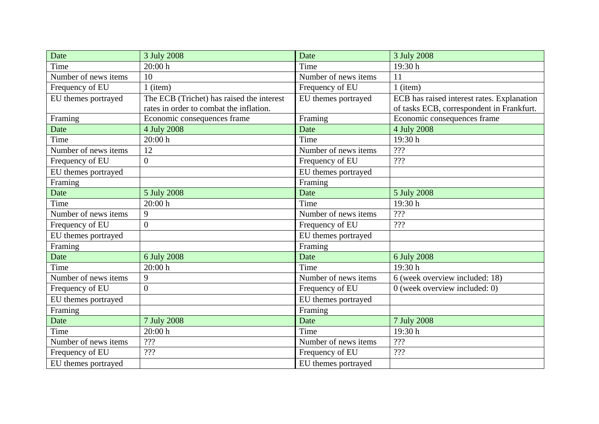| Date                 | 3 July 2008                               | Date                 | 3 July 2008                                |
|----------------------|-------------------------------------------|----------------------|--------------------------------------------|
| Time                 | 20:00 h                                   | Time                 | 19:30h                                     |
| Number of news items | 10                                        | Number of news items | 11                                         |
| Frequency of EU      | $1$ (item)                                | Frequency of EU      | $1$ (item)                                 |
| EU themes portrayed  | The ECB (Trichet) has raised the interest | EU themes portrayed  | ECB has raised interest rates. Explanation |
|                      | rates in order to combat the inflation.   |                      | of tasks ECB, correspondent in Frankfurt.  |
| Framing              | Economic consequences frame               | Framing              | Economic consequences frame                |
| Date                 | 4 July 2008                               | Date                 | 4 July 2008                                |
| Time                 | 20:00 h                                   | Time                 | 19:30h                                     |
| Number of news items | 12                                        | Number of news items | ???                                        |
| Frequency of EU      | $\overline{0}$                            | Frequency of EU      | ???                                        |
| EU themes portrayed  |                                           | EU themes portrayed  |                                            |
| Framing              |                                           | Framing              |                                            |
| Date                 | 5 July 2008                               | Date                 | 5 July 2008                                |
| Time                 | 20:00h                                    | Time                 | 19:30 h                                    |
| Number of news items | 9                                         | Number of news items | ???                                        |
| Frequency of EU      | $\overline{0}$                            | Frequency of EU      | ???                                        |
| EU themes portrayed  |                                           | EU themes portrayed  |                                            |
| Framing              |                                           | Framing              |                                            |
| Date                 | 6 July 2008                               | Date                 | 6 July 2008                                |
| Time                 | 20:00h                                    | Time                 | 19:30h                                     |
| Number of news items | 9                                         | Number of news items | 6 (week overview included: 18)             |
| Frequency of EU      | $\overline{0}$                            | Frequency of EU      | $0$ (week overview included: 0)            |
| EU themes portrayed  |                                           | EU themes portrayed  |                                            |
| Framing              |                                           | Framing              |                                            |
| Date                 | 7 July 2008                               | Date                 | 7 July 2008                                |
| Time                 | 20:00h                                    | Time                 | 19:30 h                                    |
| Number of news items | $\mathbf{?}\mathbf{?}$                    | Number of news items | ???                                        |
| Frequency of EU      | ???                                       | Frequency of EU      | ???                                        |
| EU themes portrayed  |                                           | EU themes portrayed  |                                            |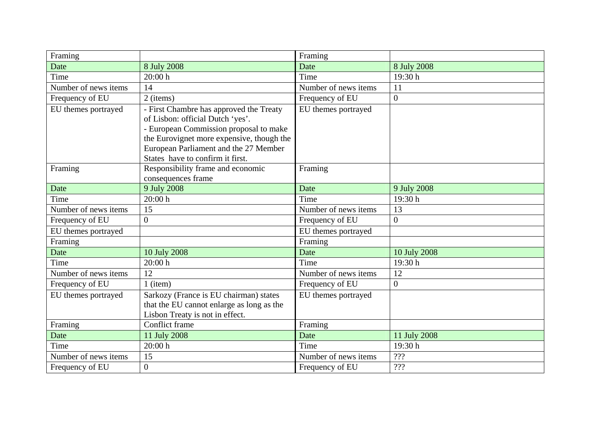| Framing              |                                           | Framing              |                |
|----------------------|-------------------------------------------|----------------------|----------------|
| Date                 | 8 July 2008                               | Date                 | 8 July 2008    |
| Time                 | 20:00 h                                   | Time                 | 19:30 h        |
| Number of news items | 14                                        | Number of news items | 11             |
| Frequency of EU      | 2 (items)                                 | Frequency of EU      | $\overline{0}$ |
| EU themes portrayed  | - First Chambre has approved the Treaty   | EU themes portrayed  |                |
|                      | of Lisbon: official Dutch 'yes'.          |                      |                |
|                      | - European Commission proposal to make    |                      |                |
|                      | the Eurovignet more expensive, though the |                      |                |
|                      | European Parliament and the 27 Member     |                      |                |
|                      | States have to confirm it first.          |                      |                |
| Framing              | Responsibility frame and economic         | Framing              |                |
|                      | consequences frame                        |                      |                |
| Date                 | 9 July 2008                               | Date                 | 9 July 2008    |
| Time                 | 20:00 h                                   | Time                 | 19:30h         |
| Number of news items | 15                                        | Number of news items | 13             |
| Frequency of EU      | $\overline{0}$                            | Frequency of EU      | $\overline{0}$ |
| EU themes portrayed  |                                           | EU themes portrayed  |                |
| Framing              |                                           | Framing              |                |
| Date                 | 10 July 2008                              | Date                 | 10 July 2008   |
| Time                 | 20:00h                                    | Time                 | 19:30 h        |
| Number of news items | 12                                        | Number of news items | 12             |
| Frequency of EU      | $1$ (item)                                | Frequency of EU      | $\overline{0}$ |
| EU themes portrayed  | Sarkozy (France is EU chairman) states    | EU themes portrayed  |                |
|                      | that the EU cannot enlarge as long as the |                      |                |
|                      | Lisbon Treaty is not in effect.           |                      |                |
| Framing              | <b>Conflict frame</b>                     | Framing              |                |
| Date                 | 11 July 2008                              | Date                 | 11 July 2008   |
| Time                 | 20:00 h                                   | Time                 | 19:30h         |
| Number of news items | 15                                        | Number of news items | ???            |
| Frequency of EU      | $\overline{0}$                            | Frequency of EU      | ???            |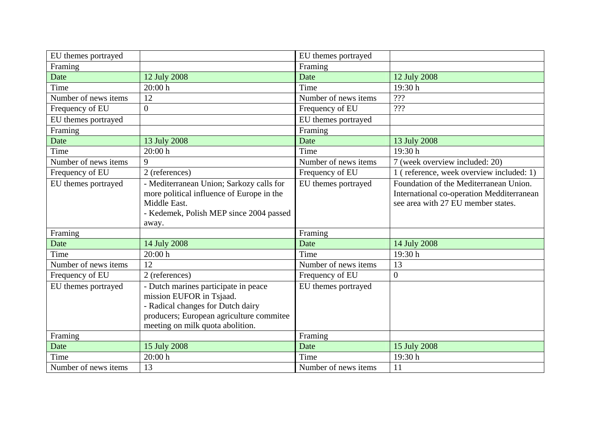| EU themes portrayed  |                                                                                                                                                                                       | EU themes portrayed  |                                                                                                                           |
|----------------------|---------------------------------------------------------------------------------------------------------------------------------------------------------------------------------------|----------------------|---------------------------------------------------------------------------------------------------------------------------|
| Framing              |                                                                                                                                                                                       | Framing              |                                                                                                                           |
| Date                 | 12 July 2008                                                                                                                                                                          | Date                 | 12 July 2008                                                                                                              |
| Time                 | 20:00 h                                                                                                                                                                               | Time                 | 19:30h                                                                                                                    |
| Number of news items | 12                                                                                                                                                                                    | Number of news items | ???                                                                                                                       |
| Frequency of EU      | $\overline{0}$                                                                                                                                                                        | Frequency of EU      | $\overline{???}$                                                                                                          |
| EU themes portrayed  |                                                                                                                                                                                       | EU themes portrayed  |                                                                                                                           |
| Framing              |                                                                                                                                                                                       | Framing              |                                                                                                                           |
| Date                 | 13 July 2008                                                                                                                                                                          | Date                 | 13 July 2008                                                                                                              |
| Time                 | 20:00h                                                                                                                                                                                | Time                 | 19:30h                                                                                                                    |
| Number of news items | 9                                                                                                                                                                                     | Number of news items | 7 (week overview included: 20)                                                                                            |
| Frequency of EU      | 2 (references)                                                                                                                                                                        | Frequency of EU      | 1 (reference, week overview included: 1)                                                                                  |
| EU themes portrayed  | - Mediterranean Union; Sarkozy calls for<br>more political influence of Europe in the<br>Middle East.<br>- Kedemek, Polish MEP since 2004 passed<br>away.                             | EU themes portrayed  | Foundation of the Mediterranean Union.<br>International co-operation Medditerranean<br>see area with 27 EU member states. |
| Framing              |                                                                                                                                                                                       | Framing              |                                                                                                                           |
| Date                 | 14 July 2008                                                                                                                                                                          | Date                 | 14 July 2008                                                                                                              |
| Time                 | 20:00 h                                                                                                                                                                               | Time                 | 19:30 h                                                                                                                   |
| Number of news items | 12                                                                                                                                                                                    | Number of news items | 13                                                                                                                        |
| Frequency of EU      | 2 (references)                                                                                                                                                                        | Frequency of EU      | $\overline{0}$                                                                                                            |
| EU themes portrayed  | - Dutch marines participate in peace<br>mission EUFOR in Tsjaad.<br>- Radical changes for Dutch dairy<br>producers; European agriculture commitee<br>meeting on milk quota abolition. | EU themes portrayed  |                                                                                                                           |
| Framing              |                                                                                                                                                                                       | Framing              |                                                                                                                           |
| Date                 | 15 July 2008                                                                                                                                                                          | Date                 | 15 July 2008                                                                                                              |
| Time                 | 20:00 h                                                                                                                                                                               | Time                 | 19:30 h                                                                                                                   |
| Number of news items | 13                                                                                                                                                                                    | Number of news items | 11                                                                                                                        |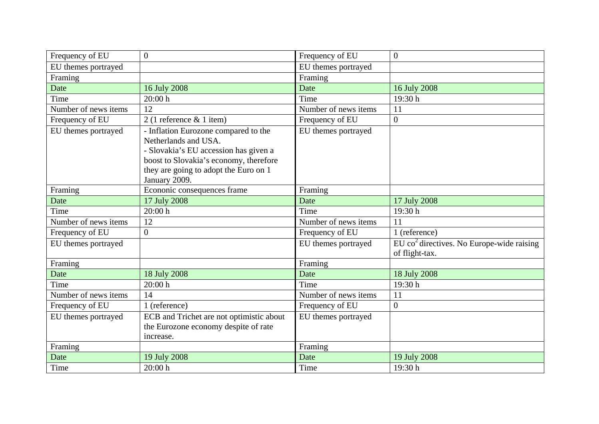| Frequency of EU      | $\overline{0}$                                                                                                                                                                                            | Frequency of EU      | $\overline{0}$                                                            |
|----------------------|-----------------------------------------------------------------------------------------------------------------------------------------------------------------------------------------------------------|----------------------|---------------------------------------------------------------------------|
| EU themes portrayed  |                                                                                                                                                                                                           | EU themes portrayed  |                                                                           |
| Framing              |                                                                                                                                                                                                           | Framing              |                                                                           |
| Date                 | 16 July 2008                                                                                                                                                                                              | Date                 | 16 July 2008                                                              |
| Time                 | 20:00 h                                                                                                                                                                                                   | Time                 | 19:30h                                                                    |
| Number of news items | 12                                                                                                                                                                                                        | Number of news items | 11                                                                        |
| Frequency of EU      | $2(1)$ reference & 1 item)                                                                                                                                                                                | Frequency of EU      | $\overline{0}$                                                            |
| EU themes portrayed  | - Inflation Eurozone compared to the<br>Netherlands and USA.<br>- Slovakia's EU accession has given a<br>boost to Slovakia's economy, therefore<br>they are going to adopt the Euro on 1<br>January 2009. | EU themes portrayed  |                                                                           |
| Framing              | Econonic consequences frame                                                                                                                                                                               | Framing              |                                                                           |
| Date                 | 17 July 2008                                                                                                                                                                                              | Date                 | 17 July 2008                                                              |
| Time                 | 20:00 h                                                                                                                                                                                                   | Time                 | 19:30 h                                                                   |
| Number of news items | 12                                                                                                                                                                                                        | Number of news items | 11                                                                        |
| Frequency of EU      | $\overline{0}$                                                                                                                                                                                            | Frequency of EU      | 1 (reference)                                                             |
| EU themes portrayed  |                                                                                                                                                                                                           | EU themes portrayed  | $EU$ co <sup>2</sup> directives. No Europe-wide raising<br>of flight-tax. |
| Framing              |                                                                                                                                                                                                           | Framing              |                                                                           |
| Date                 | 18 July 2008                                                                                                                                                                                              | Date                 | 18 July 2008                                                              |
| Time                 | 20:00 h                                                                                                                                                                                                   | Time                 | 19:30h                                                                    |
| Number of news items | 14                                                                                                                                                                                                        | Number of news items | 11                                                                        |
| Frequency of EU      | 1 (reference)                                                                                                                                                                                             | Frequency of EU      | $\overline{0}$                                                            |
| EU themes portrayed  | ECB and Trichet are not optimistic about<br>the Eurozone economy despite of rate<br>increase.                                                                                                             | EU themes portrayed  |                                                                           |
| Framing              |                                                                                                                                                                                                           | Framing              |                                                                           |
| Date                 | 19 July 2008                                                                                                                                                                                              | Date                 | 19 July 2008                                                              |
| Time                 | 20:00 h                                                                                                                                                                                                   | Time                 | 19:30h                                                                    |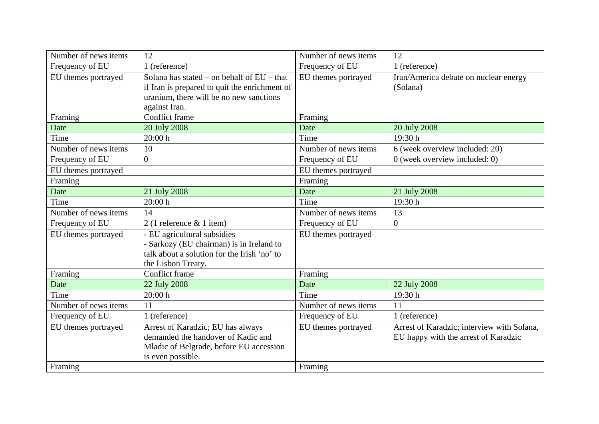| Number of news items | 12                                                                                                                                                        | Number of news items | 12                                                                                 |
|----------------------|-----------------------------------------------------------------------------------------------------------------------------------------------------------|----------------------|------------------------------------------------------------------------------------|
| Frequency of EU      | 1 (reference)                                                                                                                                             | Frequency of EU      | 1 (reference)                                                                      |
| EU themes portrayed  | Solana has stated – on behalf of $EU$ – that<br>if Iran is prepared to quit the enrichment of<br>uranium, there will be no new sanctions<br>against Iran. | EU themes portrayed  | Iran/America debate on nuclear energy<br>(Solana)                                  |
| Framing              | Conflict frame                                                                                                                                            | Framing              |                                                                                    |
| Date                 | 20 July 2008                                                                                                                                              | Date                 | 20 July 2008                                                                       |
| Time                 | 20:00 h                                                                                                                                                   | Time                 | 19:30h                                                                             |
| Number of news items | 10                                                                                                                                                        | Number of news items | 6 (week overview included: 20)                                                     |
| Frequency of EU      | $\Omega$                                                                                                                                                  | Frequency of EU      | $0$ (week overview included: 0)                                                    |
| EU themes portrayed  |                                                                                                                                                           | EU themes portrayed  |                                                                                    |
| Framing              |                                                                                                                                                           | Framing              |                                                                                    |
| Date                 | 21 July 2008                                                                                                                                              | Date                 | 21 July 2008                                                                       |
| Time                 | 20:00 h                                                                                                                                                   | Time                 | 19:30 h                                                                            |
| Number of news items | 14                                                                                                                                                        | Number of news items | 13                                                                                 |
| Frequency of EU      | $2(1)$ reference & 1 item)                                                                                                                                | Frequency of EU      | $\overline{0}$                                                                     |
| EU themes portrayed  | - EU agricultural subsidies<br>- Sarkozy (EU chairman) is in Ireland to<br>talk about a solution for the Irish 'no' to<br>the Lisbon Treaty.              | EU themes portrayed  |                                                                                    |
| Framing              | Conflict frame                                                                                                                                            | Framing              |                                                                                    |
| Date                 | 22 July 2008                                                                                                                                              | Date                 | 22 July 2008                                                                       |
| Time                 | 20:00 h                                                                                                                                                   | Time                 | 19:30h                                                                             |
| Number of news items | 11                                                                                                                                                        | Number of news items | 11                                                                                 |
| Frequency of EU      | 1 (reference)                                                                                                                                             | Frequency of EU      | 1 (reference)                                                                      |
| EU themes portrayed  | Arrest of Karadzic; EU has always<br>demanded the handover of Kadic and<br>Mladic of Belgrade, before EU accession<br>is even possible.                   | EU themes portrayed  | Arrest of Karadzic; interview with Solana,<br>EU happy with the arrest of Karadzic |
| Framing              |                                                                                                                                                           | Framing              |                                                                                    |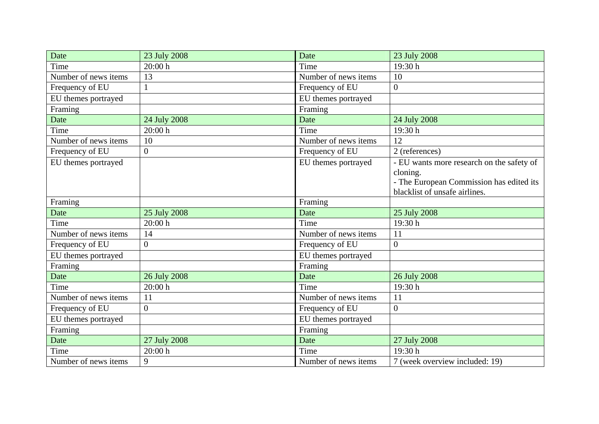| Date                 | 23 July 2008     | Date                 | 23 July 2008                              |
|----------------------|------------------|----------------------|-------------------------------------------|
| Time                 | 20:00 h          | Time                 | 19:30 h                                   |
| Number of news items | 13               | Number of news items | 10                                        |
| Frequency of EU      | 1                | Frequency of EU      | $\overline{0}$                            |
| EU themes portrayed  |                  | EU themes portrayed  |                                           |
| Framing              |                  | Framing              |                                           |
| Date                 | 24 July 2008     | Date                 | 24 July 2008                              |
| Time                 | 20:00h           | Time                 | 19:30 h                                   |
| Number of news items | 10               | Number of news items | 12                                        |
| Frequency of EU      | $\boldsymbol{0}$ | Frequency of EU      | 2 (references)                            |
| EU themes portrayed  |                  | EU themes portrayed  | - EU wants more research on the safety of |
|                      |                  |                      | cloning.                                  |
|                      |                  |                      | - The European Commission has edited its  |
|                      |                  |                      | blacklist of unsafe airlines.             |
| Framing              |                  | Framing              |                                           |
| Date                 | 25 July 2008     | Date                 | 25 July 2008                              |
| Time                 | 20:00h           | Time                 | 19:30h                                    |
| Number of news items | 14               | Number of news items | 11                                        |
| Frequency of EU      | $\overline{0}$   | Frequency of EU      | $\boldsymbol{0}$                          |
| EU themes portrayed  |                  | EU themes portrayed  |                                           |
| Framing              |                  | Framing              |                                           |
| Date                 | 26 July 2008     | Date                 | 26 July 2008                              |
| Time                 | 20:00h           | Time                 | 19:30h                                    |
| Number of news items | 11               | Number of news items | 11                                        |
| Frequency of EU      | $\overline{0}$   | Frequency of EU      | $\overline{0}$                            |
| EU themes portrayed  |                  | EU themes portrayed  |                                           |
| Framing              |                  | Framing              |                                           |
| Date                 | 27 July 2008     | Date                 | 27 July 2008                              |
| Time                 | 20:00 h          | Time                 | 19:30 h                                   |
| Number of news items | 9                | Number of news items | 7 (week overview included: 19)            |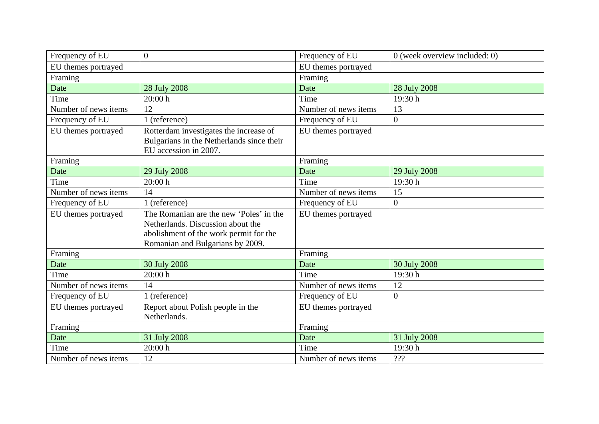| Frequency of EU      | $\overline{0}$                                                                                                                                             | Frequency of EU      | $0$ (week overview included: 0) |
|----------------------|------------------------------------------------------------------------------------------------------------------------------------------------------------|----------------------|---------------------------------|
| EU themes portrayed  |                                                                                                                                                            | EU themes portrayed  |                                 |
| Framing              |                                                                                                                                                            | Framing              |                                 |
| Date                 | 28 July 2008                                                                                                                                               | Date                 | 28 July 2008                    |
| Time                 | 20:00 h                                                                                                                                                    | Time                 | 19:30h                          |
| Number of news items | 12                                                                                                                                                         | Number of news items | 13                              |
| Frequency of EU      | 1 (reference)                                                                                                                                              | Frequency of EU      | $\overline{0}$                  |
| EU themes portrayed  | Rotterdam investigates the increase of<br>Bulgarians in the Netherlands since their<br>EU accession in 2007.                                               | EU themes portrayed  |                                 |
| Framing              |                                                                                                                                                            | Framing              |                                 |
| Date                 | 29 July 2008                                                                                                                                               | Date                 | 29 July 2008                    |
| Time                 | 20:00 h                                                                                                                                                    | Time                 | 19:30 h                         |
| Number of news items | 14                                                                                                                                                         | Number of news items | 15                              |
| Frequency of EU      | 1 (reference)                                                                                                                                              | Frequency of EU      | $\boldsymbol{0}$                |
| EU themes portrayed  | The Romanian are the new 'Poles' in the<br>Netherlands. Discussion about the<br>abolishment of the work permit for the<br>Romanian and Bulgarians by 2009. | EU themes portrayed  |                                 |
| Framing              |                                                                                                                                                            | Framing              |                                 |
| Date                 | 30 July 2008                                                                                                                                               | Date                 | 30 July 2008                    |
| Time                 | 20:00 h                                                                                                                                                    | Time                 | 19:30h                          |
| Number of news items | 14                                                                                                                                                         | Number of news items | 12                              |
| Frequency of EU      | 1 (reference)                                                                                                                                              | Frequency of EU      | $\overline{0}$                  |
| EU themes portrayed  | Report about Polish people in the<br>Netherlands.                                                                                                          | EU themes portrayed  |                                 |
| Framing              |                                                                                                                                                            | Framing              |                                 |
| Date                 | 31 July 2008                                                                                                                                               | Date                 | 31 July 2008                    |
| Time                 | 20:00 h                                                                                                                                                    | Time                 | 19:30h                          |
| Number of news items | 12                                                                                                                                                         | Number of news items | ???                             |